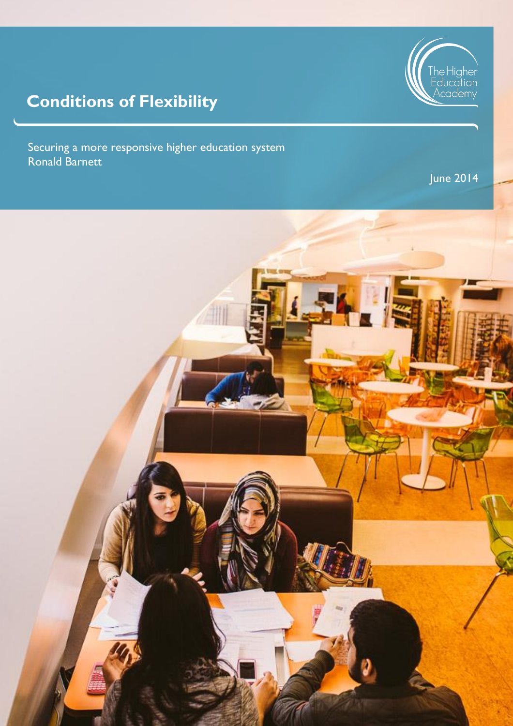

# **Conditions of Flexibility**

Securing a more responsive higher education system Ronald Barnett

June 2014

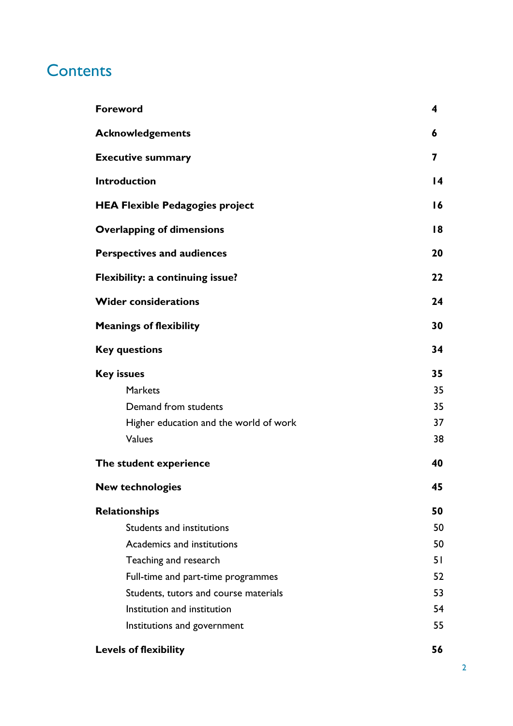# **Contents**

| <b>Foreword</b>                        | 4  |
|----------------------------------------|----|
| <b>Acknowledgements</b>                | 6  |
| <b>Executive summary</b>               | 7  |
| <b>Introduction</b>                    | 14 |
| <b>HEA Flexible Pedagogies project</b> | 16 |
| <b>Overlapping of dimensions</b>       | 18 |
| <b>Perspectives and audiences</b>      | 20 |
| Flexibility: a continuing issue?       | 22 |
| <b>Wider considerations</b>            | 24 |
| <b>Meanings of flexibility</b>         | 30 |
| <b>Key questions</b>                   | 34 |
| <b>Key issues</b>                      | 35 |
| <b>Markets</b>                         | 35 |
| Demand from students                   | 35 |
| Higher education and the world of work | 37 |
| Values                                 | 38 |
| The student experience                 | 40 |
| <b>New technologies</b>                | 45 |
| Relationships                          | 50 |
| Students and institutions              | 50 |
| Academics and institutions             | 50 |
| Teaching and research                  | 51 |
| Full-time and part-time programmes     | 52 |
| Students, tutors and course materials  | 53 |
| Institution and institution            | 54 |
| Institutions and government            | 55 |
| <b>Levels of flexibility</b>           | 56 |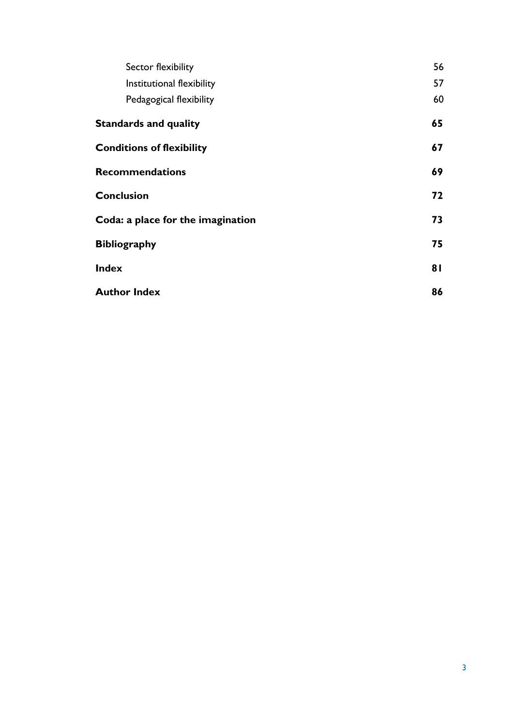| Sector flexibility                | 56 |
|-----------------------------------|----|
| Institutional flexibility         | 57 |
| Pedagogical flexibility           | 60 |
| <b>Standards and quality</b>      | 65 |
| <b>Conditions of flexibility</b>  | 67 |
| <b>Recommendations</b>            | 69 |
| <b>Conclusion</b>                 | 72 |
| Coda: a place for the imagination | 73 |
| <b>Bibliography</b>               | 75 |
| <b>Index</b>                      | 81 |
| <b>Author Index</b>               | 86 |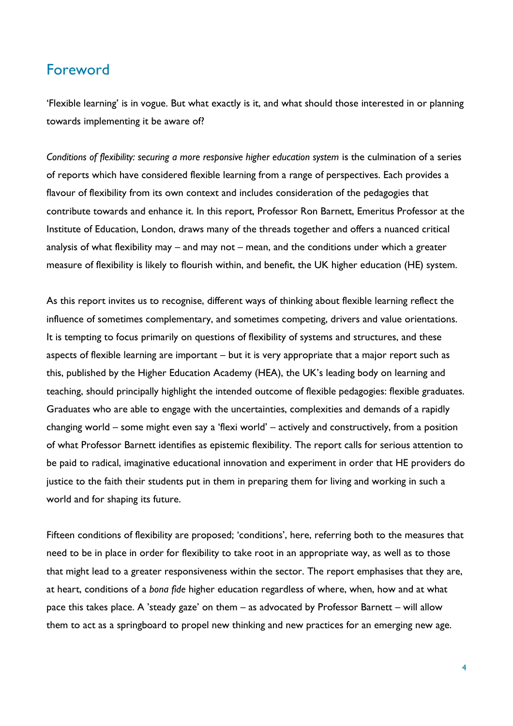### <span id="page-3-0"></span>Foreword

'Flexible learning' is in vogue. But what exactly is it, and what should those interested in or planning towards implementing it be aware of?

*Conditions of flexibility: securing a more responsive higher education system* is the culmination of a series of reports which have considered flexible learning from a range of perspectives. Each provides a flavour of flexibility from its own context and includes consideration of the pedagogies that contribute towards and enhance it. In this report, Professor Ron Barnett, Emeritus Professor at the Institute of Education, London, draws many of the threads together and offers a nuanced critical analysis of what flexibility may – and may not – mean, and the conditions under which a greater measure of flexibility is likely to flourish within, and benefit, the UK higher education (HE) system.

As this report invites us to recognise, different ways of thinking about flexible learning reflect the influence of sometimes complementary, and sometimes competing, drivers and value orientations. It is tempting to focus primarily on questions of flexibility of systems and structures, and these aspects of flexible learning are important – but it is very appropriate that a major report such as this, published by the Higher Education Academy (HEA), the UK's leading body on learning and teaching, should principally highlight the intended outcome of flexible pedagogies: flexible graduates. Graduates who are able to engage with the uncertainties, complexities and demands of a rapidly changing world – some might even say a 'flexi world' – actively and constructively, from a position of what Professor Barnett identifies as epistemic flexibility. The report calls for serious attention to be paid to radical, imaginative educational innovation and experiment in order that HE providers do justice to the faith their students put in them in preparing them for living and working in such a world and for shaping its future.

Fifteen conditions of flexibility are proposed; 'conditions', here, referring both to the measures that need to be in place in order for flexibility to take root in an appropriate way, as well as to those that might lead to a greater responsiveness within the sector. The report emphasises that they are, at heart, conditions of a *bona fide* higher education regardless of where, when, how and at what pace this takes place. A 'steady gaze' on them – as advocated by Professor Barnett – will allow them to act as a springboard to propel new thinking and new practices for an emerging new age.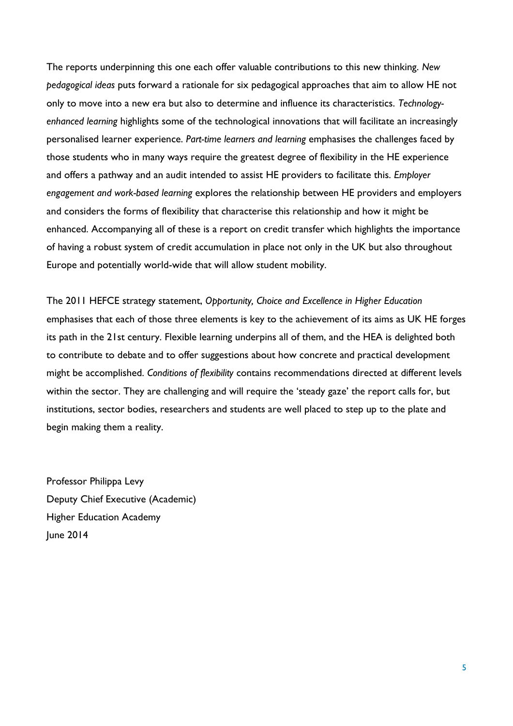The reports underpinning this one each offer valuable contributions to this new thinking. *New pedagogical ideas* puts forward a rationale for six pedagogical approaches that aim to allow HE not only to move into a new era but also to determine and influence its characteristics. *Technologyenhanced learning* highlights some of the technological innovations that will facilitate an increasingly personalised learner experience. *Part-time learners and learning* emphasises the challenges faced by those students who in many ways require the greatest degree of flexibility in the HE experience and offers a pathway and an audit intended to assist HE providers to facilitate this. *Employer engagement and work-based learning* explores the relationship between HE providers and employers and considers the forms of flexibility that characterise this relationship and how it might be enhanced. Accompanying all of these is a report on credit transfer which highlights the importance of having a robust system of credit accumulation in place not only in the UK but also throughout Europe and potentially world-wide that will allow student mobility.

The 2011 HEFCE strategy statement, *Opportunity, Choice and Excellence in Higher Education* emphasises that each of those three elements is key to the achievement of its aims as UK HE forges its path in the 21st century. Flexible learning underpins all of them, and the HEA is delighted both to contribute to debate and to offer suggestions about how concrete and practical development might be accomplished. *Conditions of flexibility* contains recommendations directed at different levels within the sector. They are challenging and will require the 'steady gaze' the report calls for, but institutions, sector bodies, researchers and students are well placed to step up to the plate and begin making them a reality.

Professor Philippa Levy Deputy Chief Executive (Academic) Higher Education Academy June 2014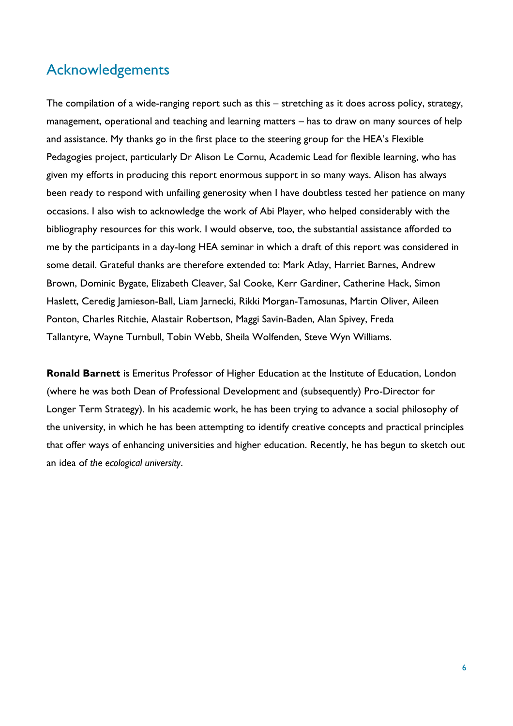### <span id="page-5-0"></span>Acknowledgements

The compilation of a wide-ranging report such as this – stretching as it does across policy, strategy, management, operational and teaching and learning matters – has to draw on many sources of help and assistance. My thanks go in the first place to the steering group for the HEA's Flexible Pedagogies project, particularly Dr Alison Le Cornu, Academic Lead for flexible learning, who has given my efforts in producing this report enormous support in so many ways. Alison has always been ready to respond with unfailing generosity when I have doubtless tested her patience on many occasions. I also wish to acknowledge the work of Abi Player, who helped considerably with the bibliography resources for this work. I would observe, too, the substantial assistance afforded to me by the participants in a day-long HEA seminar in which a draft of this report was considered in some detail. Grateful thanks are therefore extended to: Mark Atlay, Harriet Barnes, Andrew Brown, Dominic Bygate, Elizabeth Cleaver, Sal Cooke, Kerr Gardiner, Catherine Hack, Simon Haslett, Ceredig Jamieson-Ball, Liam Jarnecki, Rikki Morgan-Tamosunas, Martin Oliver, Aileen Ponton, Charles Ritchie, Alastair Robertson, Maggi Savin-Baden, Alan Spivey, Freda Tallantyre, Wayne Turnbull, Tobin Webb, Sheila Wolfenden, Steve Wyn Williams.

**Ronald Barnett** is Emeritus Professor of Higher Education at the Institute of Education, London (where he was both Dean of Professional Development and (subsequently) Pro-Director for Longer Term Strategy). In his academic work, he has been trying to advance a social philosophy of the university, in which he has been attempting to identify creative concepts and practical principles that offer ways of enhancing universities and higher education. Recently, he has begun to sketch out an idea of *the ecological university*.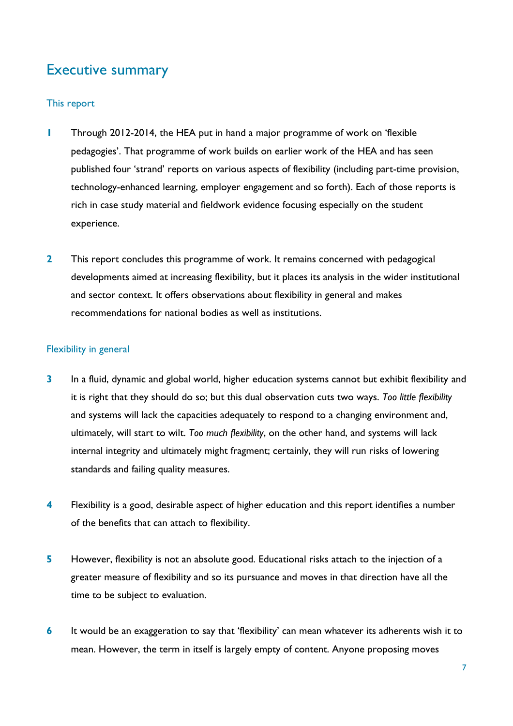# <span id="page-6-0"></span>Executive summary

### This report

- **1** Through 2012-2014, the HEA put in hand a major programme of work on 'flexible pedagogies'. That programme of work builds on earlier work of the HEA and has seen published four 'strand' reports on various aspects of flexibility (including part-time provision, technology-enhanced learning, employer engagement and so forth). Each of those reports is rich in case study material and fieldwork evidence focusing especially on the student experience.
- **2** This report concludes this programme of work. It remains concerned with pedagogical developments aimed at increasing flexibility, but it places its analysis in the wider institutional and sector context. It offers observations about flexibility in general and makes recommendations for national bodies as well as institutions.

### Flexibility in general

- **3** In a fluid, dynamic and global world, higher education systems cannot but exhibit flexibility and it is right that they should do so; but this dual observation cuts two ways. *Too little flexibility* and systems will lack the capacities adequately to respond to a changing environment and, ultimately, will start to wilt. *Too much flexibility*, on the other hand, and systems will lack internal integrity and ultimately might fragment; certainly, they will run risks of lowering standards and failing quality measures.
- **4** Flexibility is a good, desirable aspect of higher education and this report identifies a number of the benefits that can attach to flexibility.
- **5** However, flexibility is not an absolute good. Educational risks attach to the injection of a greater measure of flexibility and so its pursuance and moves in that direction have all the time to be subject to evaluation.
- **6** It would be an exaggeration to say that 'flexibility' can mean whatever its adherents wish it to mean. However, the term in itself is largely empty of content. Anyone proposing moves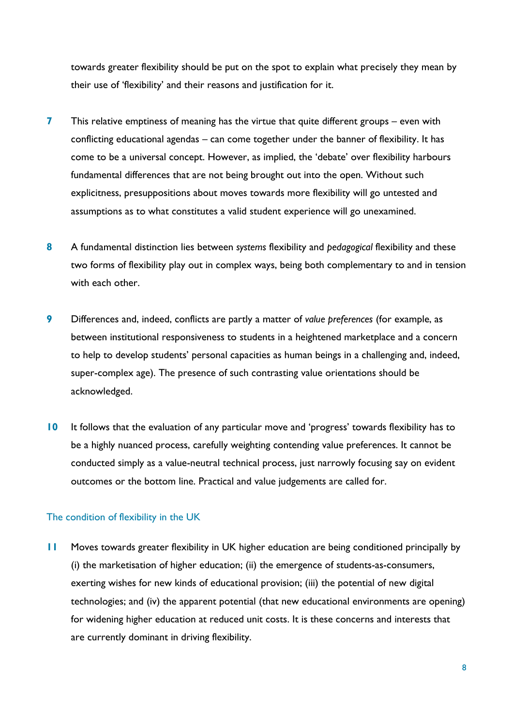towards greater flexibility should be put on the spot to explain what precisely they mean by their use of 'flexibility' and their reasons and justification for it.

- **7** This relative emptiness of meaning has the virtue that quite different groups even with conflicting educational agendas – can come together under the banner of flexibility. It has come to be a universal concept. However, as implied, the 'debate' over flexibility harbours fundamental differences that are not being brought out into the open. Without such explicitness, presuppositions about moves towards more flexibility will go untested and assumptions as to what constitutes a valid student experience will go unexamined.
- **8** A fundamental distinction lies between *systems* flexibility and *pedagogical* flexibility and these two forms of flexibility play out in complex ways, being both complementary to and in tension with each other.
- **9** Differences and, indeed, conflicts are partly a matter of *value preferences* (for example, as between institutional responsiveness to students in a heightened marketplace and a concern to help to develop students' personal capacities as human beings in a challenging and, indeed, super-complex age). The presence of such contrasting value orientations should be acknowledged.
- **10** It follows that the evaluation of any particular move and 'progress' towards flexibility has to be a highly nuanced process, carefully weighting contending value preferences. It cannot be conducted simply as a value-neutral technical process, just narrowly focusing say on evident outcomes or the bottom line. Practical and value judgements are called for.

### The condition of flexibility in the UK

**11** Moves towards greater flexibility in UK higher education are being conditioned principally by (i) the marketisation of higher education; (ii) the emergence of students-as-consumers, exerting wishes for new kinds of educational provision; (iii) the potential of new digital technologies; and (iv) the apparent potential (that new educational environments are opening) for widening higher education at reduced unit costs. It is these concerns and interests that are currently dominant in driving flexibility.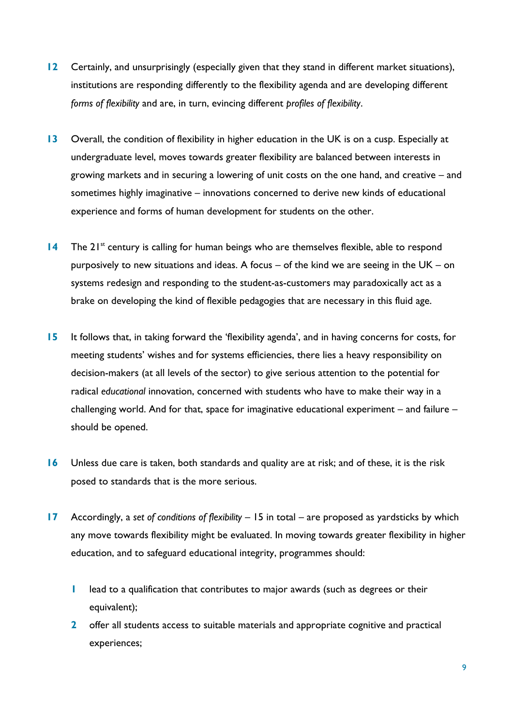- **12** Certainly, and unsurprisingly (especially given that they stand in different market situations), institutions are responding differently to the flexibility agenda and are developing different *forms of flexibility* and are, in turn, evincing different *profiles of flexibility*.
- **13** Overall, the condition of flexibility in higher education in the UK is on a cusp. Especially at undergraduate level, moves towards greater flexibility are balanced between interests in growing markets and in securing a lowering of unit costs on the one hand, and creative – and sometimes highly imaginative – innovations concerned to derive new kinds of educational experience and forms of human development for students on the other.
- **14** The 21<sup>st</sup> century is calling for human beings who are themselves flexible, able to respond purposively to new situations and ideas. A focus – of the kind we are seeing in the UK – on systems redesign and responding to the student-as-customers may paradoxically act as a brake on developing the kind of flexible pedagogies that are necessary in this fluid age.
- **15** It follows that, in taking forward the 'flexibility agenda', and in having concerns for costs, for meeting students' wishes and for systems efficiencies, there lies a heavy responsibility on decision-makers (at all levels of the sector) to give serious attention to the potential for radical *educational* innovation, concerned with students who have to make their way in a challenging world. And for that, space for imaginative educational experiment – and failure – should be opened.
- **16** Unless due care is taken, both standards and quality are at risk; and of these, it is the risk posed to standards that is the more serious.
- **17** Accordingly, a *set of conditions of flexibility* 15 in total are proposed as yardsticks by which any move towards flexibility might be evaluated. In moving towards greater flexibility in higher education, and to safeguard educational integrity, programmes should:
	- **1** lead to a qualification that contributes to major awards (such as degrees or their equivalent);
	- **2** offer all students access to suitable materials and appropriate cognitive and practical experiences;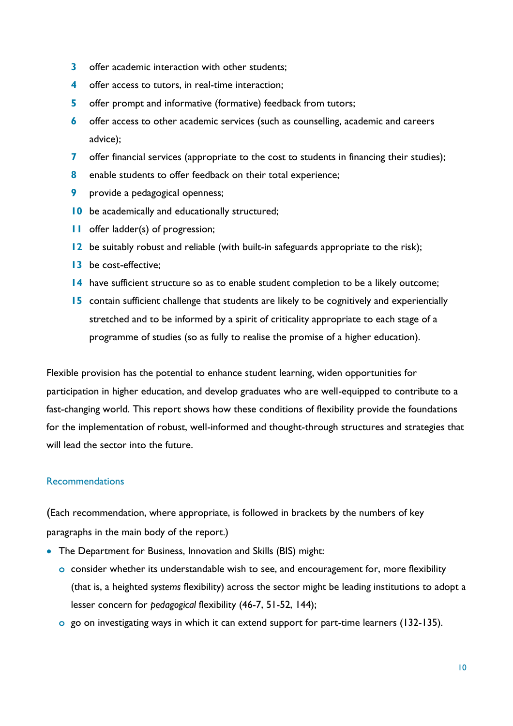- **3** offer academic interaction with other students;
- **4** offer access to tutors, in real-time interaction;
- **5** offer prompt and informative (formative) feedback from tutors;
- **6** offer access to other academic services (such as counselling, academic and careers advice);
- **7** offer financial services (appropriate to the cost to students in financing their studies);
- **8** enable students to offer feedback on their total experience;
- **9** provide a pedagogical openness;
- **10** be academically and educationally structured;
- **11** offer ladder(s) of progression;
- **12** be suitably robust and reliable (with built-in safeguards appropriate to the risk);
- **13** be cost-effective;
- **14** have sufficient structure so as to enable student completion to be a likely outcome;
- **15** contain sufficient challenge that students are likely to be cognitively and experientially stretched and to be informed by a spirit of criticality appropriate to each stage of a programme of studies (so as fully to realise the promise of a higher education).

Flexible provision has the potential to enhance student learning, widen opportunities for participation in higher education, and develop graduates who are well-equipped to contribute to a fast-changing world. This report shows how these conditions of flexibility provide the foundations for the implementation of robust, well-informed and thought-through structures and strategies that will lead the sector into the future.

### **Recommendations**

(Each recommendation, where appropriate, is followed in brackets by the numbers of key paragraphs in the main body of the report.)

- The Department for Business, Innovation and Skills (BIS) might:
	- **o** consider whether its understandable wish to see, and encouragement for, more flexibility (that is, a heighted *systems* flexibility) across the sector might be leading institutions to adopt a lesser concern for *pedagogical* flexibility (46-7, 51-52, 144);
	- **o** go on investigating ways in which it can extend support for part-time learners (132-135).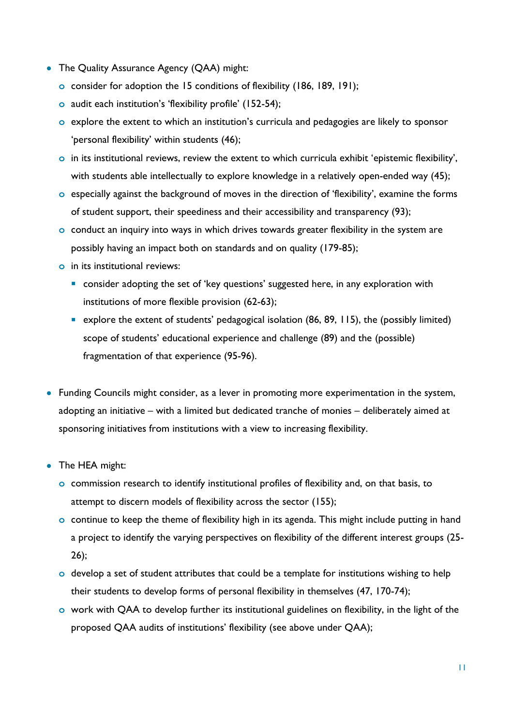- The Quality Assurance Agency (QAA) might:
	- **o** consider for adoption the 15 conditions of flexibility (186, 189, 191);
	- **o** audit each institution's 'flexibility profile' (152-54);
	- **o** explore the extent to which an institution's curricula and pedagogies are likely to sponsor 'personal flexibility' within students (46);
	- **o** in its institutional reviews, review the extent to which curricula exhibit 'epistemic flexibility', with students able intellectually to explore knowledge in a relatively open-ended way (45);
	- **o** especially against the background of moves in the direction of 'flexibility', examine the forms of student support, their speediness and their accessibility and transparency (93);
	- **o** conduct an inquiry into ways in which drives towards greater flexibility in the system are possibly having an impact both on standards and on quality (179-85);
	- **o** in its institutional reviews:
		- **E** consider adopting the set of 'key questions' suggested here, in any exploration with institutions of more flexible provision (62-63);
		- explore the extent of students' pedagogical isolation (86, 89, 115), the (possibly limited) scope of students' educational experience and challenge (89) and the (possible) fragmentation of that experience (95-96).
- Funding Councils might consider, as a lever in promoting more experimentation in the system, adopting an initiative – with a limited but dedicated tranche of monies – deliberately aimed at sponsoring initiatives from institutions with a view to increasing flexibility.
- The HEA might:
	- **o** commission research to identify institutional profiles of flexibility and, on that basis, to attempt to discern models of flexibility across the sector (155);
	- **o** continue to keep the theme of flexibility high in its agenda. This might include putting in hand a project to identify the varying perspectives on flexibility of the different interest groups (25- 26);
	- **o** develop a set of student attributes that could be a template for institutions wishing to help their students to develop forms of personal flexibility in themselves (47, 170-74);
	- **o** work with QAA to develop further its institutional guidelines on flexibility, in the light of the proposed QAA audits of institutions' flexibility (see above under QAA);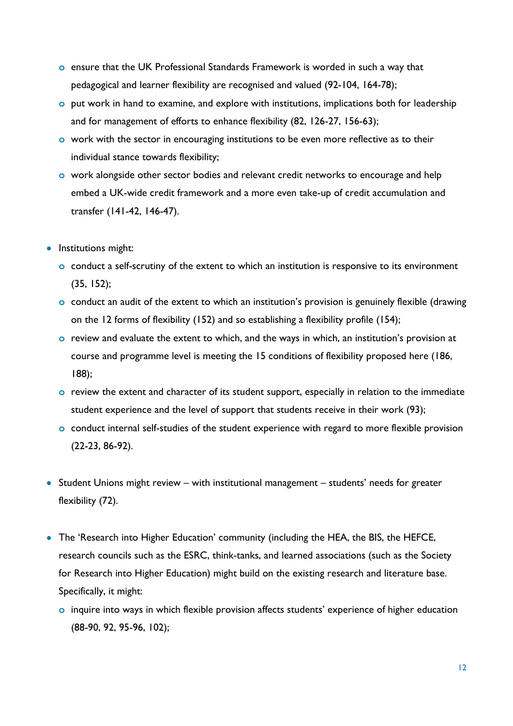- **o** ensure that the UK Professional Standards Framework is worded in such a way that pedagogical and learner flexibility are recognised and valued (92-104, 164-78);
- **o** put work in hand to examine, and explore with institutions, implications both for leadership and for management of efforts to enhance flexibility (82, 126-27, 156-63);
- **o** work with the sector in encouraging institutions to be even more reflective as to their individual stance towards flexibility;
- **o** work alongside other sector bodies and relevant credit networks to encourage and help embed a UK-wide credit framework and a more even take-up of credit accumulation and transfer (141-42, 146-47).
- Institutions might:
	- **o** conduct a self-scrutiny of the extent to which an institution is responsive to its environment (35, 152);
	- **o** conduct an audit of the extent to which an institution's provision is genuinely flexible (drawing on the 12 forms of flexibility (152) and so establishing a flexibility profile (154);
	- **o** review and evaluate the extent to which, and the ways in which, an institution's provision at course and programme level is meeting the 15 conditions of flexibility proposed here (186, 188);
	- **o** review the extent and character of its student support, especially in relation to the immediate student experience and the level of support that students receive in their work (93);
	- **o** conduct internal self-studies of the student experience with regard to more flexible provision (22-23, 86-92).
- Student Unions might review with institutional management students' needs for greater flexibility (72).
- The 'Research into Higher Education' community (including the HEA, the BIS, the HEFCE, research councils such as the ESRC, think-tanks, and learned associations (such as the Society for Research into Higher Education) might build on the existing research and literature base. Specifically, it might:
	- **o** inquire into ways in which flexible provision affects students' experience of higher education (88-90, 92, 95-96, 102);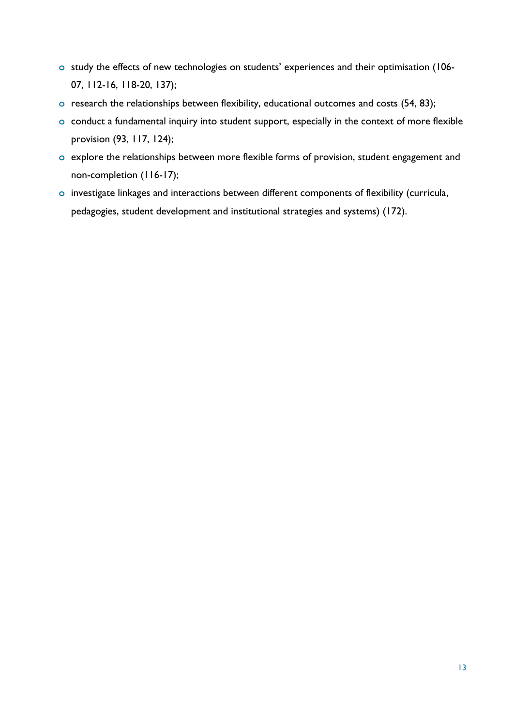- **o** study the effects of new technologies on students' experiences and their optimisation (106- 07, 112-16, 118-20, 137);
- **o** research the relationships between flexibility, educational outcomes and costs (54, 83);
- **o** conduct a fundamental inquiry into student support, especially in the context of more flexible provision (93, 117, 124);
- **o** explore the relationships between more flexible forms of provision, student engagement and non-completion (116-17);
- **o** investigate linkages and interactions between different components of flexibility (curricula, pedagogies, student development and institutional strategies and systems) (172).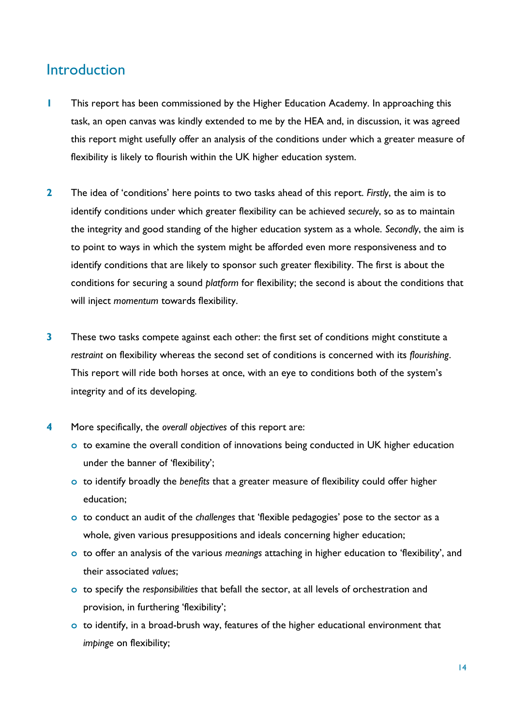### <span id="page-13-0"></span>**Introduction**

- **1** This report has been commissioned by the Higher Education Academy. In approaching this task, an open canvas was kindly extended to me by the HEA and, in discussion, it was agreed this report might usefully offer an analysis of the conditions under which a greater measure of flexibility is likely to flourish within the UK higher education system.
- **2** The idea of 'conditions' here points to two tasks ahead of this report. *Firstly*, the aim is to identify conditions under which greater flexibility can be achieved *securely*, so as to maintain the integrity and good standing of the higher education system as a whole. *Secondly*, the aim is to point to ways in which the system might be afforded even more responsiveness and to identify conditions that are likely to sponsor such greater flexibility. The first is about the conditions for securing a sound *platform* for flexibility; the second is about the conditions that will inject *momentum* towards flexibility.
- **3** These two tasks compete against each other: the first set of conditions might constitute a *restraint* on flexibility whereas the second set of conditions is concerned with its *flourishing*. This report will ride both horses at once, with an eye to conditions both of the system's integrity and of its developing.
- **4** More specifically, the *overall objectives* of this report are:
	- **o** to examine the overall condition of innovations being conducted in UK higher education under the banner of 'flexibility';
	- **o** to identify broadly the *benefits* that a greater measure of flexibility could offer higher education;
	- **o** to conduct an audit of the *challenges* that 'flexible pedagogies' pose to the sector as a whole, given various presuppositions and ideals concerning higher education;
	- **o** to offer an analysis of the various *meanings* attaching in higher education to 'flexibility', and their associated *values*;
	- **o** to specify the *responsibilities* that befall the sector, at all levels of orchestration and provision, in furthering 'flexibility';
	- **o** to identify, in a broad-brush way, features of the higher educational environment that *impinge* on flexibility;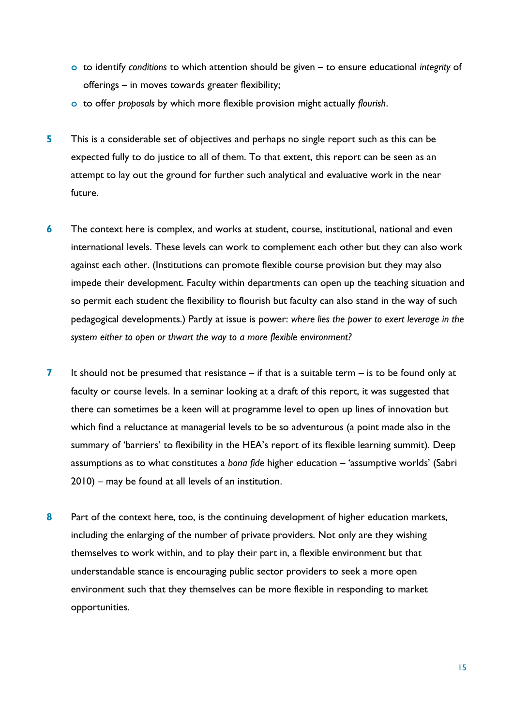- **o** to identify *conditions* to which attention should be given to ensure educational *integrity* of offerings – in moves towards greater flexibility;
- **o** to offer *proposals* by which more flexible provision might actually *flourish*.
- **5** This is a considerable set of objectives and perhaps no single report such as this can be expected fully to do justice to all of them. To that extent, this report can be seen as an attempt to lay out the ground for further such analytical and evaluative work in the near future.
- **6** The context here is complex, and works at student, course, institutional, national and even international levels. These levels can work to complement each other but they can also work against each other. (Institutions can promote flexible course provision but they may also impede their development. Faculty within departments can open up the teaching situation and so permit each student the flexibility to flourish but faculty can also stand in the way of such pedagogical developments.) Partly at issue is power: *where lies the power to exert leverage in the system either to open or thwart the way to a more flexible environment?*
- **7** It should not be presumed that resistance if that is a suitable term is to be found only at faculty or course levels. In a seminar looking at a draft of this report, it was suggested that there can sometimes be a keen will at programme level to open up lines of innovation but which find a reluctance at managerial levels to be so adventurous (a point made also in the summary of 'barriers' to flexibility in the HEA's report of its flexible learning summit). Deep assumptions as to what constitutes a *bona fide* higher education – 'assumptive worlds' (Sabri 2010) – may be found at all levels of an institution.
- **8** Part of the context here, too, is the continuing development of higher education markets, including the enlarging of the number of private providers. Not only are they wishing themselves to work within, and to play their part in, a flexible environment but that understandable stance is encouraging public sector providers to seek a more open environment such that they themselves can be more flexible in responding to market opportunities.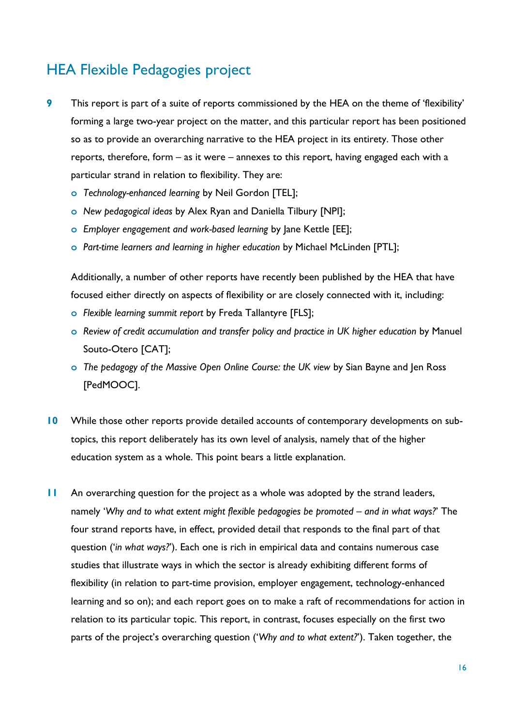# <span id="page-15-0"></span>HEA Flexible Pedagogies project

- **9** This report is part of a suite of reports commissioned by the HEA on the theme of 'flexibility' forming a large two-year project on the matter, and this particular report has been positioned so as to provide an overarching narrative to the HEA project in its entirety. Those other reports, therefore, form – as it were – annexes to this report, having engaged each with a particular strand in relation to flexibility. They are:
	- **o** *Technology-enhanced learning* by Neil Gordon [TEL];
	- **o** *New pedagogical ideas* by Alex Ryan and Daniella Tilbury [NPI];
	- **o** *Employer engagement and work-based learning* by Jane Kettle [EE];
	- **o** *Part-time learners and learning in higher education* by Michael McLinden [PTL];

Additionally, a number of other reports have recently been published by the HEA that have focused either directly on aspects of flexibility or are closely connected with it, including:

- **o** *Flexible learning summit report* by Freda Tallantyre [FLS];
- **o** *Review of credit accumulation and transfer policy and practice in UK higher education* by Manuel Souto-Otero [CAT];
- **o** *The pedagogy of the Massive Open Online Course: the UK view* by Sian Bayne and Jen Ross [PedMOOC].
- **10** While those other reports provide detailed accounts of contemporary developments on subtopics, this report deliberately has its own level of analysis, namely that of the higher education system as a whole. This point bears a little explanation.
- **11** An overarching question for the project as a whole was adopted by the strand leaders, namely 'Why and to what extent might flexible pedagogies be promoted - and in what ways?' The four strand reports have, in effect, provided detail that responds to the final part of that question ('*in what ways?*'). Each one is rich in empirical data and contains numerous case studies that illustrate ways in which the sector is already exhibiting different forms of flexibility (in relation to part-time provision, employer engagement, technology-enhanced learning and so on); and each report goes on to make a raft of recommendations for action in relation to its particular topic. This report, in contrast, focuses especially on the first two parts of the project's overarching question ('*Why and to what extent?*'). Taken together, the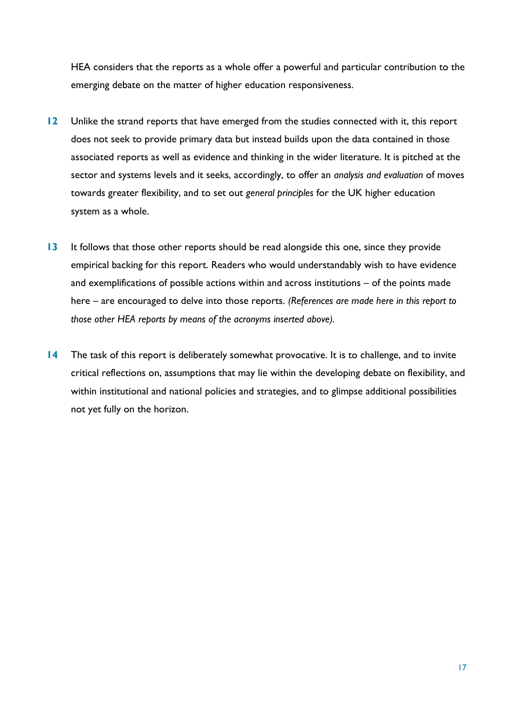HEA considers that the reports as a whole offer a powerful and particular contribution to the emerging debate on the matter of higher education responsiveness.

- **12** Unlike the strand reports that have emerged from the studies connected with it, this report does not seek to provide primary data but instead builds upon the data contained in those associated reports as well as evidence and thinking in the wider literature. It is pitched at the sector and systems levels and it seeks, accordingly, to offer an *analysis and evaluation* of moves towards greater flexibility, and to set out *general principles* for the UK higher education system as a whole.
- **13** It follows that those other reports should be read alongside this one, since they provide empirical backing for this report. Readers who would understandably wish to have evidence and exemplifications of possible actions within and across institutions – of the points made here – are encouraged to delve into those reports. *(References are made here in this report to those other HEA reports by means of the acronyms inserted above).*
- **14** The task of this report is deliberately somewhat provocative. It is to challenge, and to invite critical reflections on, assumptions that may lie within the developing debate on flexibility, and within institutional and national policies and strategies, and to glimpse additional possibilities not yet fully on the horizon.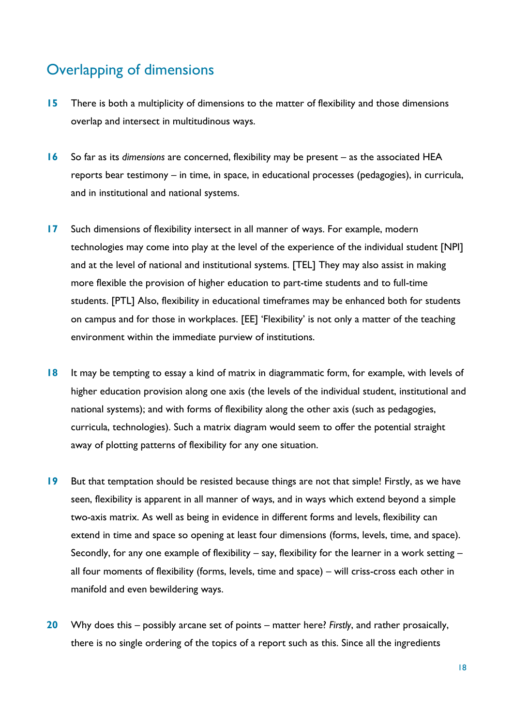# <span id="page-17-0"></span>Overlapping of dimensions

- **15** There is both a multiplicity of dimensions to the matter of flexibility and those dimensions overlap and intersect in multitudinous ways.
- **16** So far as its *dimensions* are concerned, flexibility may be present as the associated HEA reports bear testimony – in time, in space, in educational processes (pedagogies), in curricula, and in institutional and national systems.
- **17** Such dimensions of flexibility intersect in all manner of ways. For example, modern technologies may come into play at the level of the experience of the individual student [NPI] and at the level of national and institutional systems. [TEL] They may also assist in making more flexible the provision of higher education to part-time students and to full-time students. [PTL] Also, flexibility in educational timeframes may be enhanced both for students on campus and for those in workplaces. [EE] 'Flexibility' is not only a matter of the teaching environment within the immediate purview of institutions.
- **18** It may be tempting to essay a kind of matrix in diagrammatic form, for example, with levels of higher education provision along one axis (the levels of the individual student, institutional and national systems); and with forms of flexibility along the other axis (such as pedagogies, curricula, technologies). Such a matrix diagram would seem to offer the potential straight away of plotting patterns of flexibility for any one situation.
- **19** But that temptation should be resisted because things are not that simple! Firstly, as we have seen, flexibility is apparent in all manner of ways, and in ways which extend beyond a simple two-axis matrix. As well as being in evidence in different forms and levels, flexibility can extend in time and space so opening at least four dimensions (forms, levels, time, and space). Secondly, for any one example of flexibility – say, flexibility for the learner in a work setting – all four moments of flexibility (forms, levels, time and space) – will criss-cross each other in manifold and even bewildering ways.
- **20** Why does this possibly arcane set of points matter here? *Firstly*, and rather prosaically, there is no single ordering of the topics of a report such as this. Since all the ingredients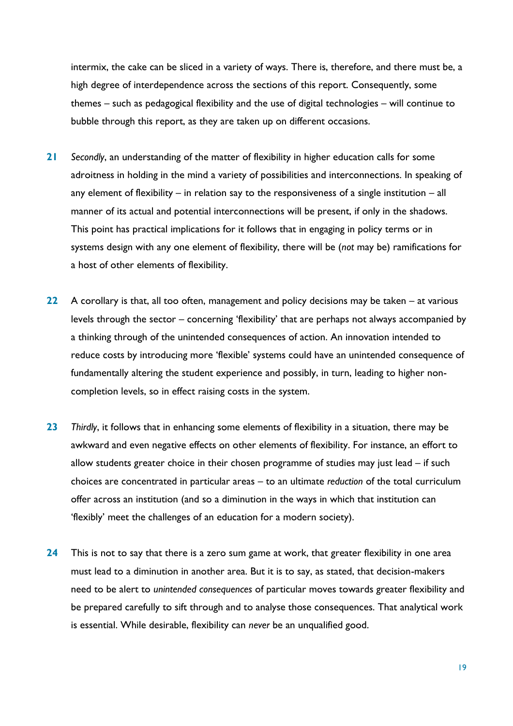intermix, the cake can be sliced in a variety of ways. There is, therefore, and there must be, a high degree of interdependence across the sections of this report. Consequently, some themes – such as pedagogical flexibility and the use of digital technologies – will continue to bubble through this report, as they are taken up on different occasions.

- **21** *Secondly*, an understanding of the matter of flexibility in higher education calls for some adroitness in holding in the mind a variety of possibilities and interconnections. In speaking of any element of flexibility – in relation say to the responsiveness of a single institution – all manner of its actual and potential interconnections will be present, if only in the shadows. This point has practical implications for it follows that in engaging in policy terms or in systems design with any one element of flexibility, there will be (*not* may be) ramifications for a host of other elements of flexibility.
- **22** A corollary is that, all too often, management and policy decisions may be taken at various levels through the sector – concerning 'flexibility' that are perhaps not always accompanied by a thinking through of the unintended consequences of action. An innovation intended to reduce costs by introducing more 'flexible' systems could have an unintended consequence of fundamentally altering the student experience and possibly, in turn, leading to higher noncompletion levels, so in effect raising costs in the system.
- **23** *Thirdly*, it follows that in enhancing some elements of flexibility in a situation, there may be awkward and even negative effects on other elements of flexibility. For instance, an effort to allow students greater choice in their chosen programme of studies may just lead – if such choices are concentrated in particular areas – to an ultimate *reduction* of the total curriculum offer across an institution (and so a diminution in the ways in which that institution can 'flexibly' meet the challenges of an education for a modern society).
- **24** This is not to say that there is a zero sum game at work, that greater flexibility in one area must lead to a diminution in another area. But it is to say, as stated, that decision-makers need to be alert to *unintended consequences* of particular moves towards greater flexibility and be prepared carefully to sift through and to analyse those consequences. That analytical work is essential. While desirable, flexibility can *never* be an unqualified good.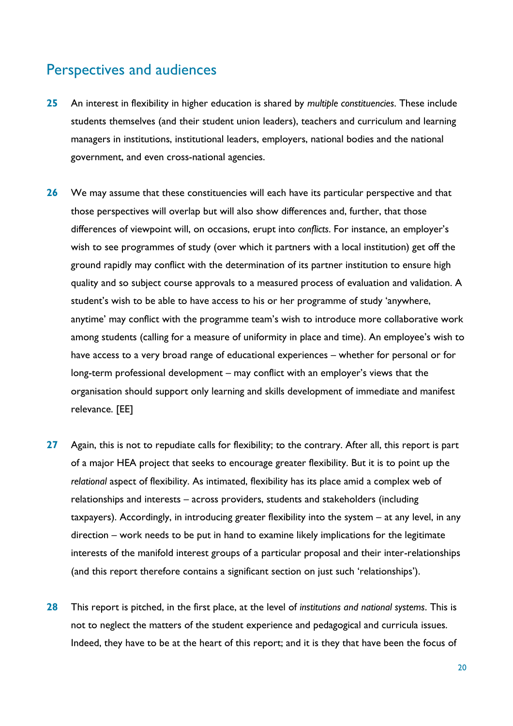### <span id="page-19-0"></span>Perspectives and audiences

- **25** An interest in flexibility in higher education is shared by *multiple constituencies*. These include students themselves (and their student union leaders), teachers and curriculum and learning managers in institutions, institutional leaders, employers, national bodies and the national government, and even cross-national agencies.
- **26** We may assume that these constituencies will each have its particular perspective and that those perspectives will overlap but will also show differences and, further, that those differences of viewpoint will, on occasions, erupt into *conflicts*. For instance, an employer's wish to see programmes of study (over which it partners with a local institution) get off the ground rapidly may conflict with the determination of its partner institution to ensure high quality and so subject course approvals to a measured process of evaluation and validation. A student's wish to be able to have access to his or her programme of study 'anywhere, anytime' may conflict with the programme team's wish to introduce more collaborative work among students (calling for a measure of uniformity in place and time). An employee's wish to have access to a very broad range of educational experiences – whether for personal or for long-term professional development – may conflict with an employer's views that the organisation should support only learning and skills development of immediate and manifest relevance. [EE]
- **27** Again, this is not to repudiate calls for flexibility; to the contrary. After all, this report is part of a major HEA project that seeks to encourage greater flexibility. But it is to point up the *relational* aspect of flexibility. As intimated, flexibility has its place amid a complex web of relationships and interests – across providers, students and stakeholders (including taxpayers). Accordingly, in introducing greater flexibility into the system – at any level, in any direction – work needs to be put in hand to examine likely implications for the legitimate interests of the manifold interest groups of a particular proposal and their inter-relationships (and this report therefore contains a significant section on just such 'relationships').
- **28** This report is pitched, in the first place, at the level of *institutions and national systems*. This is not to neglect the matters of the student experience and pedagogical and curricula issues. Indeed, they have to be at the heart of this report; and it is they that have been the focus of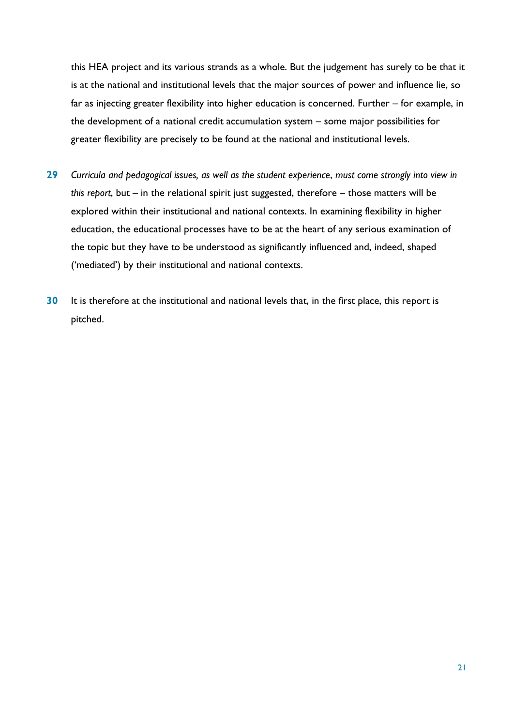this HEA project and its various strands as a whole. But the judgement has surely to be that it is at the national and institutional levels that the major sources of power and influence lie, so far as injecting greater flexibility into higher education is concerned. Further – for example, in the development of a national credit accumulation system – some major possibilities for greater flexibility are precisely to be found at the national and institutional levels.

- **29** *Curricula and pedagogical issues, as well as the student experience*, *must come strongly into view in this report*, but – in the relational spirit just suggested, therefore – those matters will be explored within their institutional and national contexts. In examining flexibility in higher education, the educational processes have to be at the heart of any serious examination of the topic but they have to be understood as significantly influenced and, indeed, shaped ('mediated') by their institutional and national contexts.
- **30** It is therefore at the institutional and national levels that, in the first place, this report is pitched.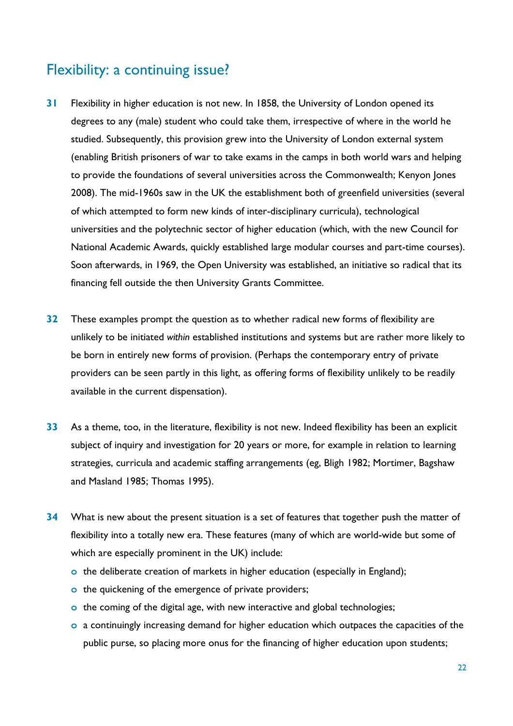# <span id="page-21-0"></span>Flexibility: a continuing issue?

- **31** Flexibility in higher education is not new. In 1858, the University of London opened its degrees to any (male) student who could take them, irrespective of where in the world he studied. Subsequently, this provision grew into the University of London external system (enabling British prisoners of war to take exams in the camps in both world wars and helping to provide the foundations of several universities across the Commonwealth; Kenyon Jones 2008). The mid-1960s saw in the UK the establishment both of greenfield universities (several of which attempted to form new kinds of inter-disciplinary curricula), technological universities and the polytechnic sector of higher education (which, with the new Council for National Academic Awards, quickly established large modular courses and part-time courses). Soon afterwards, in 1969, the Open University was established, an initiative so radical that its financing fell outside the then University Grants Committee.
- **32** These examples prompt the question as to whether radical new forms of flexibility are unlikely to be initiated *within* established institutions and systems but are rather more likely to be born in entirely new forms of provision. (Perhaps the contemporary entry of private providers can be seen partly in this light, as offering forms of flexibility unlikely to be readily available in the current dispensation).
- **33** As a theme, too, in the literature, flexibility is not new. Indeed flexibility has been an explicit subject of inquiry and investigation for 20 years or more, for example in relation to learning strategies, curricula and academic staffing arrangements (eg, Bligh 1982; Mortimer, Bagshaw and Masland 1985; Thomas 1995).
- **34** What is new about the present situation is a set of features that together push the matter of flexibility into a totally new era. These features (many of which are world-wide but some of which are especially prominent in the UK) include:
	- **o** the deliberate creation of markets in higher education (especially in England);
	- **o** the quickening of the emergence of private providers;
	- **o** the coming of the digital age, with new interactive and global technologies;
	- **o** a continuingly increasing demand for higher education which outpaces the capacities of the public purse, so placing more onus for the financing of higher education upon students;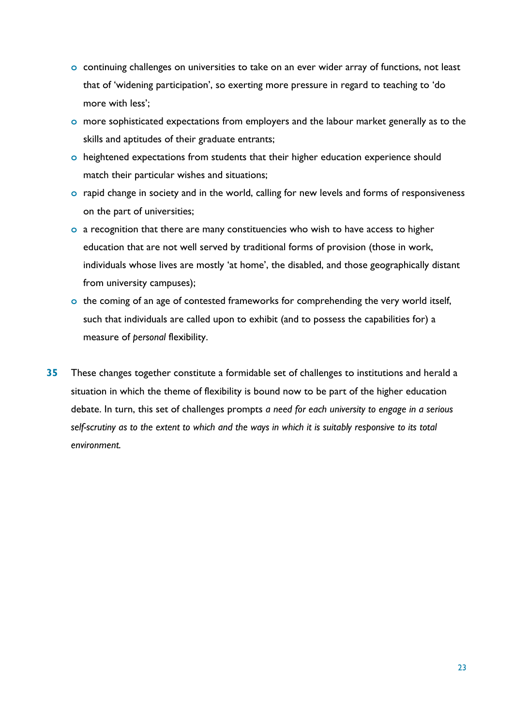- **o** continuing challenges on universities to take on an ever wider array of functions, not least that of 'widening participation', so exerting more pressure in regard to teaching to 'do more with less';
- **o** more sophisticated expectations from employers and the labour market generally as to the skills and aptitudes of their graduate entrants;
- **o** heightened expectations from students that their higher education experience should match their particular wishes and situations;
- **o** rapid change in society and in the world, calling for new levels and forms of responsiveness on the part of universities;
- **o** a recognition that there are many constituencies who wish to have access to higher education that are not well served by traditional forms of provision (those in work, individuals whose lives are mostly 'at home', the disabled, and those geographically distant from university campuses);
- **o** the coming of an age of contested frameworks for comprehending the very world itself, such that individuals are called upon to exhibit (and to possess the capabilities for) a measure of *personal* flexibility.
- **35** These changes together constitute a formidable set of challenges to institutions and herald a situation in which the theme of flexibility is bound now to be part of the higher education debate. In turn, this set of challenges prompts *a need for each university to engage in a serious self-scrutiny as to the extent to which and the ways in which it is suitably responsive to its total environment.*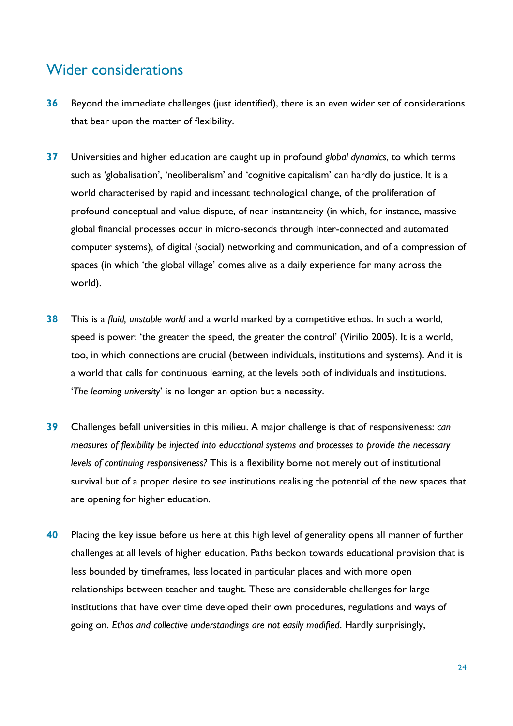### <span id="page-23-0"></span>Wider considerations

- **36** Beyond the immediate challenges (just identified), there is an even wider set of considerations that bear upon the matter of flexibility.
- **37** Universities and higher education are caught up in profound *global dynamics*, to which terms such as 'globalisation', 'neoliberalism' and 'cognitive capitalism' can hardly do justice. It is a world characterised by rapid and incessant technological change, of the proliferation of profound conceptual and value dispute, of near instantaneity (in which, for instance, massive global financial processes occur in micro-seconds through inter-connected and automated computer systems), of digital (social) networking and communication, and of a compression of spaces (in which 'the global village' comes alive as a daily experience for many across the world).
- **38** This is a *fluid, unstable world* and a world marked by a competitive ethos. In such a world, speed is power: 'the greater the speed, the greater the control' (Virilio 2005). It is a world, too, in which connections are crucial (between individuals, institutions and systems). And it is a world that calls for continuous learning, at the levels both of individuals and institutions. '*The learning university*' is no longer an option but a necessity.
- **39** Challenges befall universities in this milieu. A major challenge is that of responsiveness: *can measures of flexibility be injected into educational systems and processes to provide the necessary levels of continuing responsiveness?* This is a flexibility borne not merely out of institutional survival but of a proper desire to see institutions realising the potential of the new spaces that are opening for higher education.
- **40** Placing the key issue before us here at this high level of generality opens all manner of further challenges at all levels of higher education. Paths beckon towards educational provision that is less bounded by timeframes, less located in particular places and with more open relationships between teacher and taught. These are considerable challenges for large institutions that have over time developed their own procedures, regulations and ways of going on. *Ethos and collective understandings are not easily modified*. Hardly surprisingly,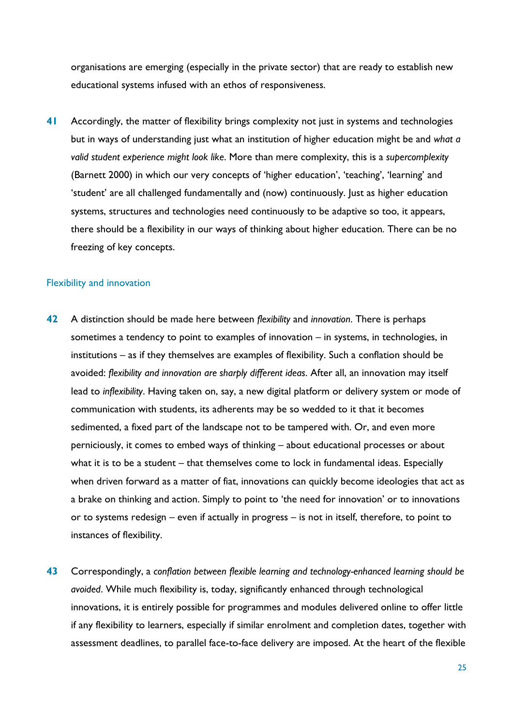organisations are emerging (especially in the private sector) that are ready to establish new educational systems infused with an ethos of responsiveness.

**41** Accordingly, the matter of flexibility brings complexity not just in systems and technologies but in ways of understanding just what an institution of higher education might be and *what a valid student experience might look like*. More than mere complexity, this is a *supercomplexity* (Barnett 2000) in which our very concepts of 'higher education', 'teaching', 'learning' and 'student' are all challenged fundamentally and (now) continuously. Just as higher education systems, structures and technologies need continuously to be adaptive so too, it appears, there should be a flexibility in our ways of thinking about higher education. There can be no freezing of key concepts.

#### Flexibility and innovation

- **42** A distinction should be made here between *flexibility* and *innovation*. There is perhaps sometimes a tendency to point to examples of innovation – in systems, in technologies, in institutions – as if they themselves are examples of flexibility. Such a conflation should be avoided: *flexibility and innovation are sharply different ideas*. After all, an innovation may itself lead to *inflexibility*. Having taken on, say, a new digital platform or delivery system or mode of communication with students, its adherents may be so wedded to it that it becomes sedimented, a fixed part of the landscape not to be tampered with. Or, and even more perniciously, it comes to embed ways of thinking – about educational processes or about what it is to be a student – that themselves come to lock in fundamental ideas. Especially when driven forward as a matter of fiat, innovations can quickly become ideologies that act as a brake on thinking and action. Simply to point to 'the need for innovation' or to innovations or to systems redesign – even if actually in progress – is not in itself, therefore, to point to instances of flexibility.
- **43** Correspondingly, a *conflation between flexible learning and technology-enhanced learning should be avoided*. While much flexibility is, today, significantly enhanced through technological innovations, it is entirely possible for programmes and modules delivered online to offer little if any flexibility to learners, especially if similar enrolment and completion dates, together with assessment deadlines, to parallel face-to-face delivery are imposed. At the heart of the flexible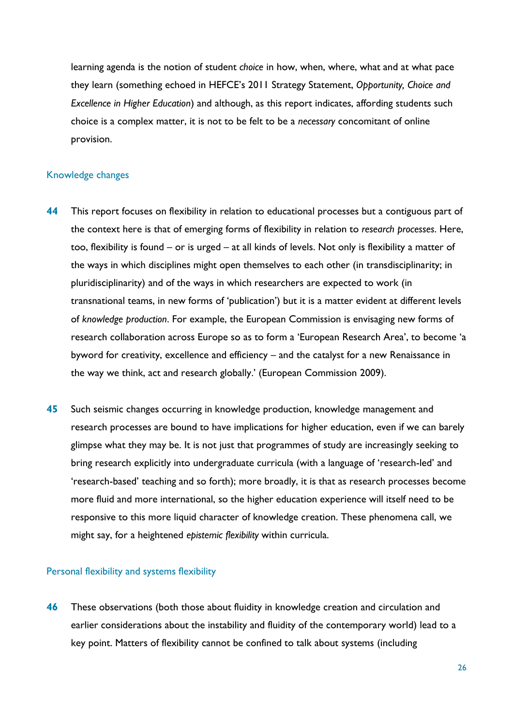learning agenda is the notion of student *choice* in how, when, where, what and at what pace they learn (something echoed in HEFCE's 2011 Strategy Statement, Opportunity, Choice and *Excellence in Higher Education*) and although, as this report indicates, affording students such choice is a complex matter, it is not to be felt to be a *necessary* concomitant of online provision.

#### Knowledge changes

- **44** This report focuses on flexibility in relation to educational processes but a contiguous part of the context here is that of emerging forms of flexibility in relation to *research processes*. Here, too, flexibility is found – or is urged – at all kinds of levels. Not only is flexibility a matter of the ways in which disciplines might open themselves to each other (in transdisciplinarity; in pluridisciplinarity) and of the ways in which researchers are expected to work (in transnational teams, in new forms of 'publication') but it is a matter evident at different levels of *knowledge production*. For example, the European Commission is envisaging new forms of research collaboration across Europe so as to form a 'European Research Area', to become 'a byword for creativity, excellence and efficiency – and the catalyst for a new Renaissance in the way we think, act and research globally.' (European Commission 2009).
- **45** Such seismic changes occurring in knowledge production, knowledge management and research processes are bound to have implications for higher education, even if we can barely glimpse what they may be. It is not just that programmes of study are increasingly seeking to bring research explicitly into undergraduate curricula (with a language of 'research-led' and 'research-based' teaching and so forth); more broadly, it is that as research processes become more fluid and more international, so the higher education experience will itself need to be responsive to this more liquid character of knowledge creation. These phenomena call, we might say, for a heightened *epistemic flexibility* within curricula.

#### Personal flexibility and systems flexibility

**46** These observations (both those about fluidity in knowledge creation and circulation and earlier considerations about the instability and fluidity of the contemporary world) lead to a key point. Matters of flexibility cannot be confined to talk about systems (including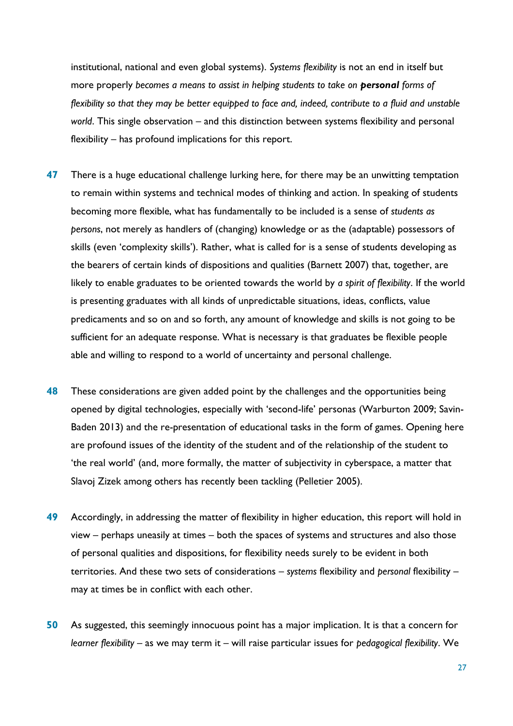institutional, national and even global systems). *Systems flexibility* is not an end in itself but more properly *becomes a means to assist in helping students to take on personal forms of flexibility so that they may be better equipped to face and, indeed, contribute to a fluid and unstable world*. This single observation – and this distinction between systems flexibility and personal flexibility – has profound implications for this report.

- **47** There is a huge educational challenge lurking here, for there may be an unwitting temptation to remain within systems and technical modes of thinking and action. In speaking of students becoming more flexible, what has fundamentally to be included is a sense of *students as persons*, not merely as handlers of (changing) knowledge or as the (adaptable) possessors of skills (even 'complexity skills'). Rather, what is called for is a sense of students developing as the bearers of certain kinds of dispositions and qualities (Barnett 2007) that, together, are likely to enable graduates to be oriented towards the world by *a spirit of flexibility*. If the world is presenting graduates with all kinds of unpredictable situations, ideas, conflicts, value predicaments and so on and so forth, any amount of knowledge and skills is not going to be sufficient for an adequate response. What is necessary is that graduates be flexible people able and willing to respond to a world of uncertainty and personal challenge.
- **48** These considerations are given added point by the challenges and the opportunities being opened by digital technologies, especially with 'second-life' personas (Warburton 2009; Savin-Baden 2013) and the re-presentation of educational tasks in the form of games. Opening here are profound issues of the identity of the student and of the relationship of the student to 'the real world' (and, more formally, the matter of subjectivity in cyberspace, a matter that Slavoj Zizek among others has recently been tackling (Pelletier 2005).
- **49** Accordingly, in addressing the matter of flexibility in higher education, this report will hold in view – perhaps uneasily at times – both the spaces of systems and structures and also those of personal qualities and dispositions, for flexibility needs surely to be evident in both territories. And these two sets of considerations – *systems* flexibility and *personal* flexibility – may at times be in conflict with each other.
- **50** As suggested, this seemingly innocuous point has a major implication. It is that a concern for *learner flexibility* – as we may term it – will raise particular issues for *pedagogical flexibility*. We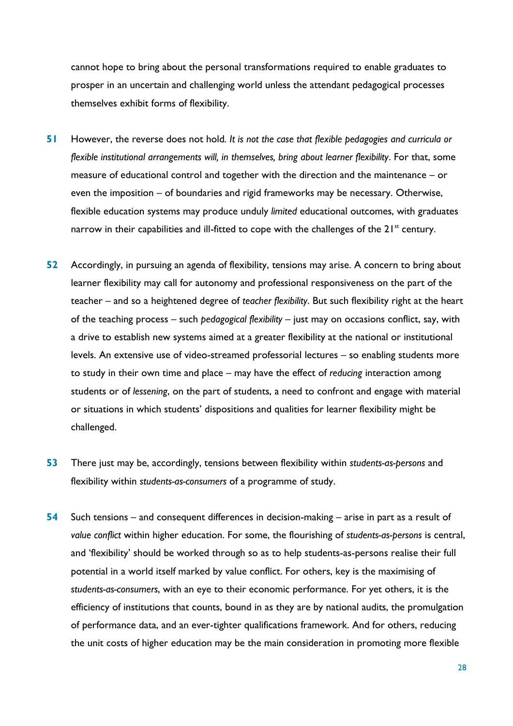cannot hope to bring about the personal transformations required to enable graduates to prosper in an uncertain and challenging world unless the attendant pedagogical processes themselves exhibit forms of flexibility.

- **51** However, the reverse does not hold*. It is not the case that flexible pedagogies and curricula or flexible institutional arrangements will, in themselves, bring about learner flexibility*. For that, some measure of educational control and together with the direction and the maintenance – or even the imposition – of boundaries and rigid frameworks may be necessary. Otherwise, flexible education systems may produce unduly *limited* educational outcomes, with graduates narrow in their capabilities and ill-fitted to cope with the challenges of the  $21^{st}$  century.
- **52** Accordingly, in pursuing an agenda of flexibility, tensions may arise. A concern to bring about learner flexibility may call for autonomy and professional responsiveness on the part of the teacher – and so a heightened degree of *teacher flexibility*. But such flexibility right at the heart of the teaching process – such *pedagogical flexibility* – just may on occasions conflict, say, with a drive to establish new systems aimed at a greater flexibility at the national or institutional levels. An extensive use of video-streamed professorial lectures – so enabling students more to study in their own time and place – may have the effect of *reducing* interaction among students or of *lessening*, on the part of students, a need to confront and engage with material or situations in which students' dispositions and qualities for learner flexibility might be challenged.
- **53** There just may be, accordingly, tensions between flexibility within *students-as-persons* and flexibility within *students-as-consumers* of a programme of study.
- **54** Such tensions and consequent differences in decision-making arise in part as a result of *value conflict* within higher education. For some, the flourishing of *students-as-persons* is central, and 'flexibility' should be worked through so as to help students-as-persons realise their full potential in a world itself marked by value conflict. For others, key is the maximising of *students-as-consumers*, with an eye to their economic performance. For yet others, it is the efficiency of institutions that counts, bound in as they are by national audits, the promulgation of performance data, and an ever-tighter qualifications framework. And for others, reducing the unit costs of higher education may be the main consideration in promoting more flexible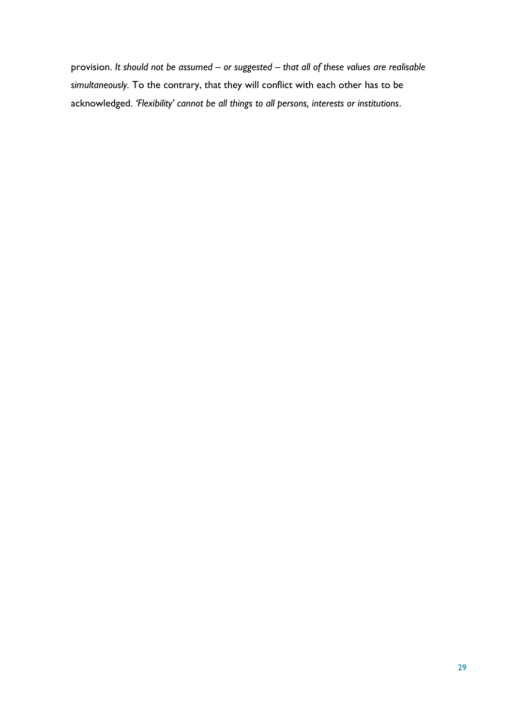provision. *It should not be assumed – or suggested – that all of these values are realisable simultaneously.* To the contrary, that they will conflict with each other has to be acknowledged. *'Flexibility' cannot be all things to all persons, interests or institutions*.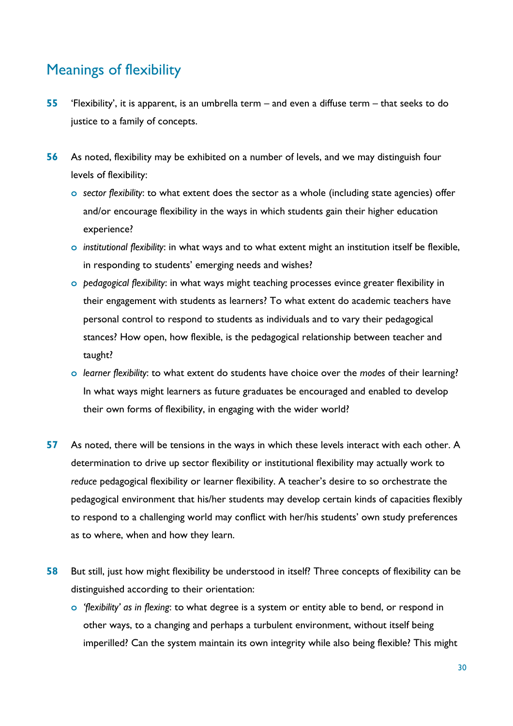# <span id="page-29-0"></span>Meanings of flexibility

- **55** 'Flexibility', it is apparent, is an umbrella term and even a diffuse term that seeks to do justice to a family of concepts.
- **56** As noted, flexibility may be exhibited on a number of levels, and we may distinguish four levels of flexibility:
	- **o** *sector flexibility*: to what extent does the sector as a whole (including state agencies) offer and/or encourage flexibility in the ways in which students gain their higher education experience?
	- **o** *institutional flexibility*: in what ways and to what extent might an institution itself be flexible, in responding to students' emerging needs and wishes?
	- **o** *pedagogical flexibility*: in what ways might teaching processes evince greater flexibility in their engagement with students as learners? To what extent do academic teachers have personal control to respond to students as individuals and to vary their pedagogical stances? How open, how flexible, is the pedagogical relationship between teacher and taught?
	- **o** *learner flexibility*: to what extent do students have choice over the *modes* of their learning? In what ways might learners as future graduates be encouraged and enabled to develop their own forms of flexibility, in engaging with the wider world?
- **57** As noted, there will be tensions in the ways in which these levels interact with each other. A determination to drive up sector flexibility or institutional flexibility may actually work to *reduce* pedagogical flexibility or learner flexibility. A teacher's desire to so orchestrate the pedagogical environment that his/her students may develop certain kinds of capacities flexibly to respond to a challenging world may conflict with her/his students' own study preferences as to where, when and how they learn.
- **58** But still, just how might flexibility be understood in itself? Three concepts of flexibility can be distinguished according to their orientation:
	- **o** *'flexibility' as in flexing*: to what degree is a system or entity able to bend, or respond in other ways, to a changing and perhaps a turbulent environment, without itself being imperilled? Can the system maintain its own integrity while also being flexible? This might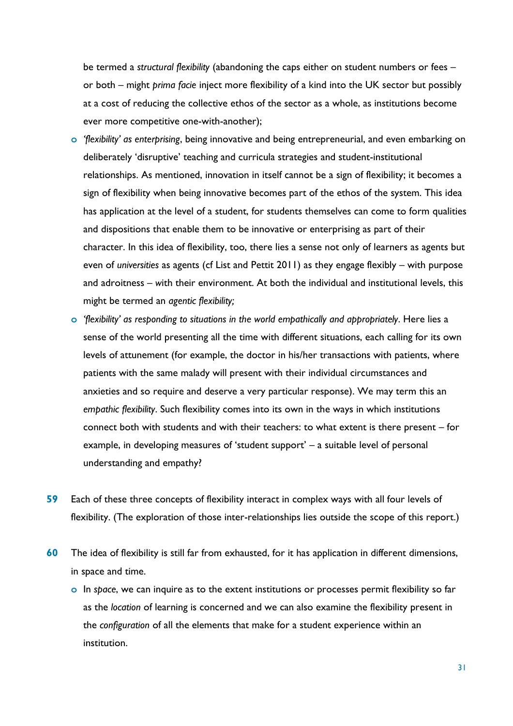be termed a *structural flexibility* (abandoning the caps either on student numbers or fees – or both – might *prima facie* inject more flexibility of a kind into the UK sector but possibly at a cost of reducing the collective ethos of the sector as a whole, as institutions become ever more competitive one-with-another);

- **o** *'flexibility' as enterprising*, being innovative and being entrepreneurial, and even embarking on deliberately 'disruptive' teaching and curricula strategies and student-institutional relationships. As mentioned, innovation in itself cannot be a sign of flexibility; it becomes a sign of flexibility when being innovative becomes part of the ethos of the system. This idea has application at the level of a student, for students themselves can come to form qualities and dispositions that enable them to be innovative or enterprising as part of their character. In this idea of flexibility, too, there lies a sense not only of learners as agents but even of *universities* as agents (cf List and Pettit 2011) as they engage flexibly – with purpose and adroitness – *w*ith their environment. At both the individual and institutional levels, this might be termed an *agentic flexibility;*
- **o** *'flexibility' as responding to situations in the world empathically and appropriately*. Here lies a sense of the world presenting all the time with different situations, each calling for its own levels of attunement (for example, the doctor in his/her transactions with patients, where patients with the same malady will present with their individual circumstances and anxieties and so require and deserve a very particular response). We may term this an *empathic flexibility*. Such flexibility comes into its own in the ways in which institutions connect both with students and with their teachers: to what extent is there present – for example, in developing measures of 'student support' – a suitable level of personal understanding and empathy?
- **59** Each of these three concepts of flexibility interact in complex ways with all four levels of flexibility. (The exploration of those inter-relationships lies outside the scope of this report.)
- **60** The idea of flexibility is still far from exhausted, for it has application in different dimensions, in space and time.
	- **o** In *space*, we can inquire as to the extent institutions or processes permit flexibility so far as the *location* of learning is concerned and we can also examine the flexibility present in the *configuration* of all the elements that make for a student experience within an institution.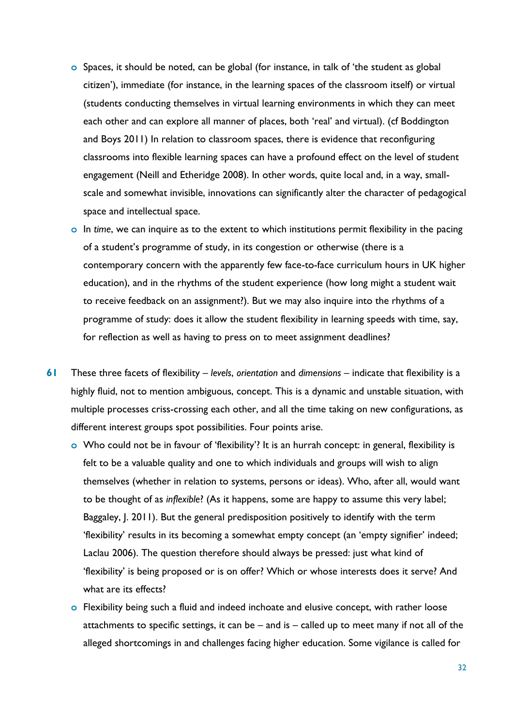- **o** Spaces, it should be noted, can be global (for instance, in talk of 'the student as global citizen'), immediate (for instance, in the learning spaces of the classroom itself) or virtual (students conducting themselves in virtual learning environments in which they can meet each other and can explore all manner of places, both 'real' and virtual). (cf Boddington and Boys 2011) In relation to classroom spaces, there is evidence that reconfiguring classrooms into flexible learning spaces can have a profound effect on the level of student engagement (Neill and Etheridge 2008). In other words, quite local and, in a way, smallscale and somewhat invisible, innovations can significantly alter the character of pedagogical space and intellectual space.
- **o** In *time*, we can inquire as to the extent to which institutions permit flexibility in the pacing of a student's programme of study, in its congestion or otherwise (there is a contemporary concern with the apparently few face-to-face curriculum hours in UK higher education), and in the rhythms of the student experience (how long might a student wait to receive feedback on an assignment?). But we may also inquire into the rhythms of a programme of study: does it allow the student flexibility in learning speeds with time, say, for reflection as well as having to press on to meet assignment deadlines?
- **61** These three facets of flexibility *levels*, *orientation* and *dimensions* indicate that flexibility is a highly fluid, not to mention ambiguous, concept. This is a dynamic and unstable situation, with multiple processes criss-crossing each other, and all the time taking on new configurations, as different interest groups spot possibilities. Four points arise.
	- **o** Who could not be in favour of 'flexibility'? It is an hurrah concept: in general, flexibility is felt to be a valuable quality and one to which individuals and groups will wish to align themselves (whether in relation to systems, persons or ideas). Who, after all, would want to be thought of as *inflexible*? (As it happens, some are happy to assume this very label; Baggaley, J. 2011). But the general predisposition positively to identify with the term 'flexibility' results in its becoming a somewhat empty concept (an 'empty signifier' indeed; Laclau 2006). The question therefore should always be pressed: just what kind of 'flexibility' is being proposed or is on offer? Which or whose interests does it serve? And what are its effects?
	- **o** Flexibility being such a fluid and indeed inchoate and elusive concept, with rather loose attachments to specific settings, it can be – and is – called up to meet many if not all of the alleged shortcomings in and challenges facing higher education. Some vigilance is called for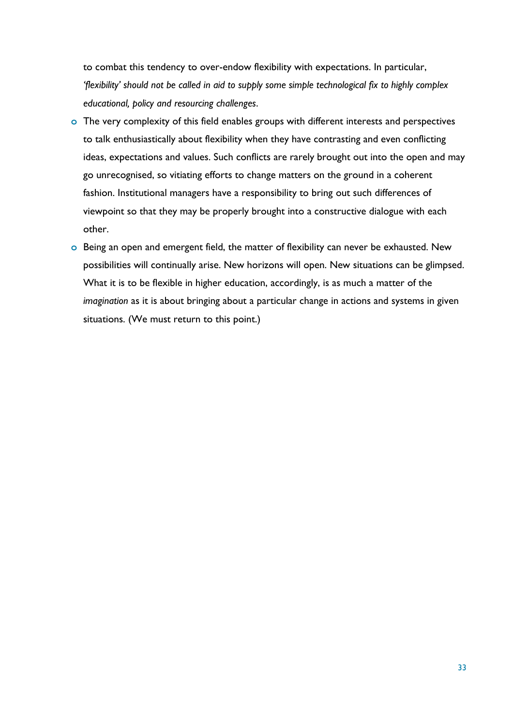to combat this tendency to over-endow flexibility with expectations. In particular, *'flexibility' should not be called in aid to supply some simple technological fix to highly complex educational, policy and resourcing challenges*.

- **o** The very complexity of this field enables groups with different interests and perspectives to talk enthusiastically about flexibility when they have contrasting and even conflicting ideas, expectations and values. Such conflicts are rarely brought out into the open and may go unrecognised, so vitiating efforts to change matters on the ground in a coherent fashion. Institutional managers have a responsibility to bring out such differences of viewpoint so that they may be properly brought into a constructive dialogue with each other.
- **o** Being an open and emergent field, the matter of flexibility can never be exhausted. New possibilities will continually arise. New horizons will open. New situations can be glimpsed. What it is to be flexible in higher education, accordingly, is as much a matter of the *imagination* as it is about bringing about a particular change in actions and systems in given situations. (We must return to this point.)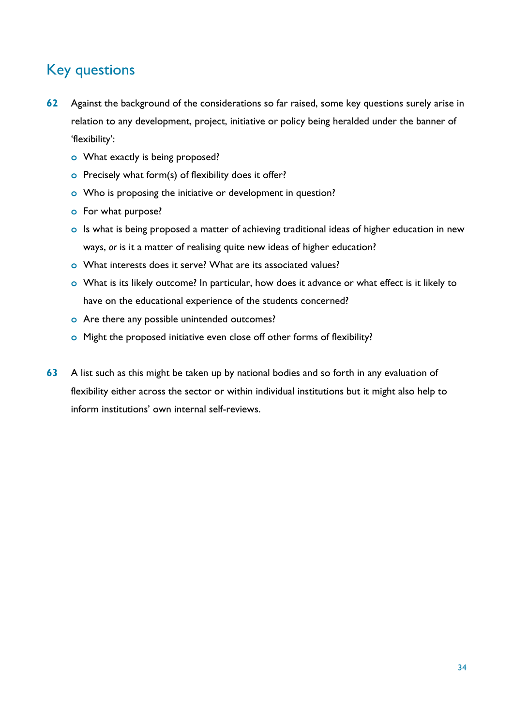# <span id="page-33-0"></span>Key questions

- **62** Against the background of the considerations so far raised, some key questions surely arise in relation to any development, project, initiative or policy being heralded under the banner of 'flexibility':
	- **o** What exactly is being proposed?
	- **o** Precisely what form(s) of flexibility does it offer?
	- **o** Who is proposing the initiative or development in question?
	- **o** For what purpose?
	- **o** Is what is being proposed a matter of achieving traditional ideas of higher education in new ways, *or* is it a matter of realising quite new ideas of higher education?
	- **o** What interests does it serve? What are its associated values?
	- **o** What is its likely outcome? In particular, how does it advance or what effect is it likely to have on the educational experience of the students concerned?
	- **o** Are there any possible unintended outcomes?
	- **o** Might the proposed initiative even close off other forms of flexibility?
- **63** A list such as this might be taken up by national bodies and so forth in any evaluation of flexibility either across the sector or within individual institutions but it might also help to inform institutions' own internal self-reviews.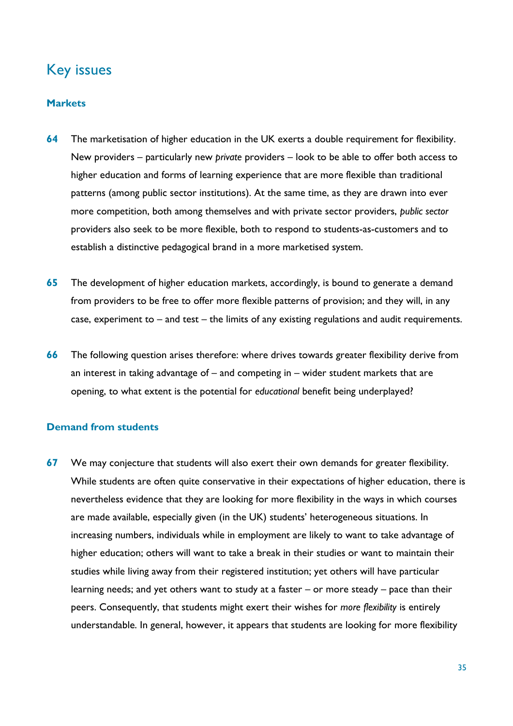## <span id="page-34-0"></span>Key issues

### <span id="page-34-1"></span>**Markets**

- **64** The marketisation of higher education in the UK exerts a double requirement for flexibility. New providers – particularly new *private* providers – look to be able to offer both access to higher education and forms of learning experience that are more flexible than traditional patterns (among public sector institutions). At the same time, as they are drawn into ever more competition, both among themselves and with private sector providers, *public sector* providers also seek to be more flexible, both to respond to students-as-customers and to establish a distinctive pedagogical brand in a more marketised system.
- **65** The development of higher education markets, accordingly, is bound to generate a demand from providers to be free to offer more flexible patterns of provision; and they will, in any case, experiment to – and test – the limits of any existing regulations and audit requirements.
- **66** The following question arises therefore: where drives towards greater flexibility derive from an interest in taking advantage of – and competing in – wider student markets that are opening, to what extent is the potential for *educational* benefit being underplayed?

### <span id="page-34-2"></span>**Demand from students**

**67** We may conjecture that students will also exert their own demands for greater flexibility. While students are often quite conservative in their expectations of higher education, there is nevertheless evidence that they are looking for more flexibility in the ways in which courses are made available, especially given (in the UK) students' heterogeneous situations. In increasing numbers, individuals while in employment are likely to want to take advantage of higher education; others will want to take a break in their studies or want to maintain their studies while living away from their registered institution; yet others will have particular learning needs; and yet others want to study at a faster – or more steady – pace than their peers. Consequently, that students might exert their wishes for *more flexibility* is entirely understandable. In general, however, it appears that students are looking for more flexibility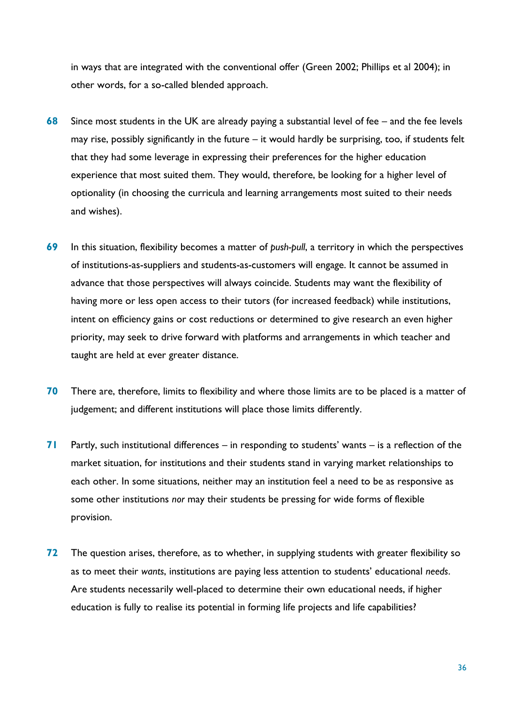in ways that are integrated with the conventional offer (Green 2002; Phillips et al 2004); in other words, for a so-called blended approach.

- **68** Since most students in the UK are already paying a substantial level of fee and the fee levels may rise, possibly significantly in the future – it would hardly be surprising, too, if students felt that they had some leverage in expressing their preferences for the higher education experience that most suited them. They would, therefore, be looking for a higher level of optionality (in choosing the curricula and learning arrangements most suited to their needs and wishes).
- **69** In this situation, flexibility becomes a matter of *push-pull*, a territory in which the perspectives of institutions-as-suppliers and students-as-customers will engage. It cannot be assumed in advance that those perspectives will always coincide. Students may want the flexibility of having more or less open access to their tutors (for increased feedback) while institutions, intent on efficiency gains or cost reductions or determined to give research an even higher priority, may seek to drive forward with platforms and arrangements in which teacher and taught are held at ever greater distance.
- **70** There are, therefore, limits to flexibility and where those limits are to be placed is a matter of judgement; and different institutions will place those limits differently.
- **71** Partly, such institutional differences in responding to students' wants is a reflection of the market situation, for institutions and their students stand in varying market relationships to each other. In some situations, neither may an institution feel a need to be as responsive as some other institutions *nor* may their students be pressing for wide forms of flexible provision.
- **72** The question arises, therefore, as to whether, in supplying students with greater flexibility so as to meet their *wants*, institutions are paying less attention to students' educational *needs*. Are students necessarily well-placed to determine their own educational needs, if higher education is fully to realise its potential in forming life projects and life capabilities?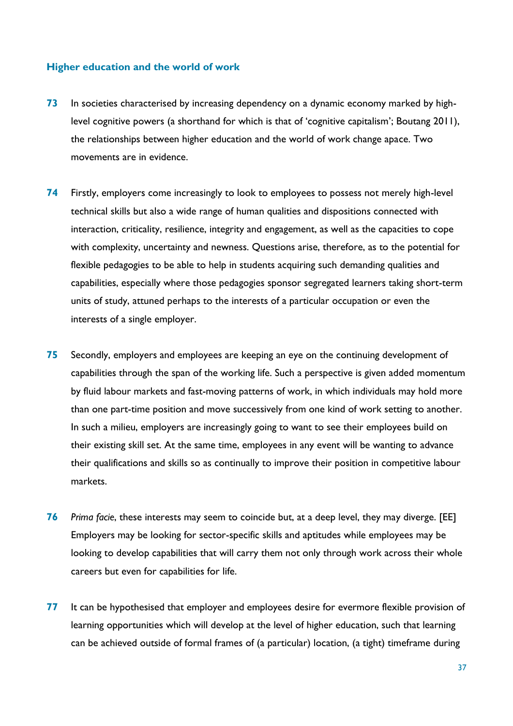### **Higher education and the world of work**

- **73** In societies characterised by increasing dependency on a dynamic economy marked by highlevel cognitive powers (a shorthand for which is that of 'cognitive capitalism'; Boutang 2011), the relationships between higher education and the world of work change apace. Two movements are in evidence.
- **74** Firstly, employers come increasingly to look to employees to possess not merely high-level technical skills but also a wide range of human qualities and dispositions connected with interaction, criticality, resilience, integrity and engagement, as well as the capacities to cope with complexity, uncertainty and newness. Questions arise, therefore, as to the potential for flexible pedagogies to be able to help in students acquiring such demanding qualities and capabilities, especially where those pedagogies sponsor segregated learners taking short-term units of study, attuned perhaps to the interests of a particular occupation or even the interests of a single employer.
- **75** Secondly, employers and employees are keeping an eye on the continuing development of capabilities through the span of the working life. Such a perspective is given added momentum by fluid labour markets and fast-moving patterns of work, in which individuals may hold more than one part-time position and move successively from one kind of work setting to another. In such a milieu, employers are increasingly going to want to see their employees build on their existing skill set. At the same time, employees in any event will be wanting to advance their qualifications and skills so as continually to improve their position in competitive labour markets.
- **76** *Prima facie*, these interests may seem to coincide but, at a deep level, they may diverge. [EE] Employers may be looking for sector-specific skills and aptitudes while employees may be looking to develop capabilities that will carry them not only through work across their whole careers but even for capabilities for life.
- **77** It can be hypothesised that employer and employees desire for evermore flexible provision of learning opportunities which will develop at the level of higher education, such that learning can be achieved outside of formal frames of (a particular) location, (a tight) timeframe during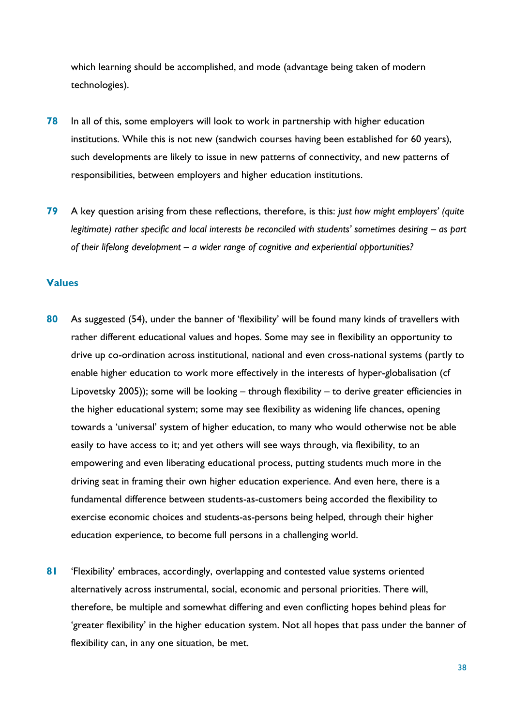which learning should be accomplished, and mode (advantage being taken of modern technologies).

- **78** In all of this, some employers will look to work in partnership with higher education institutions. While this is not new (sandwich courses having been established for 60 years), such developments are likely to issue in new patterns of connectivity, and new patterns of responsibilities, between employers and higher education institutions.
- **79** A key question arising from these reflections, therefore, is this: *just how might employers' (quite legitimate) rather specific and local interests be reconciled with students' sometimes desiring – as part of their lifelong development – a wider range of cognitive and experiential opportunities?*

### **Values**

- **80** As suggested (54), under the banner of 'flexibility' will be found many kinds of travellers with rather different educational values and hopes. Some may see in flexibility an opportunity to drive up co-ordination across institutional, national and even cross-national systems (partly to enable higher education to work more effectively in the interests of hyper-globalisation (cf Lipovetsky 2005)); some will be looking – through flexibility – to derive greater efficiencies in the higher educational system; some may see flexibility as widening life chances, opening towards a 'universal' system of higher education, to many who would otherwise not be able easily to have access to it; and yet others will see ways through, via flexibility, to an empowering and even liberating educational process, putting students much more in the driving seat in framing their own higher education experience. And even here, there is a fundamental difference between students-as-customers being accorded the flexibility to exercise economic choices and students-as-persons being helped, through their higher education experience, to become full persons in a challenging world.
- **81** 'Flexibility' embraces, accordingly, overlapping and contested value systems oriented alternatively across instrumental, social, economic and personal priorities. There will, therefore, be multiple and somewhat differing and even conflicting hopes behind pleas for 'greater flexibility' in the higher education system. Not all hopes that pass under the banner of flexibility can, in any one situation, be met.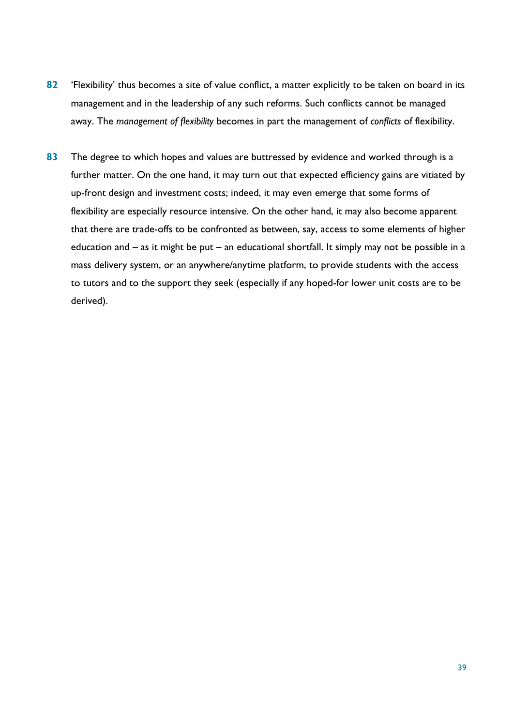- **82** 'Flexibility' thus becomes a site of value conflict, a matter explicitly to be taken on board in its management and in the leadership of any such reforms. Such conflicts cannot be managed away. The *management of flexibility* becomes in part the management of *conflicts* of flexibility.
- **83** The degree to which hopes and values are buttressed by evidence and worked through is a further matter. On the one hand, it may turn out that expected efficiency gains are vitiated by up-front design and investment costs; indeed, it may even emerge that some forms of flexibility are especially resource intensive. On the other hand, it may also become apparent that there are trade-offs to be confronted as between, say, access to some elements of higher education and – as it might be put – an educational shortfall. It simply may not be possible in a mass delivery system, or an anywhere/anytime platform, to provide students with the access to tutors and to the support they seek (especially if any hoped-for lower unit costs are to be derived).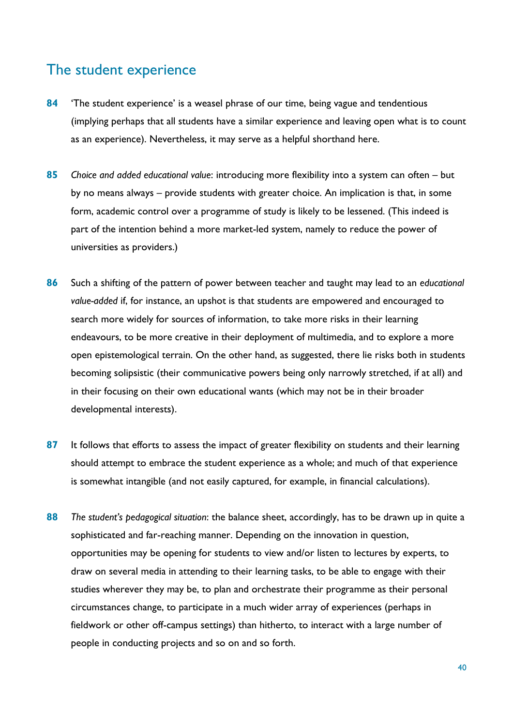### The student experience

- **84** 'The student experience' is a weasel phrase of our time, being vague and tendentious (implying perhaps that all students have a similar experience and leaving open what is to count as an experience). Nevertheless, it may serve as a helpful shorthand here.
- **85** *Choice and added educational value*: introducing more flexibility into a system can often but by no means always – provide students with greater choice. An implication is that, in some form, academic control over a programme of study is likely to be lessened. (This indeed is part of the intention behind a more market-led system, namely to reduce the power of universities as providers.)
- **86** Such a shifting of the pattern of power between teacher and taught may lead to an *educational value-added* if, for instance, an upshot is that students are empowered and encouraged to search more widely for sources of information, to take more risks in their learning endeavours, to be more creative in their deployment of multimedia, and to explore a more open epistemological terrain. On the other hand, as suggested, there lie risks both in students becoming solipsistic (their communicative powers being only narrowly stretched, if at all) and in their focusing on their own educational wants (which may not be in their broader developmental interests).
- **87** It follows that efforts to assess the impact of greater flexibility on students and their learning should attempt to embrace the student experience as a whole; and much of that experience is somewhat intangible (and not easily captured, for example, in financial calculations).
- **88** *The student's pedagogical situation*: the balance sheet, accordingly, has to be drawn up in quite a sophisticated and far-reaching manner. Depending on the innovation in question, opportunities may be opening for students to view and/or listen to lectures by experts, to draw on several media in attending to their learning tasks, to be able to engage with their studies wherever they may be, to plan and orchestrate their programme as their personal circumstances change, to participate in a much wider array of experiences (perhaps in fieldwork or other off-campus settings) than hitherto, to interact with a large number of people in conducting projects and so on and so forth.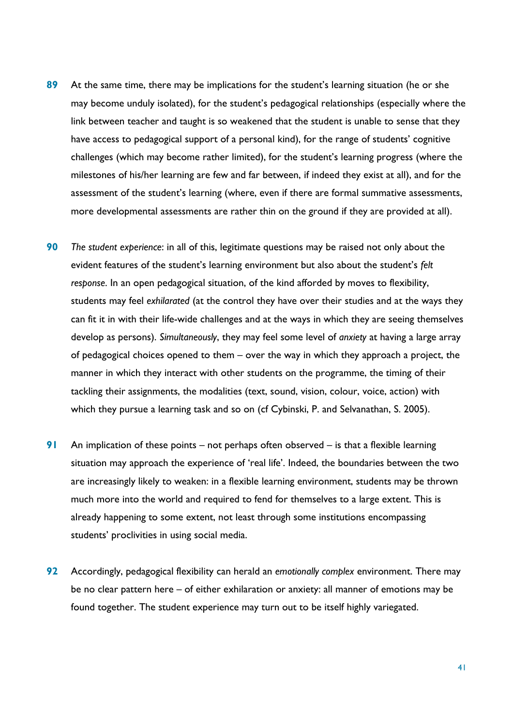- **89** At the same time, there may be implications for the student's learning situation (he or she may become unduly isolated), for the student's pedagogical relationships (especially where the link between teacher and taught is so weakened that the student is unable to sense that they have access to pedagogical support of a personal kind), for the range of students' cognitive challenges (which may become rather limited), for the student's learning progress (where the milestones of his/her learning are few and far between, if indeed they exist at all), and for the assessment of the student's learning (where, even if there are formal summative assessments, more developmental assessments are rather thin on the ground if they are provided at all).
- **90** *The student experience*: in all of this, legitimate questions may be raised not only about the evident features of the student's learning environment but also about the student's *felt response*. In an open pedagogical situation, of the kind afforded by moves to flexibility, students may feel *exhilarated* (at the control they have over their studies and at the ways they can fit it in with their life-wide challenges and at the ways in which they are seeing themselves develop as persons). *Simultaneously*, they may feel some level of *anxiety* at having a large array of pedagogical choices opened to them – over the way in which they approach a project, the manner in which they interact with other students on the programme, the timing of their tackling their assignments, the modalities (text, sound, vision, colour, voice, action) with which they pursue a learning task and so on (cf Cybinski, P. and Selvanathan, S. 2005).
- **91** An implication of these points not perhaps often observed is that a flexible learning situation may approach the experience of 'real life'. Indeed, the boundaries between the two are increasingly likely to weaken: in a flexible learning environment, students may be thrown much more into the world and required to fend for themselves to a large extent. This is already happening to some extent, not least through some institutions encompassing students' proclivities in using social media.
- **92** Accordingly, pedagogical flexibility can herald an *emotionally complex* environment. There may be no clear pattern here – of either exhilaration or anxiety: all manner of emotions may be found together. The student experience may turn out to be itself highly variegated.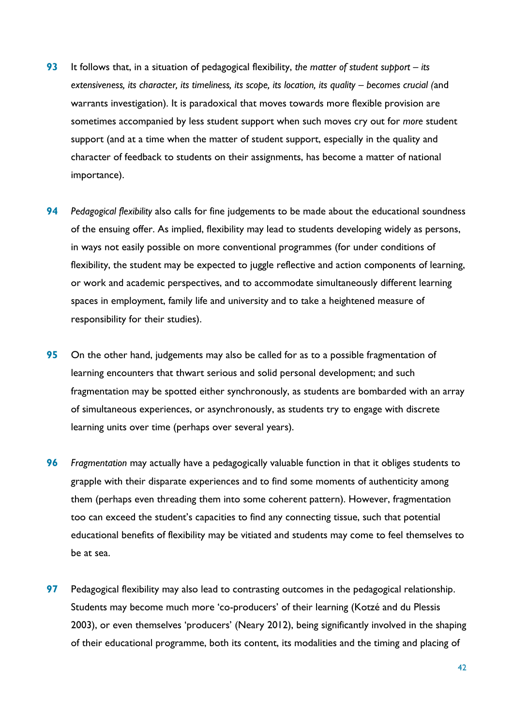- **93** It follows that, in a situation of pedagogical flexibility, *the matter of student support – its extensiveness, its character, its timeliness, its scope, its location, its quality – becomes crucial (and* warrants investigation). It is paradoxical that moves towards more flexible provision are sometimes accompanied by less student support when such moves cry out for *more* student support (and at a time when the matter of student support, especially in the quality and character of feedback to students on their assignments, has become a matter of national importance).
- **94** *Pedagogical flexibility* also calls for fine judgements to be made about the educational soundness of the ensuing offer. As implied, flexibility may lead to students developing widely as persons, in ways not easily possible on more conventional programmes (for under conditions of flexibility, the student may be expected to juggle reflective and action components of learning, or work and academic perspectives, and to accommodate simultaneously different learning spaces in employment, family life and university and to take a heightened measure of responsibility for their studies).
- **95** On the other hand, judgements may also be called for as to a possible fragmentation of learning encounters that thwart serious and solid personal development; and such fragmentation may be spotted either synchronously, as students are bombarded with an array of simultaneous experiences, or asynchronously, as students try to engage with discrete learning units over time (perhaps over several years).
- **96** *Fragmentation* may actually have a pedagogically valuable function in that it obliges students to grapple with their disparate experiences and to find some moments of authenticity among them (perhaps even threading them into some coherent pattern). However, fragmentation too can exceed the student's capacities to find any connecting tissue, such that potential educational benefits of flexibility may be vitiated and students may come to feel themselves to be at sea.
- **97** Pedagogical flexibility may also lead to contrasting outcomes in the pedagogical relationship. Students may become much more 'co-producers' of their learning (Kotzé and du Plessis 2003), or even themselves 'producers' (Neary 2012), being significantly involved in the shaping of their educational programme, both its content, its modalities and the timing and placing of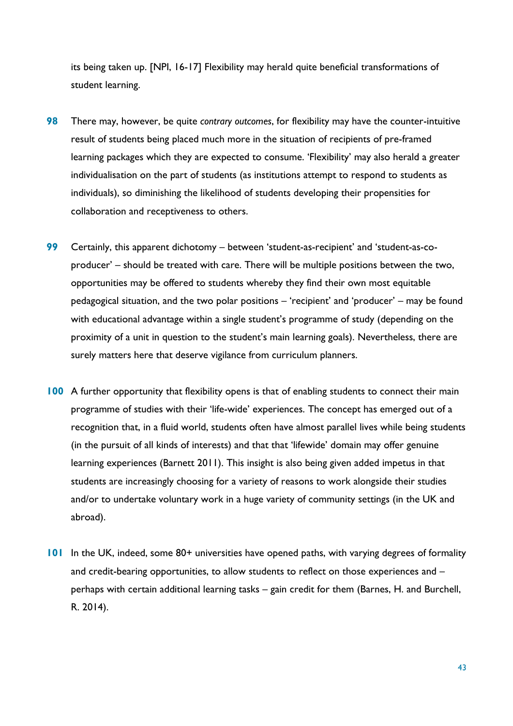its being taken up. [NPI, 16-17] Flexibility may herald quite beneficial transformations of student learning.

- **98** There may, however, be quite *contrary outcomes*, for flexibility may have the counter-intuitive result of students being placed much more in the situation of recipients of pre-framed learning packages which they are expected to consume. 'Flexibility' may also herald a greater individualisation on the part of students (as institutions attempt to respond to students as individuals), so diminishing the likelihood of students developing their propensities for collaboration and receptiveness to others.
- **99** Certainly, this apparent dichotomy between 'student-as-recipient' and 'student-as-coproducer' – should be treated with care. There will be multiple positions between the two, opportunities may be offered to students whereby they find their own most equitable pedagogical situation, and the two polar positions – 'recipient' and 'producer' – may be found with educational advantage within a single student's programme of study (depending on the proximity of a unit in question to the student's main learning goals). Nevertheless, there are surely matters here that deserve vigilance from curriculum planners.
- **100** A further opportunity that flexibility opens is that of enabling students to connect their main programme of studies with their 'life-wide' experiences. The concept has emerged out of a recognition that, in a fluid world, students often have almost parallel lives while being students (in the pursuit of all kinds of interests) and that that 'lifewide' domain may offer genuine learning experiences (Barnett 2011). This insight is also being given added impetus in that students are increasingly choosing for a variety of reasons to work alongside their studies and/or to undertake voluntary work in a huge variety of community settings (in the UK and abroad).
- **101** In the UK, indeed, some 80+ universities have opened paths, with varying degrees of formality and credit-bearing opportunities, to allow students to reflect on those experiences and – perhaps with certain additional learning tasks – gain credit for them (Barnes, H. and Burchell, R. 2014).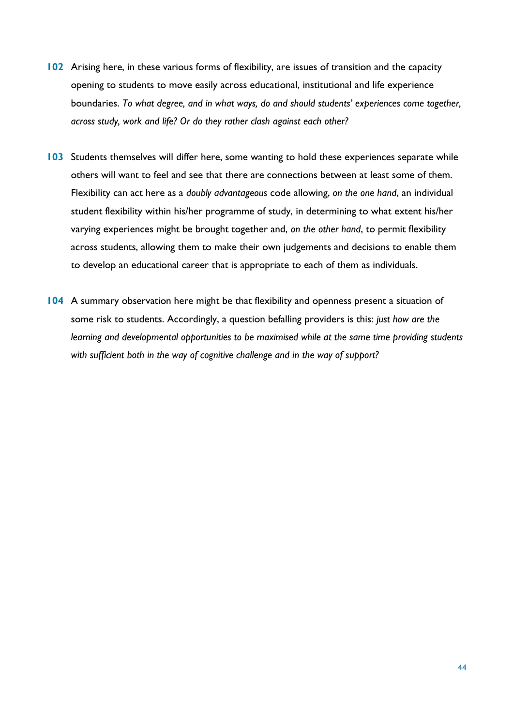- **102** Arising here, in these various forms of flexibility, are issues of transition and the capacity opening to students to move easily across educational, institutional and life experience boundaries. *To what degree, and in what ways, do and should students' experiences come together, across study, work and life? Or do they rather clash against each other?*
- **103** Students themselves will differ here, some wanting to hold these experiences separate while others will want to feel and see that there are connections between at least some of them. Flexibility can act here as a *doubly advantageous* code allowing, *on the one hand*, an individual student flexibility within his/her programme of study, in determining to what extent his/her varying experiences might be brought together and, *on the other hand*, to permit flexibility across students, allowing them to make their own judgements and decisions to enable them to develop an educational career that is appropriate to each of them as individuals.
- **104** A summary observation here might be that flexibility and openness present a situation of some risk to students. Accordingly, a question befalling providers is this: *just how are the learning and developmental opportunities to be maximised while at the same time providing students with sufficient both in the way of cognitive challenge and in the way of support?*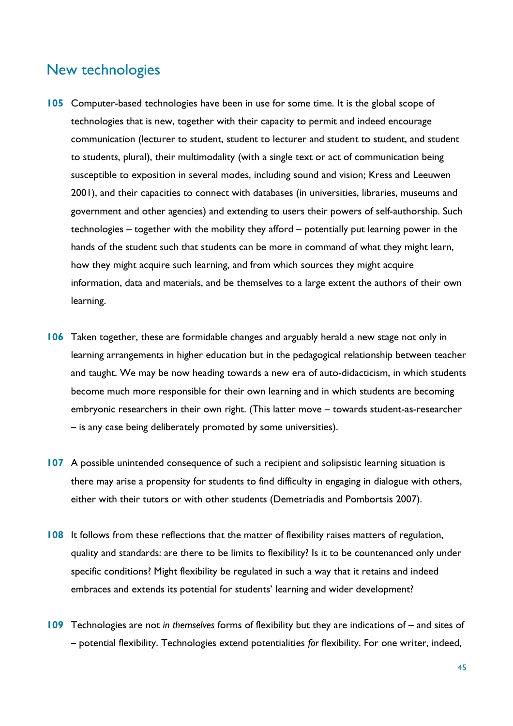### New technologies

- **105** Computer-based technologies have been in use for some time. It is the global scope of technologies that is new, together with their capacity to permit and indeed encourage communication (lecturer to student, student to lecturer and student to student, and student to student*s*, plural), their multimodality (with a single text or act of communication being susceptible to exposition in several modes, including sound and vision; Kress and Leeuwen 2001), and their capacities to connect with databases (in universities, libraries, museums and government and other agencies) and extending to users their powers of self-authorship. Such technologies – together with the mobility they afford – potentially put learning power in the hands of the student such that students can be more in command of what they might learn, how they might acquire such learning, and from which sources they might acquire information, data and materials, and be themselves to a large extent the authors of their own learning.
- **106** Taken together, these are formidable changes and arguably herald a new stage not only in learning arrangements in higher education but in the pedagogical relationship between teacher and taught. We may be now heading towards a new era of auto-didacticism, in which students become much more responsible for their own learning and in which students are becoming embryonic researchers in their own right. (This latter move – towards student-as-researcher – is any case being deliberately promoted by some universities).
- **107** A possible unintended consequence of such a recipient and solipsistic learning situation is there may arise a propensity for students to find difficulty in engaging in dialogue with others, either with their tutors or with other students (Demetriadis and Pombortsis 2007).
- **108** It follows from these reflections that the matter of flexibility raises matters of regulation, quality and standards: are there to be limits to flexibility? Is it to be countenanced only under specific conditions? Might flexibility be regulated in such a way that it retains and indeed embraces and extends its potential for students' learning and wider development?
- **109** Technologies are not *in themselves* forms of flexibility but they are indications of and sites of – potential flexibility. Technologies extend potentialities *for* flexibility. For one writer, indeed,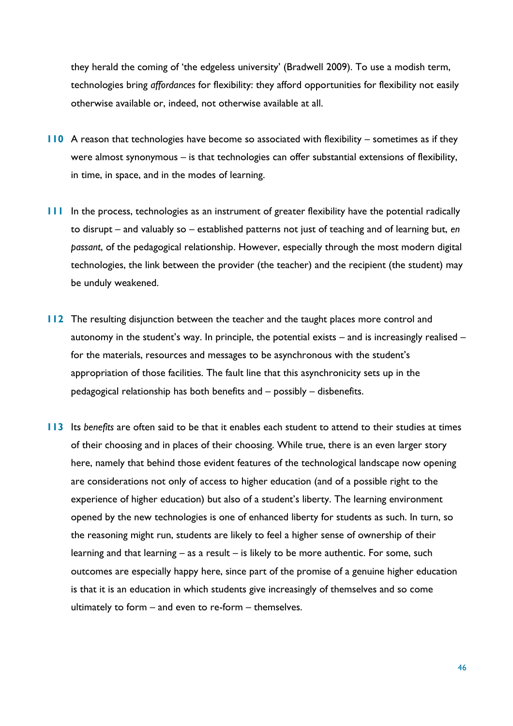they herald the coming of 'the edgeless university' (Bradwell 2009). To use a modish term, technologies bring *affordances* for flexibility: they afford opportunities for flexibility not easily otherwise available or, indeed, not otherwise available at all.

- **110** A reason that technologies have become so associated with flexibility sometimes as if they were almost synonymous – is that technologies can offer substantial extensions of flexibility, in time, in space, and in the modes of learning.
- **111** In the process, technologies as an instrument of greater flexibility have the potential radically to disrupt – and valuably so – established patterns not just of teaching and of learning but, *en passant*, of the pedagogical relationship. However, especially through the most modern digital technologies, the link between the provider (the teacher) and the recipient (the student) may be unduly weakened.
- **112** The resulting disjunction between the teacher and the taught places more control and autonomy in the student's way. In principle, the potential exists – and is increasingly realised – for the materials, resources and messages to be asynchronous with the student's appropriation of those facilities. The fault line that this asynchronicity sets up in the pedagogical relationship has both benefits and – possibly – disbenefits.
- **113** Its *benefits* are often said to be that it enables each student to attend to their studies at times of their choosing and in places of their choosing. While true, there is an even larger story here, namely that behind those evident features of the technological landscape now opening are considerations not only of access to higher education (and of a possible right to the experience of higher education) but also of a student's liberty. The learning environment opened by the new technologies is one of enhanced liberty for students as such. In turn, so the reasoning might run, students are likely to feel a higher sense of ownership of their learning and that learning – as a result – is likely to be more authentic. For some, such outcomes are especially happy here, since part of the promise of a genuine higher education is that it is an education in which students give increasingly of themselves and so come ultimately to form – and even to re-form – themselves.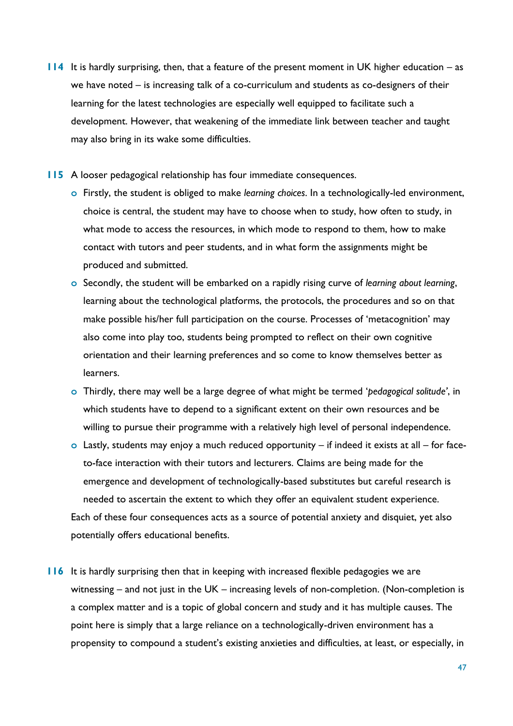- **114** It is hardly surprising, then, that a feature of the present moment in UK higher education as we have noted – is increasing talk of a co-curriculum and students as co-designers of their learning for the latest technologies are especially well equipped to facilitate such a development. However, that weakening of the immediate link between teacher and taught may also bring in its wake some difficulties.
- **115** A looser pedagogical relationship has four immediate consequences.
	- **o** Firstly, the student is obliged to make *learning choices*. In a technologically-led environment, choice is central, the student may have to choose when to study, how often to study, in what mode to access the resources, in which mode to respond to them, how to make contact with tutors and peer students, and in what form the assignments might be produced and submitted.
	- **o** Secondly, the student will be embarked on a rapidly rising curve of *learning about learning*, learning about the technological platforms, the protocols, the procedures and so on that make possible his/her full participation on the course. Processes of 'metacognition' may also come into play too, students being prompted to reflect on their own cognitive orientation and their learning preferences and so come to know themselves better as learners.
	- **o** Thirdly, there may well be a large degree of what might be termed '*pedagogical solitude'*, in which students have to depend to a significant extent on their own resources and be willing to pursue their programme with a relatively high level of personal independence.
	- **o** Lastly, students may enjoy a much reduced opportunity if indeed it exists at all for faceto-face interaction with their tutors and lecturers. Claims are being made for the emergence and development of technologically-based substitutes but careful research is needed to ascertain the extent to which they offer an equivalent student experience. Each of these four consequences acts as a source of potential anxiety and disquiet, yet also potentially offers educational benefits.
- **116** It is hardly surprising then that in keeping with increased flexible pedagogies we are witnessing – and not just in the UK – increasing levels of non-completion. (Non-completion is a complex matter and is a topic of global concern and study and it has multiple causes. The point here is simply that a large reliance on a technologically-driven environment has a propensity to compound a student's existing anxieties and difficulties, at least, or especially, in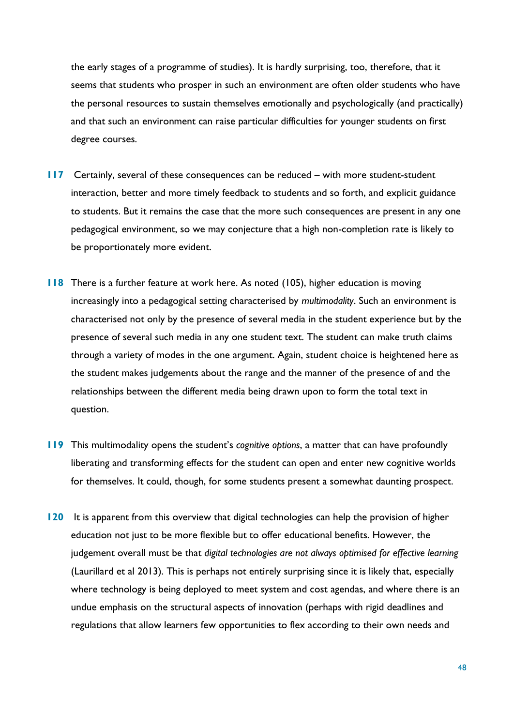the early stages of a programme of studies). It is hardly surprising, too, therefore, that it seems that students who prosper in such an environment are often older students who have the personal resources to sustain themselves emotionally and psychologically (and practically) and that such an environment can raise particular difficulties for younger students on first degree courses.

- **117** Certainly, several of these consequences can be reduced with more student-student interaction, better and more timely feedback to students and so forth, and explicit guidance to students. But it remains the case that the more such consequences are present in any one pedagogical environment, so we may conjecture that a high non-completion rate is likely to be proportionately more evident.
- **118** There is a further feature at work here. As noted (105), higher education is moving increasingly into a pedagogical setting characterised by *multimodality*. Such an environment is characterised not only by the presence of several media in the student experience but by the presence of several such media in any one student text. The student can make truth claims through a variety of modes in the one argument. Again, student choice is heightened here as the student makes judgements about the range and the manner of the presence of and the relationships between the different media being drawn upon to form the total text in question.
- **119** This multimodality opens the student's *cognitive options*, a matter that can have profoundly liberating and transforming effects for the student can open and enter new cognitive worlds for themselves. It could, though, for some students present a somewhat daunting prospect.
- **120** It is apparent from this overview that digital technologies can help the provision of higher education not just to be more flexible but to offer educational benefits. However, the judgement overall must be that *digital technologies are not always optimised for effective learning* (Laurillard et al 2013). This is perhaps not entirely surprising since it is likely that, especially where technology is being deployed to meet system and cost agendas, and where there is an undue emphasis on the structural aspects of innovation (perhaps with rigid deadlines and regulations that allow learners few opportunities to flex according to their own needs and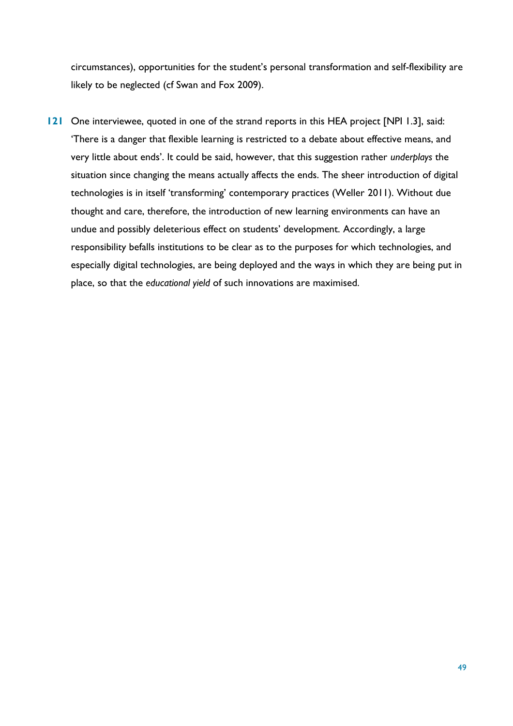circumstances), opportunities for the student's personal transformation and self-flexibility are likely to be neglected (cf Swan and Fox 2009).

**121** One interviewee, quoted in one of the strand reports in this HEA project [NPI 1.3], said: 'There is a danger that flexible learning is restricted to a debate about effective means, and very little about ends'. It could be said, however, that this suggestion rather *underplays* the situation since changing the means actually affects the ends. The sheer introduction of digital technologies is in itself 'transforming' contemporary practices (Weller 2011). Without due thought and care, therefore, the introduction of new learning environments can have an undue and possibly deleterious effect on students' development. Accordingly, a large responsibility befalls institutions to be clear as to the purposes for which technologies, and especially digital technologies, are being deployed and the ways in which they are being put in place, so that the *educational yield* of such innovations are maximised.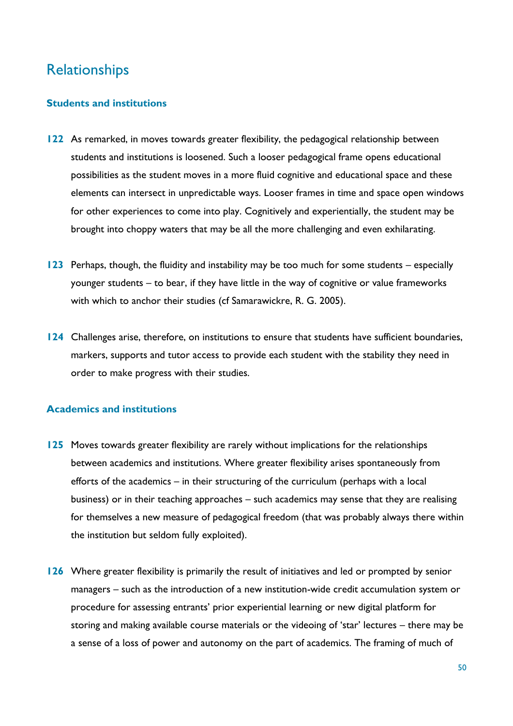## Relationships

### **Students and institutions**

- **122** As remarked, in moves towards greater flexibility, the pedagogical relationship between students and institutions is loosened. Such a looser pedagogical frame opens educational possibilities as the student moves in a more fluid cognitive and educational space and these elements can intersect in unpredictable ways. Looser frames in time and space open windows for other experiences to come into play. Cognitively and experientially, the student may be brought into choppy waters that may be all the more challenging and even exhilarating.
- **123** Perhaps, though, the fluidity and instability may be too much for some students especially younger students – to bear, if they have little in the way of cognitive or value frameworks with which to anchor their studies (cf Samarawickre, R. G. 2005).
- **124** Challenges arise, therefore, on institutions to ensure that students have sufficient boundaries, markers, supports and tutor access to provide each student with the stability they need in order to make progress with their studies.

### **Academics and institutions**

- **125** Moves towards greater flexibility are rarely without implications for the relationships between academics and institutions. Where greater flexibility arises spontaneously from efforts of the academics – in their structuring of the curriculum (perhaps with a local business) or in their teaching approaches – such academics may sense that they are realising for themselves a new measure of pedagogical freedom (that was probably always there within the institution but seldom fully exploited).
- **126** Where greater flexibility is primarily the result of initiatives and led or prompted by senior managers – such as the introduction of a new institution-wide credit accumulation system or procedure for assessing entrants' prior experiential learning or new digital platform for storing and making available course materials or the videoing of 'star' lectures – there may be a sense of a loss of power and autonomy on the part of academics. The framing of much of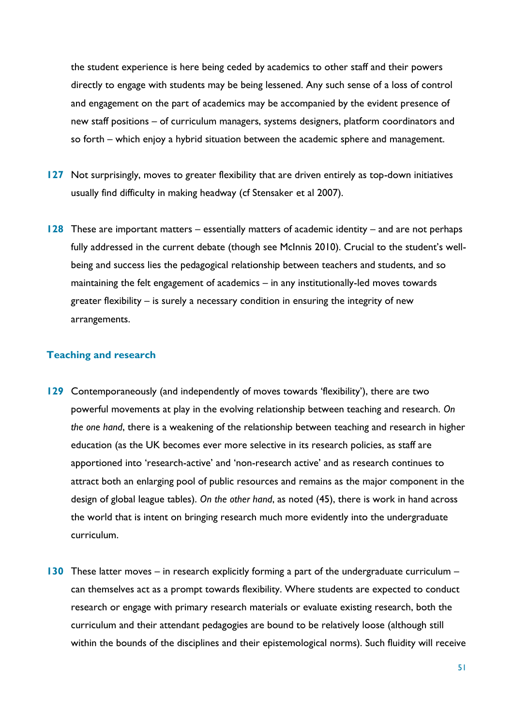the student experience is here being ceded by academics to other staff and their powers directly to engage with students may be being lessened. Any such sense of a loss of control and engagement on the part of academics may be accompanied by the evident presence of new staff positions – of curriculum managers, systems designers, platform coordinators and so forth – which enjoy a hybrid situation between the academic sphere and management.

- **127** Not surprisingly, moves to greater flexibility that are driven entirely as top-down initiatives usually find difficulty in making headway (cf Stensaker et al 2007).
- **128** These are important matters essentially matters of academic identity and are not perhaps fully addressed in the current debate (though see McInnis 2010). Crucial to the student's wellbeing and success lies the pedagogical relationship between teachers and students, and so maintaining the felt engagement of academics – in any institutionally-led moves towards greater flexibility – is surely a necessary condition in ensuring the integrity of new arrangements.

### **Teaching and research**

- **129** Contemporaneously (and independently of moves towards 'flexibility'), there are two powerful movements at play in the evolving relationship between teaching and research. *On the one hand*, there is a weakening of the relationship between teaching and research in higher education (as the UK becomes ever more selective in its research policies, as staff are apportioned into 'research-active' and 'non-research active' and as research continues to attract both an enlarging pool of public resources and remains as the major component in the design of global league tables). *On the other hand*, as noted (45), there is work in hand across the world that is intent on bringing research much more evidently into the undergraduate curriculum.
- **130** These latter moves in research explicitly forming a part of the undergraduate curriculum can themselves act as a prompt towards flexibility. Where students are expected to conduct research or engage with primary research materials or evaluate existing research, both the curriculum and their attendant pedagogies are bound to be relatively loose (although still within the bounds of the disciplines and their epistemological norms). Such fluidity will receive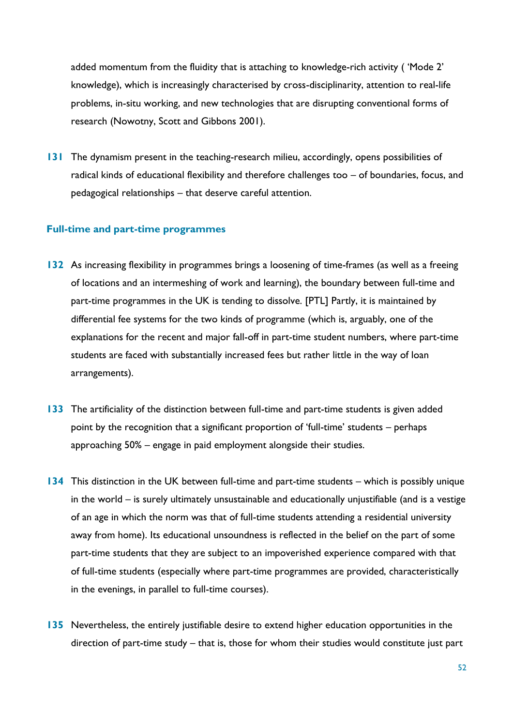added momentum from the fluidity that is attaching to knowledge-rich activity ('Mode 2' knowledge), which is increasingly characterised by cross-disciplinarity, attention to real-life problems, in-situ working, and new technologies that are disrupting conventional forms of research (Nowotny, Scott and Gibbons 2001).

**131** The dynamism present in the teaching-research milieu, accordingly, opens possibilities of radical kinds of educational flexibility and therefore challenges too – of boundaries, focus, and pedagogical relationships – that deserve careful attention.

### **Full-time and part-time programmes**

- **132** As increasing flexibility in programmes brings a loosening of time-frames (as well as a freeing of locations and an intermeshing of work and learning), the boundary between full-time and part-time programmes in the UK is tending to dissolve. [PTL] Partly, it is maintained by differential fee systems for the two kinds of programme (which is, arguably, one of the explanations for the recent and major fall-off in part-time student numbers, where part-time students are faced with substantially increased fees but rather little in the way of loan arrangements).
- **133** The artificiality of the distinction between full-time and part-time students is given added point by the recognition that a significant proportion of 'full-time' students – perhaps approaching 50% – engage in paid employment alongside their studies.
- **134** This distinction in the UK between full-time and part-time students which is possibly unique in the world – is surely ultimately unsustainable and educationally unjustifiable (and is a vestige of an age in which the norm was that of full-time students attending a residential university away from home). Its educational unsoundness is reflected in the belief on the part of some part-time students that they are subject to an impoverished experience compared with that of full-time students (especially where part-time programmes are provided, characteristically in the evenings, in parallel to full-time courses).
- **135** Nevertheless, the entirely justifiable desire to extend higher education opportunities in the direction of part-time study – that is, those for whom their studies would constitute just part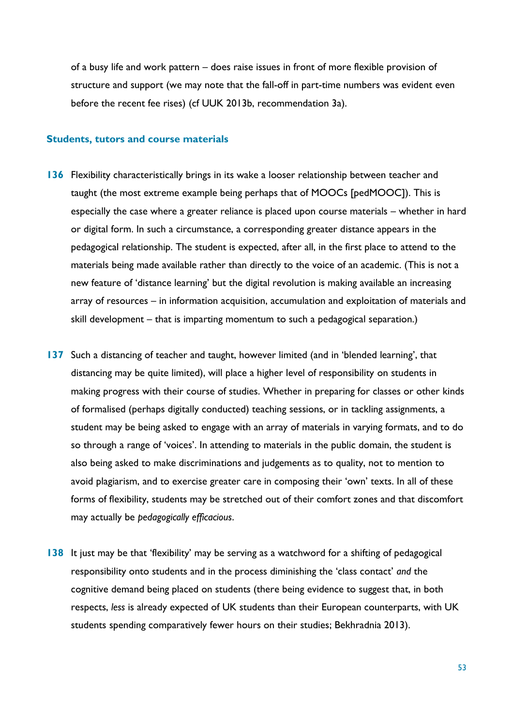of a busy life and work pattern – does raise issues in front of more flexible provision of structure and support (we may note that the fall-off in part-time numbers was evident even before the recent fee rises) (cf UUK 2013b, recommendation 3a).

### **Students, tutors and course materials**

- **136** Flexibility characteristically brings in its wake a looser relationship between teacher and taught (the most extreme example being perhaps that of MOOCs [pedMOOC]). This is especially the case where a greater reliance is placed upon course materials – whether in hard or digital form. In such a circumstance, a corresponding greater distance appears in the pedagogical relationship. The student is expected, after all, in the first place to attend to the materials being made available rather than directly to the voice of an academic. (This is not a new feature of 'distance learning' but the digital revolution is making available an increasing array of resources – in information acquisition, accumulation and exploitation of materials and skill development – that is imparting momentum to such a pedagogical separation.)
- **137** Such a distancing of teacher and taught, however limited (and in 'blended learning', that distancing may be quite limited), will place a higher level of responsibility on students in making progress with their course of studies. Whether in preparing for classes or other kinds of formalised (perhaps digitally conducted) teaching sessions, or in tackling assignments, a student may be being asked to engage with an array of materials in varying formats, and to do so through a range of 'voices'. In attending to materials in the public domain, the student is also being asked to make discriminations and judgements as to quality, not to mention to avoid plagiarism, and to exercise greater care in composing their 'own' texts. In all of these forms of flexibility, students may be stretched out of their comfort zones and that discomfort may actually be *pedagogically efficacious*.
- **138** It just may be that 'flexibility' may be serving as a watchword for a shifting of pedagogical responsibility onto students and in the process diminishing the 'class contact' *and* the cognitive demand being placed on students (there being evidence to suggest that, in both respects, *less* is already expected of UK students than their European counterparts, with UK students spending comparatively fewer hours on their studies; Bekhradnia 2013).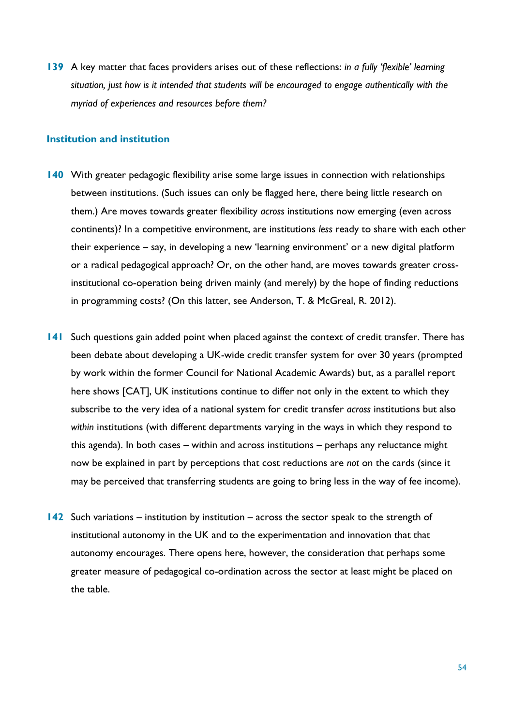**139** A key matter that faces providers arises out of these reflections: *in a fully 'flexible' learning situation, just how is it intended that students will be encouraged to engage authentically with the myriad of experiences and resources before them?*

### **Institution and institution**

- **140** With greater pedagogic flexibility arise some large issues in connection with relationships between institutions. (Such issues can only be flagged here, there being little research on them.) Are moves towards greater flexibility *across* institutions now emerging (even across continents)? In a competitive environment, are institutions *less* ready to share with each other their experience – say, in developing a new 'learning environment' or a new digital platform or a radical pedagogical approach? Or, on the other hand, are moves towards greater crossinstitutional co-operation being driven mainly (and merely) by the hope of finding reductions in programming costs? (On this latter, see Anderson, T. & McGreal, R. 2012).
- **141** Such questions gain added point when placed against the context of credit transfer. There has been debate about developing a UK-wide credit transfer system for over 30 years (prompted by work within the former Council for National Academic Awards) but, as a parallel report here shows [CAT], UK institutions continue to differ not only in the extent to which they subscribe to the very idea of a national system for credit transfer *across* institutions but also *within* institutions (with different departments varying in the ways in which they respond to this agenda). In both cases – within and across institutions – perhaps any reluctance might now be explained in part by perceptions that cost reductions are *not* on the cards (since it may be perceived that transferring students are going to bring less in the way of fee income).
- **142** Such variations institution by institution across the sector speak to the strength of institutional autonomy in the UK and to the experimentation and innovation that that autonomy encourages. There opens here, however, the consideration that perhaps some greater measure of pedagogical co-ordination across the sector at least might be placed on the table.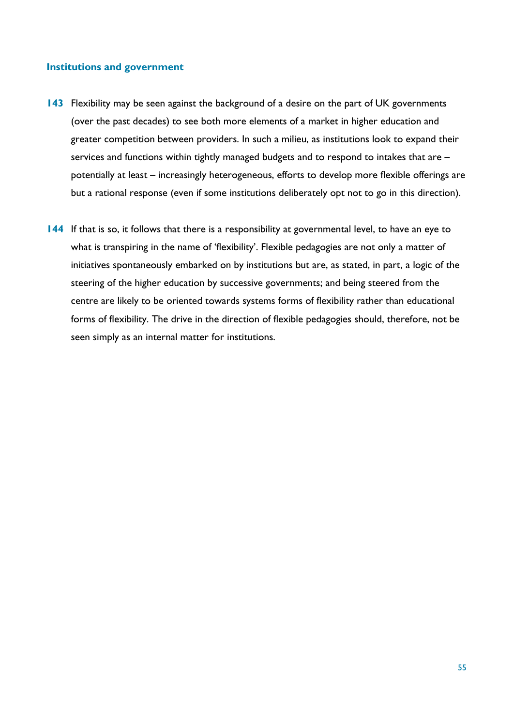### **Institutions and government**

- **143** Flexibility may be seen against the background of a desire on the part of UK governments (over the past decades) to see both more elements of a market in higher education and greater competition between providers. In such a milieu, as institutions look to expand their services and functions within tightly managed budgets and to respond to intakes that are – potentially at least – increasingly heterogeneous, efforts to develop more flexible offerings are but a rational response (even if some institutions deliberately opt not to go in this direction).
- **144** If that is so, it follows that there is a responsibility at governmental level, to have an eye to what is transpiring in the name of 'flexibility'. Flexible pedagogies are not only a matter of initiatives spontaneously embarked on by institutions but are, as stated, in part, a logic of the steering of the higher education by successive governments; and being steered from the centre are likely to be oriented towards systems forms of flexibility rather than educational forms of flexibility. The drive in the direction of flexible pedagogies should, therefore, not be seen simply as an internal matter for institutions.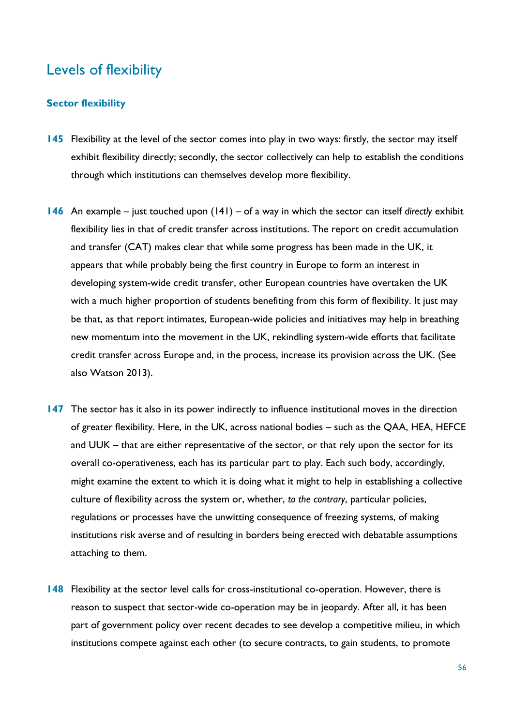### Levels of flexibility

### **Sector flexibility**

- **145** Flexibility at the level of the sector comes into play in two ways: firstly, the sector may itself exhibit flexibility directly; secondly, the sector collectively can help to establish the conditions through which institutions can themselves develop more flexibility.
- **146** An example just touched upon (141) of a way in which the sector can itself *directly* exhibit flexibility lies in that of credit transfer across institutions. The report on credit accumulation and transfer (CAT) makes clear that while some progress has been made in the UK, it appears that while probably being the first country in Europe to form an interest in developing system-wide credit transfer, other European countries have overtaken the UK with a much higher proportion of students benefiting from this form of flexibility. It just may be that, as that report intimates, European-wide policies and initiatives may help in breathing new momentum into the movement in the UK, rekindling system-wide efforts that facilitate credit transfer across Europe and, in the process, increase its provision across the UK. (See also Watson 2013).
- **147** The sector has it also in its power indirectly to influence institutional moves in the direction of greater flexibility. Here, in the UK, across national bodies – such as the QAA, HEA, HEFCE and UUK – that are either representative of the sector, or that rely upon the sector for its overall co-operativeness, each has its particular part to play. Each such body, accordingly, might examine the extent to which it is doing what it might to help in establishing a collective culture of flexibility across the system or, whether, *to the contrary*, particular policies, regulations or processes have the unwitting consequence of freezing systems, of making institutions risk averse and of resulting in borders being erected with debatable assumptions attaching to them.
- **148** Flexibility at the sector level calls for cross-institutional co-operation. However, there is reason to suspect that sector-wide co-operation may be in jeopardy. After all, it has been part of government policy over recent decades to see develop a competitive milieu, in which institutions compete against each other (to secure contracts, to gain students, to promote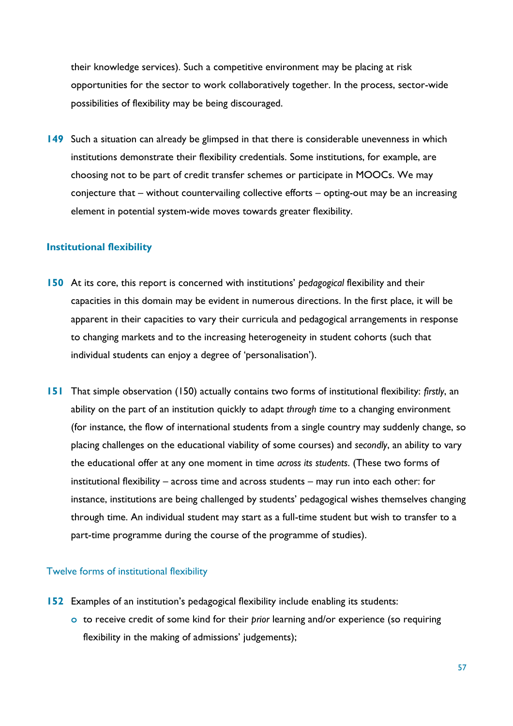their knowledge services). Such a competitive environment may be placing at risk opportunities for the sector to work collaboratively together. In the process, sector-wide possibilities of flexibility may be being discouraged.

**149** Such a situation can already be glimpsed in that there is considerable unevenness in which institutions demonstrate their flexibility credentials. Some institutions, for example, are choosing not to be part of credit transfer schemes or participate in MOOCs. We may conjecture that – without countervailing collective efforts – opting-out may be an increasing element in potential system-wide moves towards greater flexibility.

#### **Institutional flexibility**

- **150** At its core, this report is concerned with institutions' *pedagogical* flexibility and their capacities in this domain may be evident in numerous directions. In the first place, it will be apparent in their capacities to vary their curricula and pedagogical arrangements in response to changing markets and to the increasing heterogeneity in student cohorts (such that individual students can enjoy a degree of 'personalisation').
- **151** That simple observation (150) actually contains two forms of institutional flexibility: *firstly*, an ability on the part of an institution quickly to adapt *through time* to a changing environment (for instance, the flow of international students from a single country may suddenly change, so placing challenges on the educational viability of some courses) and *secondly*, an ability to vary the educational offer at any one moment in time *across its students*. (These two forms of institutional flexibility – across time and across students – may run into each other: for instance, institutions are being challenged by students' pedagogical wishes themselves changing through time. An individual student may start as a full-time student but wish to transfer to a part-time programme during the course of the programme of studies).

### Twelve forms of institutional flexibility

- **152** Examples of an institution's pedagogical flexibility include enabling its students:
	- **o** to receive credit of some kind for their *prior* learning and/or experience (so requiring flexibility in the making of admissions' judgements);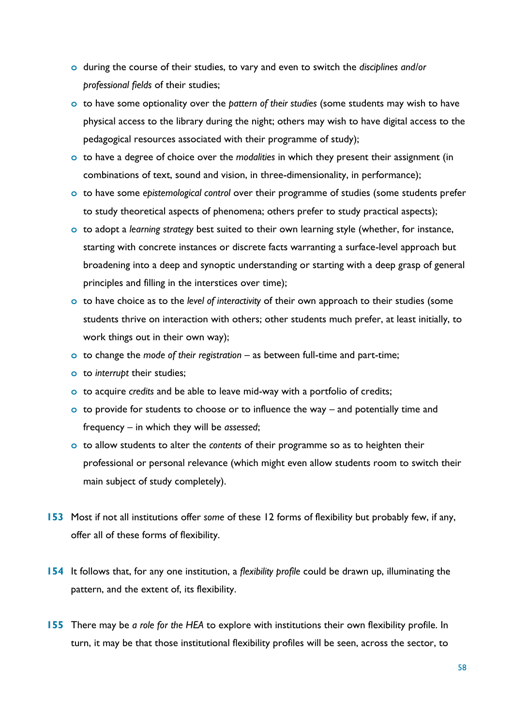- **o** during the course of their studies, to vary and even to switch the *disciplines and/or professional fields* of their studies;
- **o** to have some optionality over the *pattern of their studies* (some students may wish to have physical access to the library during the night; others may wish to have digital access to the pedagogical resources associated with their programme of study);
- **o** to have a degree of choice over the *modalities* in which they present their assignment (in combinations of text, sound and vision, in three-dimensionality, in performance);
- **o** to have some *epistemological control* over their programme of studies (some students prefer to study theoretical aspects of phenomena; others prefer to study practical aspects);
- **o** to adopt a *learning strategy* best suited to their own learning style (whether, for instance, starting with concrete instances or discrete facts warranting a surface-level approach but broadening into a deep and synoptic understanding or starting with a deep grasp of general principles and filling in the interstices over time);
- **o** to have choice as to the *level of interactivity* of their own approach to their studies (some students thrive on interaction with others; other students much prefer, at least initially, to work things out in their own way);
- **o** to change the *mode of their registration* as between full-time and part-time;
- **o** to *interrupt* their studies;
- **o** to acquire *credits* and be able to leave mid-way with a portfolio of credits;
- **o** to provide for students to choose or to influence the way and potentially time and frequency – in which they will be *assessed*;
- **o** to allow students to alter the *contents* of their programme so as to heighten their professional or personal relevance (which might even allow students room to switch their main subject of study completely).
- **153** Most if not all institutions offer *some* of these 12 forms of flexibility but probably few, if any, offer all of these forms of flexibility.
- **154** It follows that, for any one institution, a *flexibility profile* could be drawn up, illuminating the pattern, and the extent of, its flexibility.
- **155** There may be *a role for the HEA* to explore with institutions their own flexibility profile. In turn, it may be that those institutional flexibility profiles will be seen, across the sector, to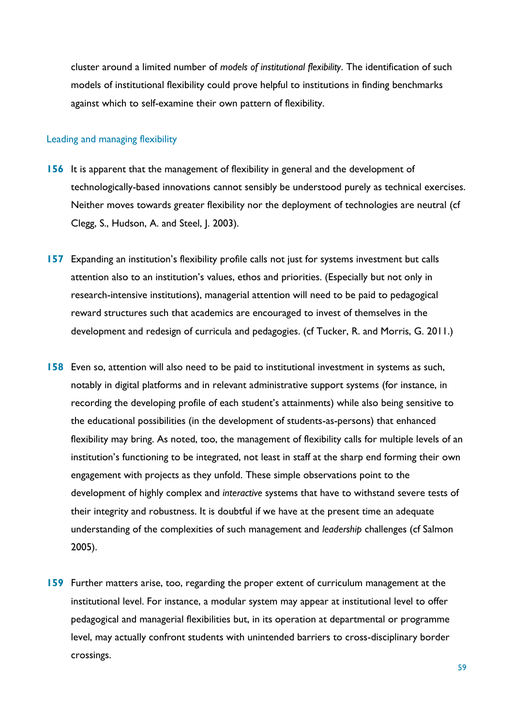cluster around a limited number of *models of institutional flexibility*. The identification of such models of institutional flexibility could prove helpful to institutions in finding benchmarks against which to self-examine their own pattern of flexibility.

#### Leading and managing flexibility

- **156** It is apparent that the management of flexibility in general and the development of technologically-based innovations cannot sensibly be understood purely as technical exercises. Neither moves towards greater flexibility nor the deployment of technologies are neutral (cf Clegg, S., Hudson, A. and Steel, J. 2003).
- **157** Expanding an institution's flexibility profile calls not just for systems investment but calls attention also to an institution's values, ethos and priorities. (Especially but not only in research-intensive institutions), managerial attention will need to be paid to pedagogical reward structures such that academics are encouraged to invest of themselves in the development and redesign of curricula and pedagogies. (cf Tucker, R. and Morris, G. 2011.)
- **158** Even so, attention will also need to be paid to institutional investment in systems as such, notably in digital platforms and in relevant administrative support systems (for instance, in recording the developing profile of each student's attainments) while also being sensitive to the educational possibilities (in the development of students-as-persons) that enhanced flexibility may bring. As noted, too, the management of flexibility calls for multiple levels of an institution's functioning to be integrated, not least in staff at the sharp end forming their own engagement with projects as they unfold. These simple observations point to the development of highly complex and *interactive* systems that have to withstand severe tests of their integrity and robustness. It is doubtful if we have at the present time an adequate understanding of the complexities of such management and *leadership* challenges (cf Salmon 2005).
- **159** Further matters arise, too, regarding the proper extent of curriculum management at the institutional level. For instance, a modular system may appear at institutional level to offer pedagogical and managerial flexibilities but, in its operation at departmental or programme level, may actually confront students with unintended barriers to cross-disciplinary border crossings.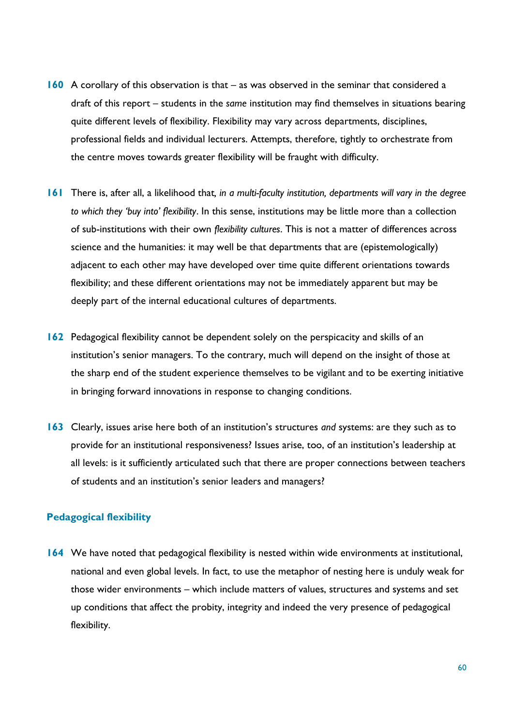- **160** A corollary of this observation is that as was observed in the seminar that considered a draft of this report – students in the *same* institution may find themselves in situations bearing quite different levels of flexibility. Flexibility may vary across departments, disciplines, professional fields and individual lecturers. Attempts, therefore, tightly to orchestrate from the centre moves towards greater flexibility will be fraught with difficulty.
- **161** There is, after all, a likelihood that*, in a multi-faculty institution, departments will vary in the degree to which they 'buy into' flexibility*. In this sense, institutions may be little more than a collection of sub-institutions with their own *flexibility cultures*. This is not a matter of differences across science and the humanities: it may well be that departments that are (epistemologically) adjacent to each other may have developed over time quite different orientations towards flexibility; and these different orientations may not be immediately apparent but may be deeply part of the internal educational cultures of departments.
- **162** Pedagogical flexibility cannot be dependent solely on the perspicacity and skills of an institution's senior managers. To the contrary, much will depend on the insight of those at the sharp end of the student experience themselves to be vigilant and to be exerting initiative in bringing forward innovations in response to changing conditions.
- **163** Clearly, issues arise here both of an institution's structures *and* systems: are they such as to provide for an institutional responsiveness? Issues arise, too, of an institution's leadership at all levels: is it sufficiently articulated such that there are proper connections between teachers of students and an institution's senior leaders and managers?

### **Pedagogical flexibility**

**164** We have noted that pedagogical flexibility is nested within wide environments at institutional, national and even global levels. In fact, to use the metaphor of nesting here is unduly weak for those wider environments – which include matters of values, structures and systems and set up conditions that affect the probity, integrity and indeed the very presence of pedagogical flexibility.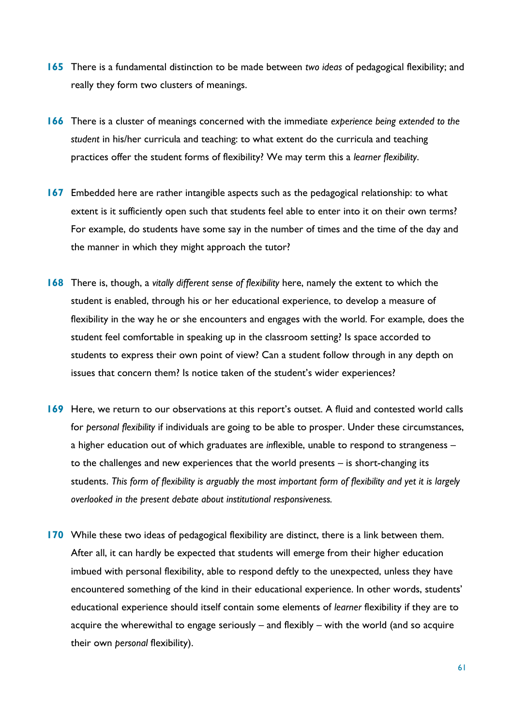- **165** There is a fundamental distinction to be made between *two ideas* of pedagogical flexibility; and really they form two clusters of meanings.
- **166** There is a cluster of meanings concerned with the immediate *experience being extended to the student* in his/her curricula and teaching: to what extent do the curricula and teaching practices offer the student forms of flexibility? We may term this a *learner flexibility*.
- **167** Embedded here are rather intangible aspects such as the pedagogical relationship: to what extent is it sufficiently open such that students feel able to enter into it on their own terms? For example, do students have some say in the number of times and the time of the day and the manner in which they might approach the tutor?
- **168** There is, though, a *vitally different sense of flexibility* here, namely the extent to which the student is enabled, through his or her educational experience, to develop a measure of flexibility in the way he or she encounters and engages with the world. For example, does the student feel comfortable in speaking up in the classroom setting? Is space accorded to students to express their own point of view? Can a student follow through in any depth on issues that concern them? Is notice taken of the student's wider experiences?
- **169** Here, we return to our observations at this report's outset. A fluid and contested world calls for *personal flexibility* if individuals are going to be able to prosper. Under these circumstances, a higher education out of which graduates are *in*flexible, unable to respond to strangeness – to the challenges and new experiences that the world presents – is short-changing its students. *This form of flexibility is arguably the most important form of flexibility and yet it is largely overlooked in the present debate about institutional responsiveness.*
- **170** While these two ideas of pedagogical flexibility are distinct, there is a link between them. After all, it can hardly be expected that students will emerge from their higher education imbued with personal flexibility, able to respond deftly to the unexpected, unless they have encountered something of the kind in their educational experience. In other words, students' educational experience should itself contain some elements of *learner* flexibility if they are to acquire the wherewithal to engage seriously – and flexibly – with the world (and so acquire their own *personal* flexibility).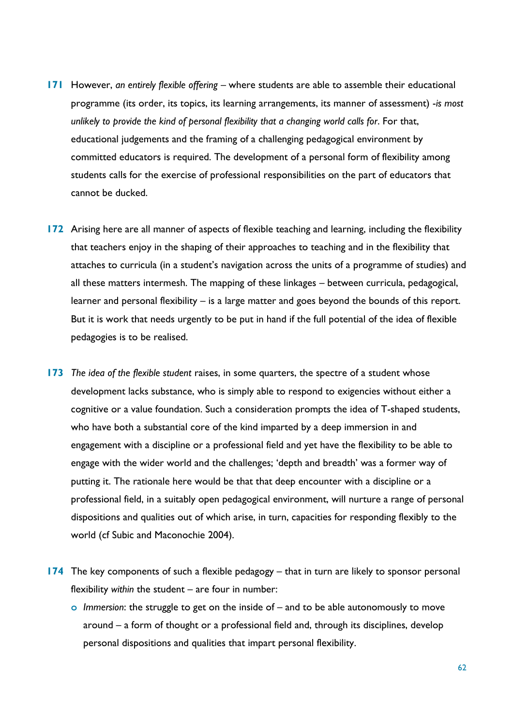- **171** However, *an entirely flexible offering* where students are able to assemble their educational programme (its order, its topics, its learning arrangements, its manner of assessment) -*is most unlikely to provide the kind of personal flexibility that a changing world calls for*. For that, educational judgements and the framing of a challenging pedagogical environment by committed educators is required. The development of a personal form of flexibility among students calls for the exercise of professional responsibilities on the part of educators that cannot be ducked.
- **172** Arising here are all manner of aspects of flexible teaching and learning, including the flexibility that teachers enjoy in the shaping of their approaches to teaching and in the flexibility that attaches to curricula (in a student's navigation across the units of a programme of studies) and all these matters intermesh. The mapping of these linkages – between curricula, pedagogical, learner and personal flexibility – is a large matter and goes beyond the bounds of this report. But it is work that needs urgently to be put in hand if the full potential of the idea of flexible pedagogies is to be realised.
- **173** *The idea of the flexible student* raises, in some quarters, the spectre of a student whose development lacks substance, who is simply able to respond to exigencies without either a cognitive or a value foundation. Such a consideration prompts the idea of T-shaped students, who have both a substantial core of the kind imparted by a deep immersion in and engagement with a discipline or a professional field and yet have the flexibility to be able to engage with the wider world and the challenges; 'depth and breadth' was a former way of putting it. The rationale here would be that that deep encounter with a discipline or a professional field, in a suitably open pedagogical environment, will nurture a range of personal dispositions and qualities out of which arise, in turn, capacities for responding flexibly to the world (cf Subic and Maconochie 2004).
- **174** The key components of such a flexible pedagogy that in turn are likely to sponsor personal flexibility *within* the student – are four in number:
	- **o** *Immersion*: the struggle to get on the inside of and to be able autonomously to move around – a form of thought or a professional field and, through its disciplines, develop personal dispositions and qualities that impart personal flexibility.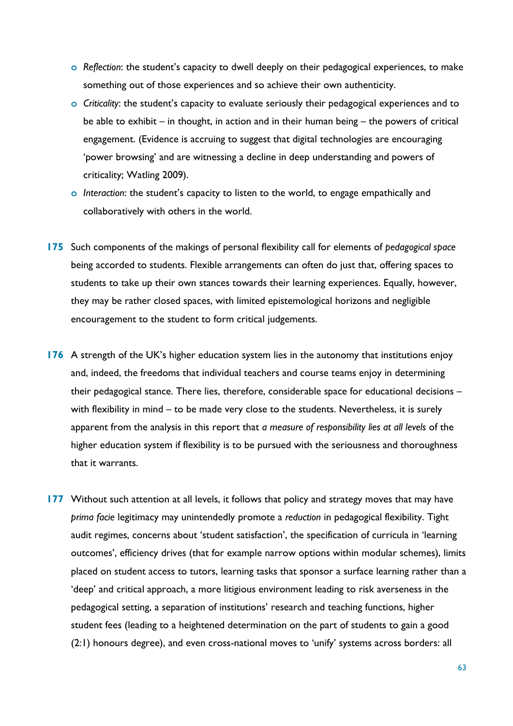- **o** *Reflection*: the student's capacity to dwell deeply on their pedagogical experiences, to make something out of those experiences and so achieve their own authenticity.
- **o** *Criticality*: the student's capacity to evaluate seriously their pedagogical experiences and to be able to exhibit – in thought, in action and in their human being – the powers of critical engagement. (Evidence is accruing to suggest that digital technologies are encouraging 'power browsing' and are witnessing a decline in deep understanding and powers of criticality; Watling 2009).
- **o** *Interaction*: the student's capacity to listen to the world, to engage empathically and collaboratively with others in the world.
- **175** Such components of the makings of personal flexibility call for elements of *pedagogical space* being accorded to students. Flexible arrangements can often do just that, offering spaces to students to take up their own stances towards their learning experiences. Equally, however, they may be rather closed spaces, with limited epistemological horizons and negligible encouragement to the student to form critical judgements.
- **176** A strength of the UK's higher education system lies in the autonomy that institutions enjoy and, indeed, the freedoms that individual teachers and course teams enjoy in determining their pedagogical stance. There lies, therefore, considerable space for educational decisions – with flexibility in mind – to be made very close to the students. Nevertheless, it is surely apparent from the analysis in this report that *a measure of responsibility lies at all levels* of the higher education system if flexibility is to be pursued with the seriousness and thoroughness that it warrants.
- **177** Without such attention at all levels, it follows that policy and strategy moves that may have *prima facie* legitimacy may unintendedly promote a *reduction* in pedagogical flexibility. Tight audit regimes, concerns about 'student satisfaction', the specification of curricula in 'learning outcomes', efficiency drives (that for example narrow options within modular schemes), limits placed on student access to tutors, learning tasks that sponsor a surface learning rather than a 'deep' and critical approach, a more litigious environment leading to risk averseness in the pedagogical setting, a separation of institutions' research and teaching functions, higher student fees (leading to a heightened determination on the part of students to gain a good (2:1) honours degree), and even cross-national moves to 'unify' systems across borders: all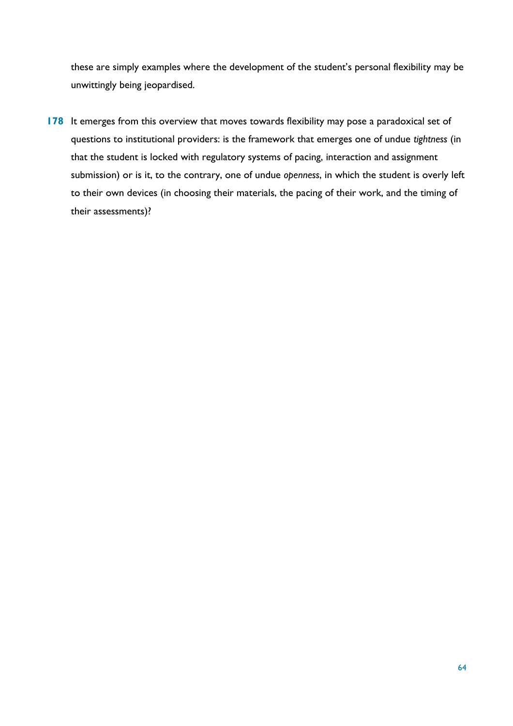these are simply examples where the development of the student's personal flexibility may be unwittingly being jeopardised.

**178** It emerges from this overview that moves towards flexibility may pose a paradoxical set of questions to institutional providers: is the framework that emerges one of undue *tightness* (in that the student is locked with regulatory systems of pacing, interaction and assignment submission) or is it, to the contrary, one of undue *openness*, in which the student is overly left to their own devices (in choosing their materials, the pacing of their work, and the timing of their assessments)?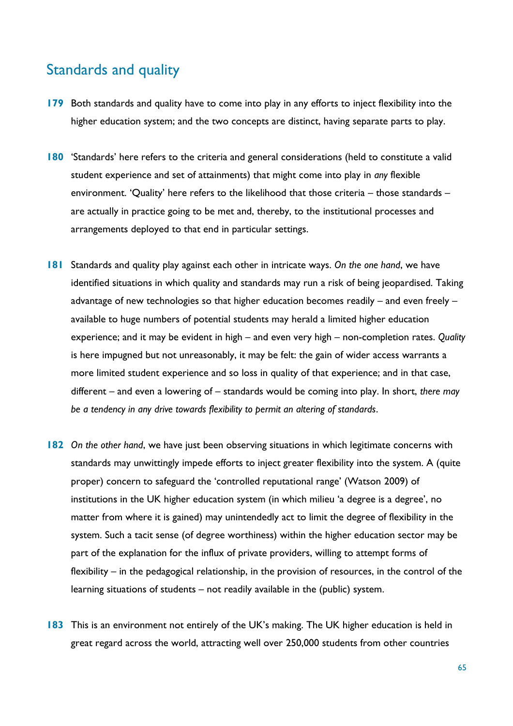### Standards and quality

- **179** Both standards and quality have to come into play in any efforts to inject flexibility into the higher education system; and the two concepts are distinct, having separate parts to play.
- **180** 'Standards' here refers to the criteria and general considerations (held to constitute a valid student experience and set of attainments) that might come into play in *any* flexible environment. 'Quality' here refers to the likelihood that those criteria – those standards – are actually in practice going to be met and, thereby, to the institutional processes and arrangements deployed to that end in particular settings.
- **181** Standards and quality play against each other in intricate ways. *On the one hand*, we have identified situations in which quality and standards may run a risk of being jeopardised. Taking advantage of new technologies so that higher education becomes readily – and even freely – available to huge numbers of potential students may herald a limited higher education experience; and it may be evident in high – and even very high – non-completion rates. *Quality*  is here impugned but not unreasonably, it may be felt: the gain of wider access warrants a more limited student experience and so loss in quality of that experience; and in that case, different – and even a lowering of – standards would be coming into play. In short, *there may be a tendency in any drive towards flexibility to permit an altering of standards*.
- **182** *On the other hand*, we have just been observing situations in which legitimate concerns with standards may unwittingly impede efforts to inject greater flexibility into the system. A (quite proper) concern to safeguard the 'controlled reputational range' (Watson 2009) of institutions in the UK higher education system (in which milieu 'a degree is a degree', no matter from where it is gained) may unintendedly act to limit the degree of flexibility in the system. Such a tacit sense (of degree worthiness) within the higher education sector may be part of the explanation for the influx of private providers, willing to attempt forms of flexibility – in the pedagogical relationship, in the provision of resources, in the control of the learning situations of students – not readily available in the (public) system.
- **183** This is an environment not entirely of the UK's making. The UK higher education is held in great regard across the world, attracting well over 250,000 students from other countries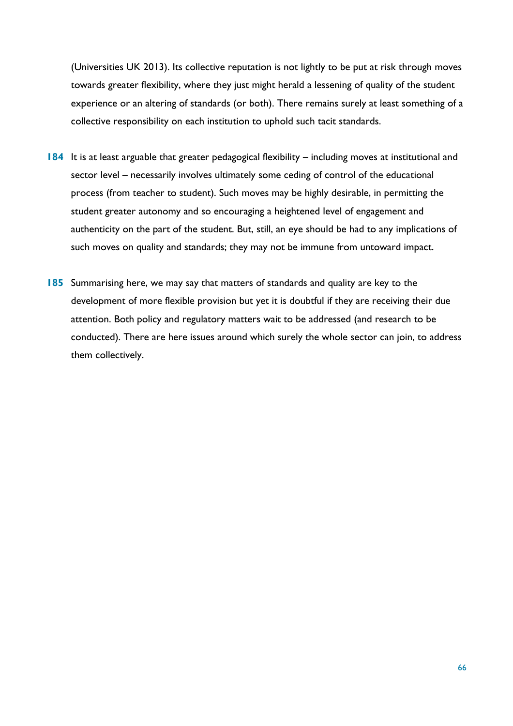(Universities UK 2013). Its collective reputation is not lightly to be put at risk through moves towards greater flexibility, where they just might herald a lessening of quality of the student experience or an altering of standards (or both). There remains surely at least something of a collective responsibility on each institution to uphold such tacit standards.

- **184** It is at least arguable that greater pedagogical flexibility including moves at institutional and sector level – necessarily involves ultimately some ceding of control of the educational process (from teacher to student). Such moves may be highly desirable, in permitting the student greater autonomy and so encouraging a heightened level of engagement and authenticity on the part of the student. But, still, an eye should be had to any implications of such moves on quality and standards; they may not be immune from untoward impact.
- **185** Summarising here, we may say that matters of standards and quality are key to the development of more flexible provision but yet it is doubtful if they are receiving their due attention. Both policy and regulatory matters wait to be addressed (and research to be conducted). There are here issues around which surely the whole sector can join, to address them collectively.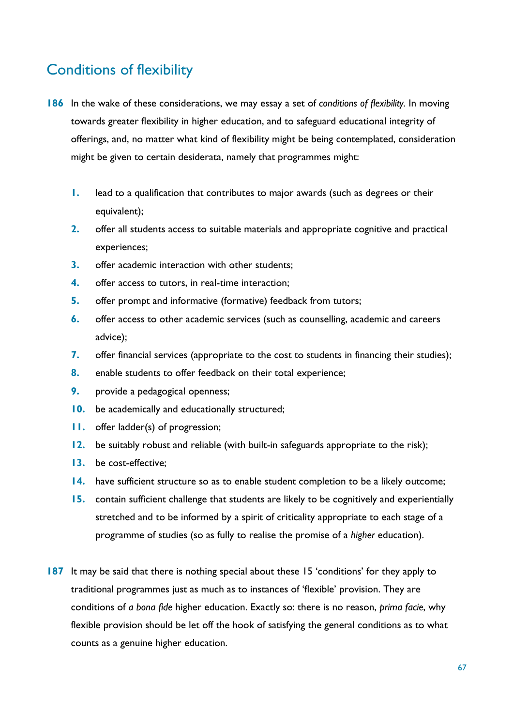# Conditions of flexibility

- **186** In the wake of these considerations, we may essay a set of *conditions of flexibility.* In moving towards greater flexibility in higher education, and to safeguard educational integrity of offerings, and, no matter what kind of flexibility might be being contemplated, consideration might be given to certain desiderata, namely that programmes might:
	- **1.** lead to a qualification that contributes to major awards (such as degrees or their equivalent);
	- **2.** offer all students access to suitable materials and appropriate cognitive and practical experiences;
	- **3.** offer academic interaction with other students;
	- **4.** offer access to tutors, in real-time interaction;
	- **5.** offer prompt and informative (formative) feedback from tutors;
	- **6.** offer access to other academic services (such as counselling, academic and careers advice);
	- **7.** offer financial services (appropriate to the cost to students in financing their studies);
	- **8.** enable students to offer feedback on their total experience;
	- **9.** provide a pedagogical openness;
	- **10.** be academically and educationally structured;
	- **11.** offer ladder(s) of progression;
	- **12.** be suitably robust and reliable (with built-in safeguards appropriate to the risk);
	- **13.** be cost-effective;
	- **14.** have sufficient structure so as to enable student completion to be a likely outcome;
	- **15.** contain sufficient challenge that students are likely to be cognitively and experientially stretched and to be informed by a spirit of criticality appropriate to each stage of a programme of studies (so as fully to realise the promise of a *higher* education).
- **187** It may be said that there is nothing special about these 15 'conditions' for they apply to traditional programmes just as much as to instances of 'flexible' provision. They are conditions of *a bona fide* higher education. Exactly so: there is no reason, *prima facie*, why flexible provision should be let off the hook of satisfying the general conditions as to what counts as a genuine higher education.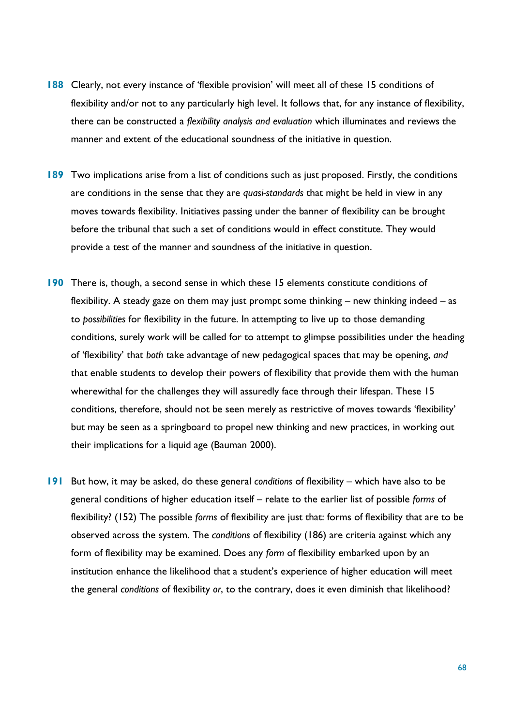- **188** Clearly, not every instance of 'flexible provision' will meet all of these 15 conditions of flexibility and/or not to any particularly high level. It follows that, for any instance of flexibility, there can be constructed a *flexibility analysis and evaluation* which illuminates and reviews the manner and extent of the educational soundness of the initiative in question.
- **189** Two implications arise from a list of conditions such as just proposed. Firstly, the conditions are conditions in the sense that they are *quasi-standards* that might be held in view in any moves towards flexibility. Initiatives passing under the banner of flexibility can be brought before the tribunal that such a set of conditions would in effect constitute. They would provide a test of the manner and soundness of the initiative in question.
- **190** There is, though, a second sense in which these 15 elements constitute conditions of flexibility. A steady gaze on them may just prompt some thinking – new thinking indeed – as to *possibilities* for flexibility in the future. In attempting to live up to those demanding conditions, surely work will be called for to attempt to glimpse possibilities under the heading of 'flexibility' that *both* take advantage of new pedagogical spaces that may be opening, *and*  that enable students to develop their powers of flexibility that provide them with the human wherewithal for the challenges they will assuredly face through their lifespan. These 15 conditions, therefore, should not be seen merely as restrictive of moves towards 'flexibility' but may be seen as a springboard to propel new thinking and new practices, in working out their implications for a liquid age (Bauman 2000).
- **191** But how, it may be asked, do these general *conditions* of flexibility which have also to be general conditions of higher education itself – relate to the earlier list of possible *forms* of flexibility? (152) The possible *forms* of flexibility are just that: forms of flexibility that are to be observed across the system. The *conditions* of flexibility (186) are criteria against which any form of flexibility may be examined. Does any *form* of flexibility embarked upon by an institution enhance the likelihood that a student's experience of higher education will meet the general *conditions* of flexibility *or*, to the contrary, does it even diminish that likelihood?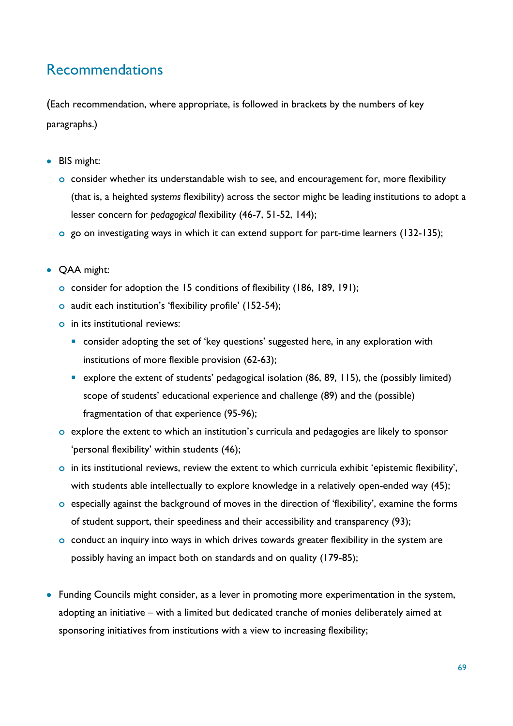## Recommendations

(Each recommendation, where appropriate, is followed in brackets by the numbers of key paragraphs.)

- BIS might:
	- **o** consider whether its understandable wish to see, and encouragement for, more flexibility (that is, a heighted *systems* flexibility) across the sector might be leading institutions to adopt a lesser concern for *pedagogical* flexibility (46-7, 51-52, 144);
	- **o** go on investigating ways in which it can extend support for part-time learners (132-135);
- QAA might:
	- **o** consider for adoption the 15 conditions of flexibility (186, 189, 191);
	- **o** audit each institution's 'flexibility profile' (152-54);
	- **o** in its institutional reviews:
		- **•** consider adopting the set of 'key questions' suggested here, in any exploration with institutions of more flexible provision (62-63);
		- explore the extent of students' pedagogical isolation (86, 89, 115), the (possibly limited) scope of students' educational experience and challenge (89) and the (possible) fragmentation of that experience (95-96);
	- **o** explore the extent to which an institution's curricula and pedagogies are likely to sponsor 'personal flexibility' within students (46);
	- **o** in its institutional reviews, review the extent to which curricula exhibit 'epistemic flexibility', with students able intellectually to explore knowledge in a relatively open-ended way (45);
	- **o** especially against the background of moves in the direction of 'flexibility', examine the forms of student support, their speediness and their accessibility and transparency (93);
	- **o** conduct an inquiry into ways in which drives towards greater flexibility in the system are possibly having an impact both on standards and on quality (179-85);
- Funding Councils might consider, as a lever in promoting more experimentation in the system, adopting an initiative – with a limited but dedicated tranche of monies deliberately aimed at sponsoring initiatives from institutions with a view to increasing flexibility;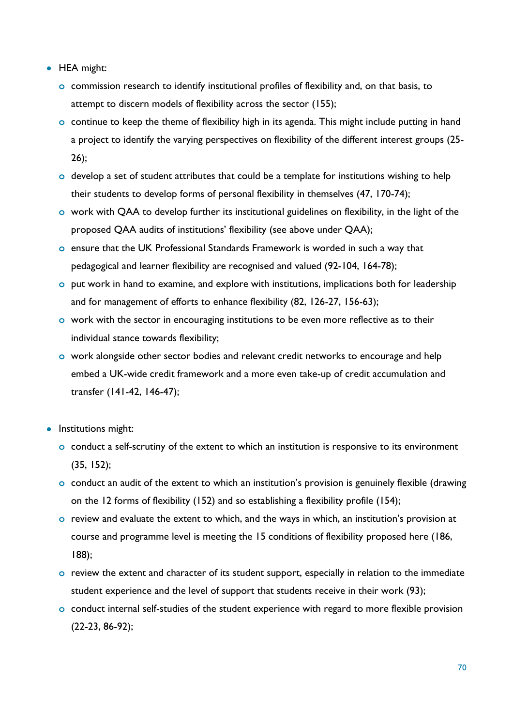- HEA might:
	- **o** commission research to identify institutional profiles of flexibility and, on that basis, to attempt to discern models of flexibility across the sector (155);
	- **o** continue to keep the theme of flexibility high in its agenda. This might include putting in hand a project to identify the varying perspectives on flexibility of the different interest groups (25- 26);
	- **o** develop a set of student attributes that could be a template for institutions wishing to help their students to develop forms of personal flexibility in themselves (47, 170-74);
	- **o** work with QAA to develop further its institutional guidelines on flexibility, in the light of the proposed QAA audits of institutions' flexibility (see above under QAA);
	- **o** ensure that the UK Professional Standards Framework is worded in such a way that pedagogical and learner flexibility are recognised and valued (92-104, 164-78);
	- **o** put work in hand to examine, and explore with institutions, implications both for leadership and for management of efforts to enhance flexibility (82, 126-27, 156-63);
	- **o** work with the sector in encouraging institutions to be even more reflective as to their individual stance towards flexibility;
	- **o** work alongside other sector bodies and relevant credit networks to encourage and help embed a UK-wide credit framework and a more even take-up of credit accumulation and transfer (141-42, 146-47);
- **•** Institutions might:
	- **o** conduct a self-scrutiny of the extent to which an institution is responsive to its environment (35, 152);
	- **o** conduct an audit of the extent to which an institution's provision is genuinely flexible (drawing on the 12 forms of flexibility (152) and so establishing a flexibility profile (154);
	- **o** review and evaluate the extent to which, and the ways in which, an institution's provision at course and programme level is meeting the 15 conditions of flexibility proposed here (186, 188);
	- **o** review the extent and character of its student support, especially in relation to the immediate student experience and the level of support that students receive in their work (93);
	- **o** conduct internal self-studies of the student experience with regard to more flexible provision (22-23, 86-92);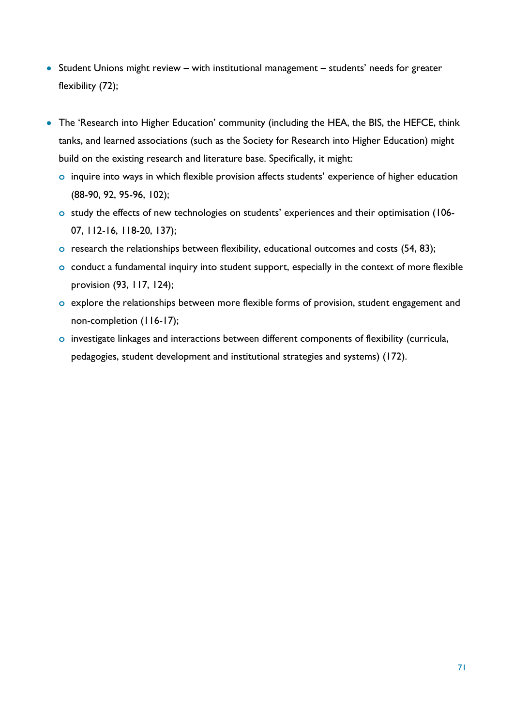- Student Unions might review with institutional management students' needs for greater flexibility (72);
- The 'Research into Higher Education' community (including the HEA, the BIS, the HEFCE, think tanks, and learned associations (such as the Society for Research into Higher Education) might build on the existing research and literature base. Specifically, it might:
	- **o** inquire into ways in which flexible provision affects students' experience of higher education (88-90, 92, 95-96, 102);
	- **o** study the effects of new technologies on students' experiences and their optimisation (106- 07, 112-16, 118-20, 137);
	- **o** research the relationships between flexibility, educational outcomes and costs (54, 83);
	- **o** conduct a fundamental inquiry into student support, especially in the context of more flexible provision (93, 117, 124);
	- **o** explore the relationships between more flexible forms of provision, student engagement and non-completion (116-17);
	- **o** investigate linkages and interactions between different components of flexibility (curricula, pedagogies, student development and institutional strategies and systems) (172).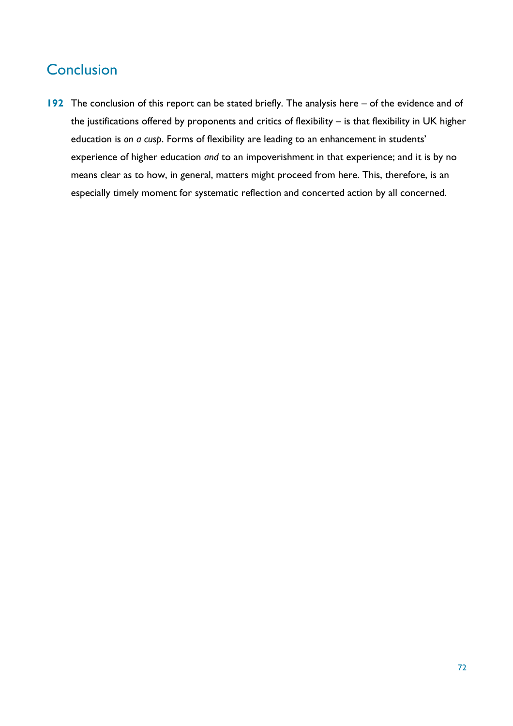# **Conclusion**

**192** The conclusion of this report can be stated briefly. The analysis here – of the evidence and of the justifications offered by proponents and critics of flexibility – is that flexibility in UK higher education is *on a cusp*. Forms of flexibility are leading to an enhancement in students' experience of higher education *and* to an impoverishment in that experience; and it is by no means clear as to how, in general, matters might proceed from here. This, therefore, is an especially timely moment for systematic reflection and concerted action by all concerned.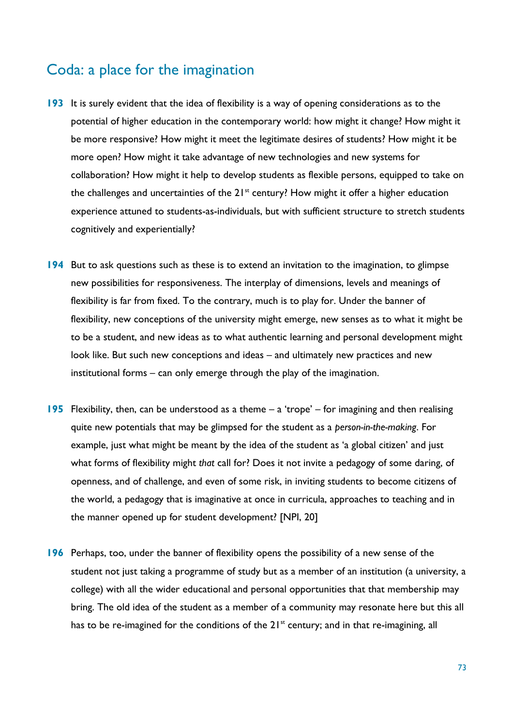#### Coda: a place for the imagination

- **193** It is surely evident that the idea of flexibility is a way of opening considerations as to the potential of higher education in the contemporary world: how might it change? How might it be more responsive? How might it meet the legitimate desires of students? How might it be more open? How might it take advantage of new technologies and new systems for collaboration? How might it help to develop students as flexible persons, equipped to take on the challenges and uncertainties of the  $21^{st}$  century? How might it offer a higher education experience attuned to students-as-individuals, but with sufficient structure to stretch students cognitively and experientially?
- **194** But to ask questions such as these is to extend an invitation to the imagination, to glimpse new possibilities for responsiveness. The interplay of dimensions, levels and meanings of flexibility is far from fixed. To the contrary, much is to play for. Under the banner of flexibility, new conceptions of the university might emerge, new senses as to what it might be to be a student, and new ideas as to what authentic learning and personal development might look like. But such new conceptions and ideas – and ultimately new practices and new institutional forms – can only emerge through the play of the imagination.
- **195** Flexibility, then, can be understood as a theme a 'trope' for imagining and then realising quite new potentials that may be glimpsed for the student as a *person-in-the-making*. For example, just what might be meant by the idea of the student as 'a global citizen' and just what forms of flexibility might *that* call for? Does it not invite a pedagogy of some daring, of openness, and of challenge, and even of some risk, in inviting students to become citizens of the world, a pedagogy that is imaginative at once in curricula, approaches to teaching and in the manner opened up for student development? [NPI, 20]
- **196** Perhaps, too, under the banner of flexibility opens the possibility of a new sense of the student not just taking a programme of study but as a member of an institution (a university, a college) with all the wider educational and personal opportunities that that membership may bring. The old idea of the student as a member of a community may resonate here but this all has to be re-imagined for the conditions of the 21<sup>st</sup> century; and in that re-imagining, all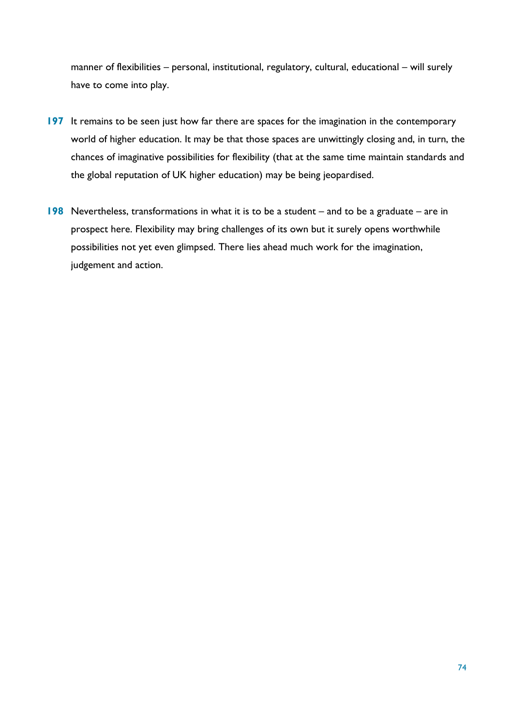manner of flexibilities – personal, institutional, regulatory, cultural, educational – will surely have to come into play.

- **197** It remains to be seen just how far there are spaces for the imagination in the contemporary world of higher education. It may be that those spaces are unwittingly closing and, in turn, the chances of imaginative possibilities for flexibility (that at the same time maintain standards and the global reputation of UK higher education) may be being jeopardised.
- **198** Nevertheless, transformations in what it is to be a student and to be a graduate are in prospect here. Flexibility may bring challenges of its own but it surely opens worthwhile possibilities not yet even glimpsed. There lies ahead much work for the imagination, judgement and action.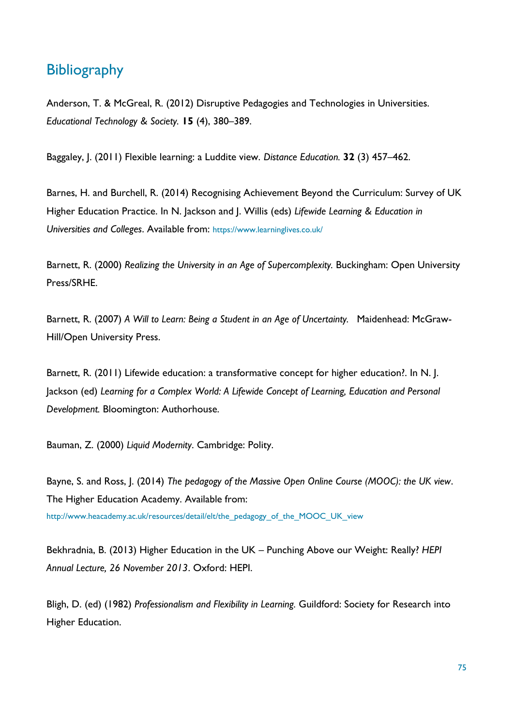#### **Bibliography**

Anderson, T. & McGreal, R. (2012) Disruptive Pedagogies and Technologies in Universities. *Educational Technology & Society.* **15** (4), 380–389.

Baggaley, J. (2011) Flexible learning: a Luddite view. *Distance Education.* **32** (3) 457–462.

Barnes, H. and Burchell, R. (2014) Recognising Achievement Beyond the Curriculum: Survey of UK Higher Education Practice. In N. Jackson and J. Willis (eds) *Lifewide Learning & Education in Universities and Colleges*. Available from: <https://www.learninglives.co.uk/>

Barnett, R. (2000) *Realizing the University in an Age of Supercomplexity.* Buckingham: Open University Press/SRHE.

Barnett, R. (2007) *A Will to Learn: Being a Student in an Age of Uncertainty.* Maidenhead: McGraw-Hill/Open University Press.

Barnett, R. (2011) Lifewide education: a transformative concept for higher education?. In N. J. Jackson (ed) *Learning for a Complex World: A Lifewide Concept of Learning, Education and Personal Development.* Bloomington: Authorhouse.

Bauman, Z. (2000) *Liquid Modernity*. Cambridge: Polity.

Bayne, S. and Ross, J. (2014) *The pedagogy of the Massive Open Online Course (MOOC): the UK view*. The Higher Education Academy. Available from: [http://www.heacademy.ac.uk/resources/detail/elt/the\\_pedagogy\\_of\\_the\\_MOOC\\_UK\\_view](http://www.heacademy.ac.uk/resources/detail/elt/the_pedagogy_of_the_MOOC_UK_view)

Bekhradnia, B. (2013) Higher Education in the UK – Punching Above our Weight: Really? *HEPI Annual Lecture, 26 November 2013*. Oxford: HEPI.

Bligh, D. (ed) (1982) *Professionalism and Flexibility in Learning.* Guildford: Society for Research into Higher Education.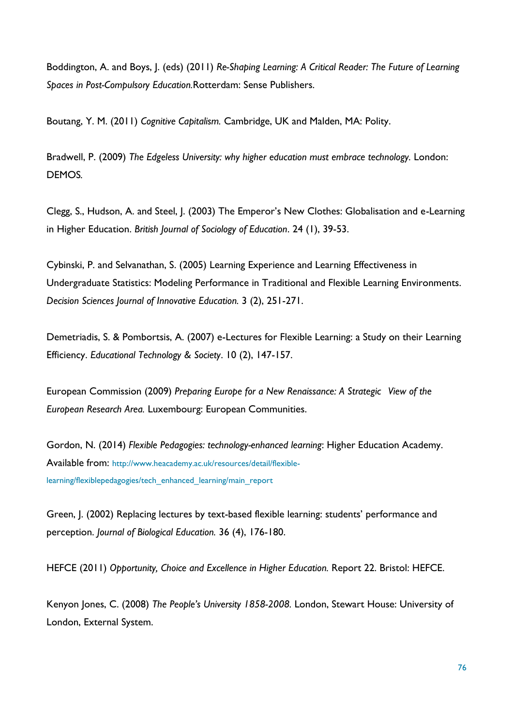Boddington, A. and Boys, J. (eds) (2011) *Re-Shaping Learning: A Critical Reader: The Future of Learning Spaces in Post-Compulsory Education.*Rotterdam: Sense Publishers.

Boutang, Y. M. (2011) *Cognitive Capitalism.* Cambridge, UK and Malden, MA: Polity.

Bradwell, P. (2009) *The Edgeless University: why higher education must embrace technology.* London: DEMOS*.*

Clegg, S., Hudson, A. and Steel, J. (2003) The Emperor's New Clothes: Globalisation and e-Learning in Higher Education. *British Journal of Sociology of Education*. 24 (1), 39-53.

Cybinski, P. and Selvanathan, S. (2005) Learning Experience and Learning Effectiveness in Undergraduate Statistics: Modeling Performance in Traditional and Flexible Learning Environments. *Decision Sciences Journal of Innovative Education.* 3 (2), 251-271.

Demetriadis, S. & Pombortsis, A. (2007) e-Lectures for Flexible Learning: a Study on their Learning Efficiency. *Educational Technology & Society*. 10 (2), 147-157.

European Commission (2009) *Preparing Europe for a New Renaissance: A Strategic View of the European Research Area.* Luxembourg: European Communities.

Gordon, N. (2014) *Flexible Pedagogies: technology-enhanced learning*: Higher Education Academy. Available from: [http://www.heacademy.ac.uk/resources/detail/flexible](http://www.heacademy.ac.uk/resources/detail/flexible-learning/flexiblepedagogies/tech_enhanced_learning/main_report)[learning/flexiblepedagogies/tech\\_enhanced\\_learning/main\\_report](http://www.heacademy.ac.uk/resources/detail/flexible-learning/flexiblepedagogies/tech_enhanced_learning/main_report)

Green, J. (2002) Replacing lectures by text-based flexible learning: students' performance and perception. *Journal of Biological Education.* 36 (4), 176-180.

HEFCE (2011) *Opportunity, Choice and Excellence in Higher Education.* Report 22. Bristol: HEFCE.

Kenyon Jones, C. (2008) *The People's University 1858-2008.* London, Stewart House: University of London, External System.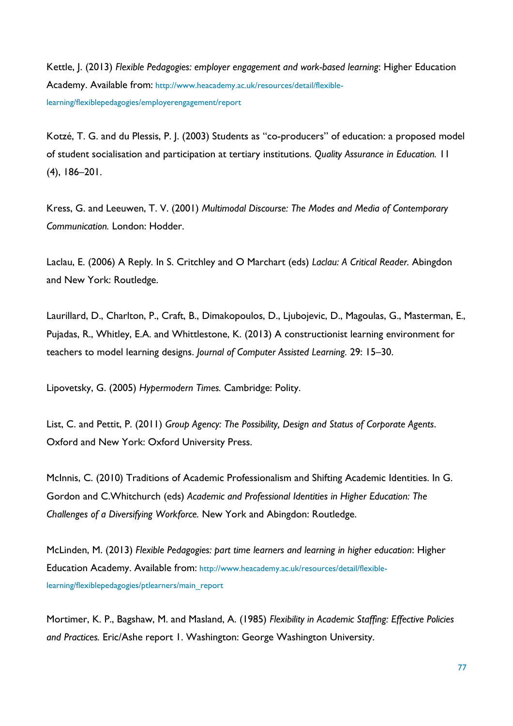Kettle, J. (2013) *Flexible Pedagogies: employer engagement and work-based learning*: Higher Education Academy. Available from: [http://www.heacademy.ac.uk/resources/detail/flexible](http://www.heacademy.ac.uk/resources/detail/flexible-learning/flexiblepedagogies/employerengagement/report)[learning/flexiblepedagogies/employerengagement/report](http://www.heacademy.ac.uk/resources/detail/flexible-learning/flexiblepedagogies/employerengagement/report)

Kotzé, T. G. and du Plessis, P. J. (2003) Students as "co-producers" of education: a proposed model of student socialisation and participation at tertiary institutions. *Quality Assurance in Education.* 11 (4), 186–201.

Kress, G. and Leeuwen, T. V. (2001) *Multimodal Discourse: The Modes and Media of Contemporary Communication.* London: Hodder.

Laclau, E. (2006) A Reply*.* In S. Critchley and O Marchart (eds) *Laclau: A Critical Reader.* Abingdon and New York: Routledge.

Laurillard, D., Charlton, P., Craft, B., Dimakopoulos, D., Ljubojevic, D., Magoulas, G., Masterman, E., Pujadas, R., Whitley, E.A. and Whittlestone, K. (2013) A constructionist learning environment for teachers to model learning designs. *Journal of Computer Assisted Learning.* 29: 15–30.

Lipovetsky, G. (2005) *Hypermodern Times.* Cambridge: Polity.

List, C. and Pettit, P. (2011) *Group Agency: The Possibility, Design and Status of Corporate Agents*. Oxford and New York: Oxford University Press.

McInnis, C. (2010) Traditions of Academic Professionalism and Shifting Academic Identities. In G. Gordon and C.Whitchurch (eds) *Academic and Professional Identities in Higher Education: The Challenges of a Diversifying Workforce.* New York and Abingdon: Routledge.

McLinden, M. (2013) *Flexible Pedagogies: part time learners and learning in higher education*: Higher Education Academy. Available from: [http://www.heacademy.ac.uk/resources/detail/flexible](http://www.heacademy.ac.uk/resources/detail/flexible-learning/flexiblepedagogies/ptlearners/main_report)[learning/flexiblepedagogies/ptlearners/main\\_report](http://www.heacademy.ac.uk/resources/detail/flexible-learning/flexiblepedagogies/ptlearners/main_report)

Mortimer, K. P., Bagshaw, M. and Masland, A. (1985) *Flexibility in Academic Staffing: Effective Policies and Practices.* Eric/Ashe report 1. Washington: George Washington University.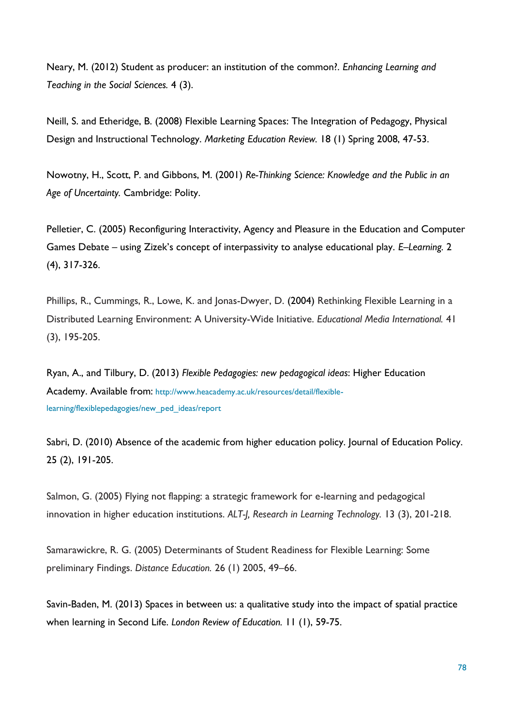Neary, M. (2012) Student as producer: an institution of the common?. *Enhancing Learning and Teaching in the Social Sciences.* 4 (3).

Neill, S. and Etheridge, B. (2008) Flexible Learning Spaces: The Integration of Pedagogy, Physical Design and Instructional Technology. *Marketing Education Review.* 18 (1) Spring 2008, 47-53.

Nowotny, H., Scott, P. and Gibbons, M. (2001) *Re-Thinking Science: Knowledge and the Public in an Age of Uncertainty.* Cambridge: Polity.

Pelletier, C. (2005) Reconfiguring Interactivity, Agency and Pleasure in the Education and Computer Games Debate – using Zizek's concept of interpassivity to analyse educational play. *E–Learning.* 2 (4), 317-326.

Phillips, R., Cummings, R., Lowe, K. and Jonas-Dwyer, D. (2004) Rethinking Flexible Learning in a Distributed Learning Environment: A University-Wide Initiative. *Educational Media International.* 41 (3), 195-205.

Ryan, A., and Tilbury, D. (2013) *Flexible Pedagogies: new pedagogical ideas*: Higher Education Academy. Available from: [http://www.heacademy.ac.uk/resources/detail/flexible](http://www.heacademy.ac.uk/resources/detail/flexible-learning/flexiblepedagogies/new_ped_ideas/report)[learning/flexiblepedagogies/new\\_ped\\_ideas/report](http://www.heacademy.ac.uk/resources/detail/flexible-learning/flexiblepedagogies/new_ped_ideas/report)

Sabri, D. (2010) Absence of the academic from higher education policy. Journal of Education Policy. 25 (2), 191-205.

Salmon, G. (2005) Flying not flapping: a strategic framework for e-learning and pedagogical innovation in higher education institutions. *ALT-J, Research in Learning Technology.* 13 (3), 201-218.

Samarawickre, R. G. (2005) Determinants of Student Readiness for Flexible Learning: Some preliminary Findings. *Distance Education.* 26 (1) 2005, 49–66.

Savin-Baden, M. (2013) Spaces in between us: a qualitative study into the impact of spatial practice when learning in Second Life. *London Review of Education.* 11 (1), 59-75.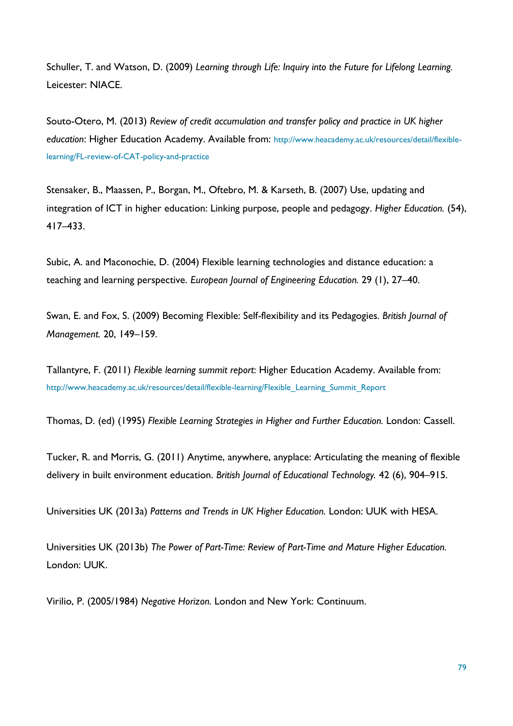Schuller, T. and Watson, D. (2009) *Learning through Life: Inquiry into the Future for Lifelong Learning.*  Leicester: NIACE.

Souto-Otero, M. (2013) *Review of credit accumulation and transfer policy and practice in UK higher education*: Higher Education Academy. Available from: [http://www.heacademy.ac.uk/resources/detail/flexible](http://www.heacademy.ac.uk/resources/detail/flexible-learning/FL-review-of-CAT-policy-and-practice)[learning/FL-review-of-CAT-policy-and-practice](http://www.heacademy.ac.uk/resources/detail/flexible-learning/FL-review-of-CAT-policy-and-practice)

Stensaker, B., Maassen, P., Borgan, M., Oftebro, M. & Karseth, B. (2007) Use, updating and integration of ICT in higher education: Linking purpose, people and pedagogy. *Higher Education.* (54), 417–433.

Subic, A. and Maconochie, D. (2004) Flexible learning technologies and distance education: a teaching and learning perspective. *European Journal of Engineering Education.* 29 (1), 27–40.

Swan, E. and Fox, S. (2009) Becoming Flexible: Self-flexibility and its Pedagogies. *British Journal of Management.* 20, 149–159.

Tallantyre, F. (2011) *Flexible learning summit report*: Higher Education Academy. Available from: [http://www.heacademy.ac.uk/resources/detail/flexible-learning/Flexible\\_Learning\\_Summit\\_Report](http://www.heacademy.ac.uk/resources/detail/flexible-learning/Flexible_Learning_Summit_Report)

Thomas, D. (ed) (1995) *Flexible Learning Strategies in Higher and Further Education.* London: Cassell.

Tucker, R. and Morris, G. (2011) Anytime, anywhere, anyplace: Articulating the meaning of flexible delivery in built environment education. *British Journal of Educational Technology.* 42 (6), 904–915.

Universities UK (2013a) *Patterns and Trends in UK Higher Education.* London: UUK with HESA.

Universities UK (2013b) *The Power of Part-Time: Review of Part-Time and Mature Higher Education.*  London: UUK.

Virilio, P. (2005/1984) *Negative Horizon.* London and New York: Continuum.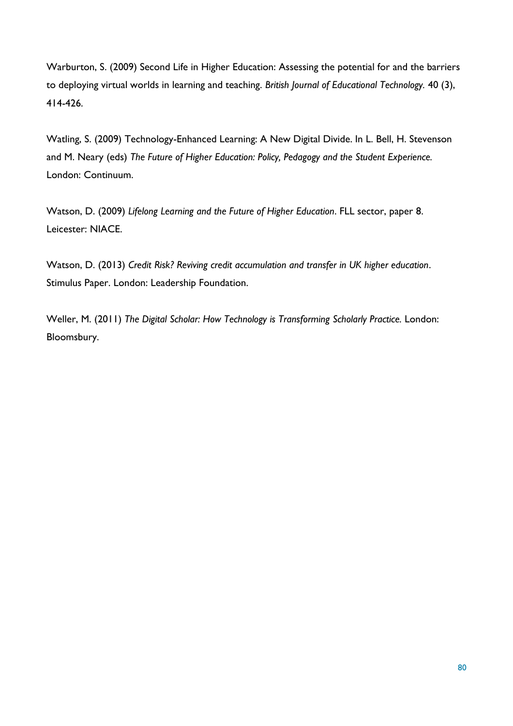Warburton, S. (2009) Second Life in Higher Education: Assessing the potential for and the barriers to deploying virtual worlds in learning and teaching. *British Journal of Educational Technology.* 40 (3), 414-426.

Watling, S. (2009) Technology-Enhanced Learning: A New Digital Divide. In L. Bell, H. Stevenson and M. Neary (eds) *The Future of Higher Education: Policy, Pedagogy and the Student Experience.*  London: Continuum.

Watson, D. (2009) *Lifelong Learning and the Future of Higher Education*. FLL sector, paper 8. Leicester: NIACE.

Watson, D. (2013) *Credit Risk? Reviving credit accumulation and transfer in UK higher education*. Stimulus Paper. London: Leadership Foundation.

Weller, M. (2011) *The Digital Scholar: How Technology is Transforming Scholarly Practice.* London: Bloomsbury.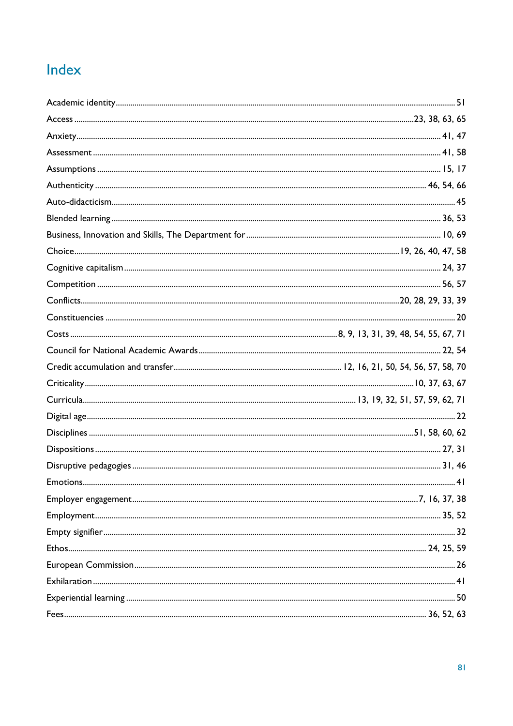# Index

| .4 I |
|------|
|      |
|      |
|      |
|      |
|      |
|      |
|      |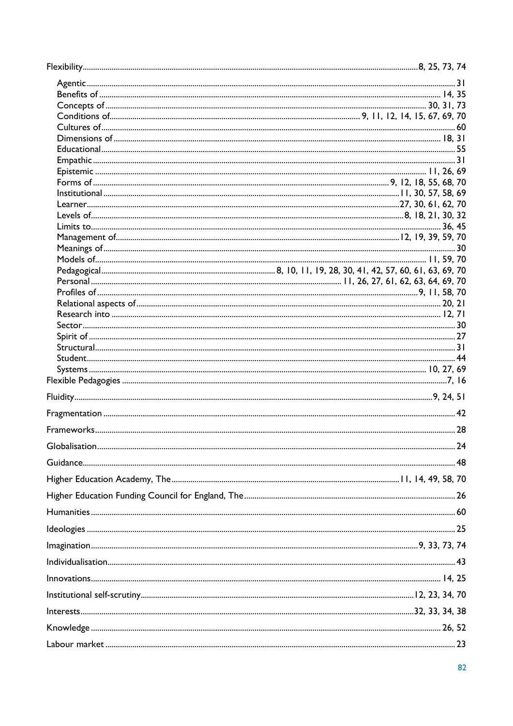| Conditions of <u>with any control of the summand of the set of the summand of the set of the set of the set of the set of the set of the set of the set of the set of the set of the set of the set of the set of the set of the</u> |  |
|--------------------------------------------------------------------------------------------------------------------------------------------------------------------------------------------------------------------------------------|--|
|                                                                                                                                                                                                                                      |  |
|                                                                                                                                                                                                                                      |  |
|                                                                                                                                                                                                                                      |  |
|                                                                                                                                                                                                                                      |  |
|                                                                                                                                                                                                                                      |  |
|                                                                                                                                                                                                                                      |  |
|                                                                                                                                                                                                                                      |  |
|                                                                                                                                                                                                                                      |  |
|                                                                                                                                                                                                                                      |  |
|                                                                                                                                                                                                                                      |  |
|                                                                                                                                                                                                                                      |  |
|                                                                                                                                                                                                                                      |  |
|                                                                                                                                                                                                                                      |  |
|                                                                                                                                                                                                                                      |  |
|                                                                                                                                                                                                                                      |  |
|                                                                                                                                                                                                                                      |  |
|                                                                                                                                                                                                                                      |  |
|                                                                                                                                                                                                                                      |  |
|                                                                                                                                                                                                                                      |  |
|                                                                                                                                                                                                                                      |  |
|                                                                                                                                                                                                                                      |  |
|                                                                                                                                                                                                                                      |  |
|                                                                                                                                                                                                                                      |  |
|                                                                                                                                                                                                                                      |  |
|                                                                                                                                                                                                                                      |  |
|                                                                                                                                                                                                                                      |  |
|                                                                                                                                                                                                                                      |  |
|                                                                                                                                                                                                                                      |  |
|                                                                                                                                                                                                                                      |  |
|                                                                                                                                                                                                                                      |  |
|                                                                                                                                                                                                                                      |  |
|                                                                                                                                                                                                                                      |  |
|                                                                                                                                                                                                                                      |  |
|                                                                                                                                                                                                                                      |  |
|                                                                                                                                                                                                                                      |  |
|                                                                                                                                                                                                                                      |  |
|                                                                                                                                                                                                                                      |  |
|                                                                                                                                                                                                                                      |  |
|                                                                                                                                                                                                                                      |  |
|                                                                                                                                                                                                                                      |  |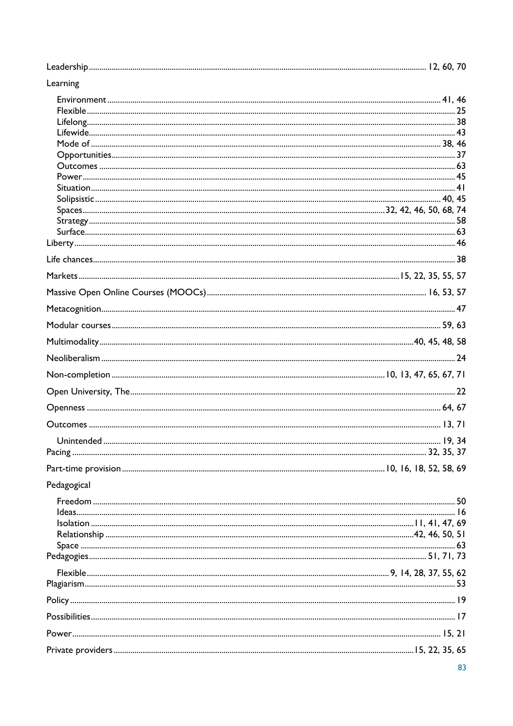| Learning    |    |
|-------------|----|
|             |    |
|             |    |
|             |    |
|             |    |
|             |    |
|             |    |
|             |    |
|             |    |
|             |    |
|             |    |
|             |    |
|             |    |
|             |    |
|             |    |
|             |    |
|             |    |
|             |    |
|             |    |
|             |    |
|             |    |
|             |    |
|             |    |
|             |    |
|             |    |
|             |    |
|             |    |
| Pedagogical |    |
|             |    |
|             |    |
|             |    |
|             |    |
|             |    |
|             |    |
|             |    |
|             |    |
|             |    |
|             |    |
|             |    |
|             | 83 |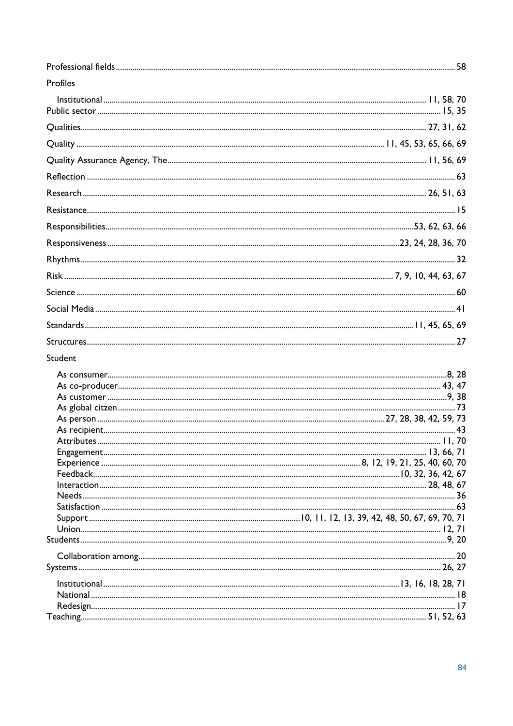| Profiles |  |
|----------|--|
|          |  |
|          |  |
|          |  |
|          |  |
|          |  |
|          |  |
|          |  |
|          |  |
|          |  |
|          |  |
|          |  |
|          |  |
|          |  |
|          |  |
|          |  |
|          |  |
| Student  |  |
|          |  |
|          |  |
|          |  |
|          |  |
|          |  |
|          |  |
|          |  |
|          |  |
|          |  |
|          |  |
|          |  |
|          |  |
|          |  |
|          |  |
|          |  |
|          |  |
|          |  |
|          |  |
|          |  |
|          |  |
|          |  |
|          |  |
|          |  |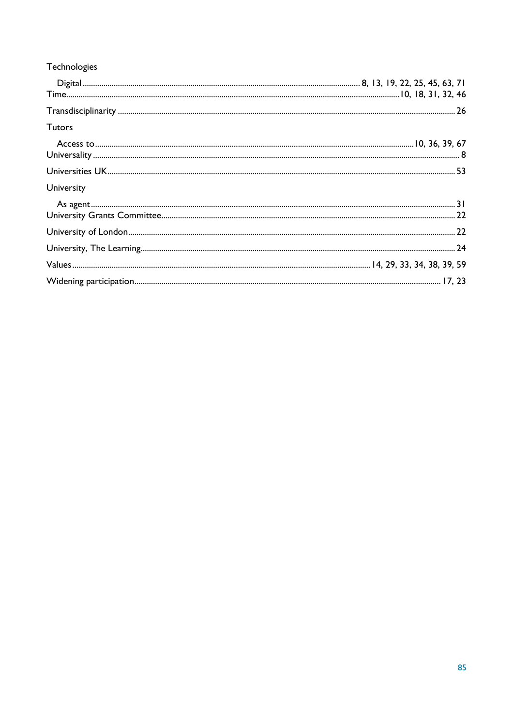| Technologies  |  |
|---------------|--|
|               |  |
|               |  |
|               |  |
| <b>Tutors</b> |  |
|               |  |
|               |  |
|               |  |
| University    |  |
|               |  |
|               |  |
|               |  |
|               |  |
|               |  |
|               |  |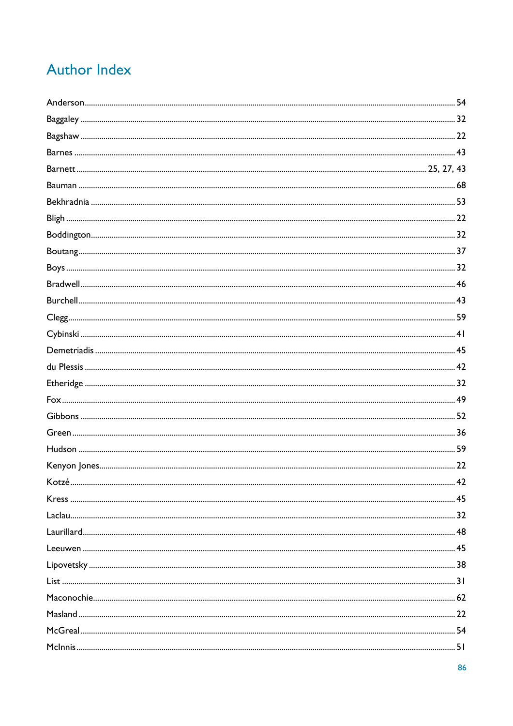# **Author Index**

| Kotzé | 42 |
|-------|----|
|       |    |
|       |    |
|       |    |
|       |    |
|       |    |
|       |    |
|       |    |
|       |    |
|       |    |
|       |    |